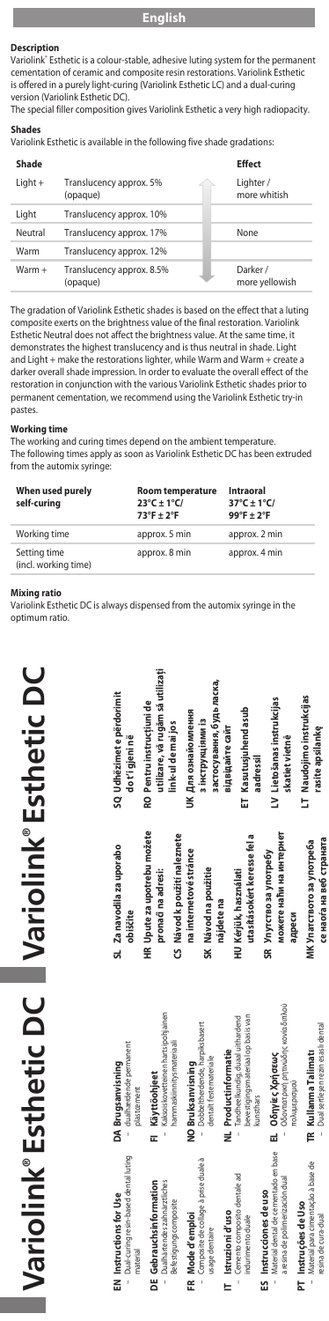#### **Description**

Variolink® Esthetic is a colour-stable, adhesive luting system for the permanent cementation of ceramic and composite resin restorations. Variolink Esthetic is offered in a purely light-curing (Variolink Esthetic LC) and a dual-curing version (Variolink Esthetic DC).

The special filler composition gives Variolink Esthetic a very high radiopacity.

# **Shades**

Variolink Esthetic is available in the following five shade gradations:

| Shade     |                                       | <b>Effect</b>              |
|-----------|---------------------------------------|----------------------------|
| $Light +$ | Translucency approx. 5%<br>(opaque)   | Lighter /<br>more whitish  |
| Light     | Translucency approx. 10%              |                            |
| Neutral   | Translucency approx. 17%              | None                       |
| Warm      | Translucency approx. 12%              |                            |
| Warm +    | Translucency approx. 8.5%<br>(opaque) | Darker /<br>more yellowish |

The gradation of Variolink Esthetic shades is based on the effect that a luting composite exerts on the brightness value of the final restoration. Variolink Esthetic Neutral does not affect the brightness value. At the same time, it demonstrates the highest translucency and is thus neutral in shade. Light and Light + make the restorations lighter, while Warm and Warm + create a darker overall shade impression. In order to evaluate the overall effect of the restoration in conjunction with the various Variolink Esthetic shades prior to permanent cementation, we recommend using the Variolink Esthetic try-in pastes.

**Working time** The working and curing times depend on the ambient temperature. The following times apply as soon as Variolink Esthetic DC has been extruded from the automix syringe:

| When used purely<br>self-curing      | Room temperature<br>$23^{\circ}$ C ± 1 $^{\circ}$ C/<br>$73^{\circ}$ F + 2°F | <b>Intraoral</b><br>$37^{\circ}$ C ± 1 $^{\circ}$ C/<br>$99^{\circ}$ F + 2°F |
|--------------------------------------|------------------------------------------------------------------------------|------------------------------------------------------------------------------|
| Working time                         | approx. 5 min                                                                | approx. 2 min                                                                |
| Setting time<br>(incl. working time) | approx. 8 min                                                                | approx. 4 min                                                                |

#### **Mixing ratio**

Variolink Esthetic DC is always dispensed from the automix syringe in the optimum ratio.

| - Dual-curing resin-based dental luting<br>EN Instructions for Use<br>material                                     | - dualhærdende permanent<br>DA Brugsanvisning<br>plastcement                                      | SL Za navodila za uporabo<br>obiščite                                             | SQ Udhëzimet e përdorimit<br>do t'i qjeni në                                        |
|--------------------------------------------------------------------------------------------------------------------|---------------------------------------------------------------------------------------------------|-----------------------------------------------------------------------------------|-------------------------------------------------------------------------------------|
| DE Gebrauchsinformation<br>- Dualhärtendes zahnärztliches<br>Befestig ungscomposite                                | Kaksoiskovetteinen hartsipohiainen<br>hamma skiinnitysma teriaal<br>Käyttöohjeet<br>Ξ             | HR Upute za upotrebu możete<br>CS Návod k použití naleznete<br>pronaci na adresi: | utilizare, vā rugām sā utilizati<br>RO Pentru instructiuni de<br>link-ul de mai jos |
| - Composite de collage à prise duale à<br>FR Mode d'emploi<br>usage dentaire                                       | - Dobbeltherdende harpiksbasert<br>dentalt festemateriale<br>NO Bruksanvisning                    | na internetové stránce<br>SK Návod na použitie                                    | застосування, будь ласка,<br>UK Для ознайомлення<br>з інструкціями із               |
| Cemento composito dentale ad<br>T Istruzioni d'uso<br>indurimento duale<br>I                                       | bevestigings materiaal op basis van<br>- Tandheelkundig, duaal uithardend<br>NL Productinformatie | utasításokért keresse fel a<br>HU Kériük, használati<br>najdete na                | ET Kasutusiuhend asub<br>відвідайте сайт                                            |
| Material dental de cementado en base<br>a resina de polimerización dual<br>ES Instrucciones de uso<br>$\mathbf{I}$ | – Οδοντιατρική ρητινώδης κονία διπλού<br>EL Oδηγίες Χρήσεως<br>kunsthars                          | можете наћи на интернет<br>SR Упутство за употребу                                | LV Lietošanas instrukcijas<br>skatiet vietne<br>aadressil                           |
| Material para cimentação à base de<br>PT Instrucões de Uso<br><b>RUD-RILD AD RUISEL</b><br>I                       | - Dual sertlesen rezin esaslı dental<br>TR Kullanma Talimatı<br>novnhebiaton                      | се наоѓа на веб страната<br>МК Упатството за употреба<br>адреси                   | LT Naudojimo instrukcijas<br>rasite apsilanke                                       |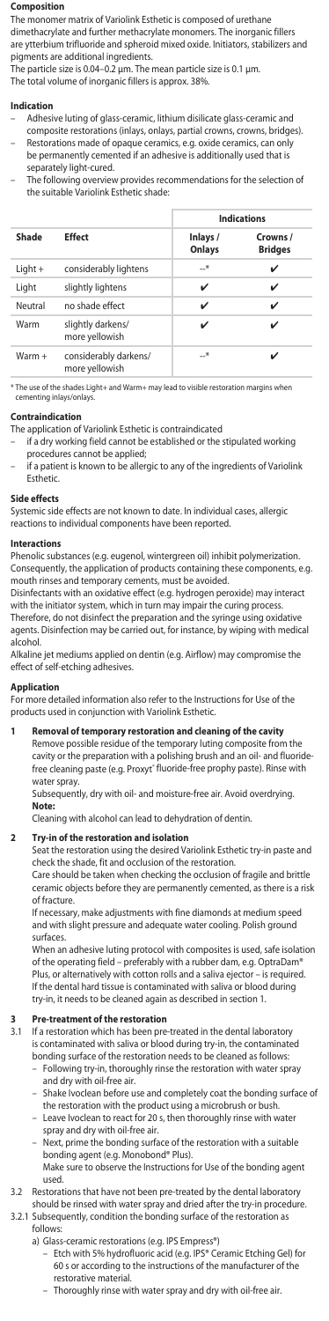#### **Composition**

The monomer matrix of Variolink Esthetic is composed of urethane dimethacrylate and further methacrylate monomers. The inorganic fillers are ytterbium trifluoride and spheroid mixed oxide. Initiators, stabilizers and pigments are additional ingredients.

The particle size is 0.04–0.2 μm. The mean particle size is 0.1 µm. The total volume of inorganic fillers is approx. 38%.

# **Indication**

- Adhesive luting of glass-ceramic, lithium disilicate glass-ceramic and
- composite restorations (inlays, onlays, partial crowns, crowns, bridges). – Restorations made of opaque ceramics, e.g. oxide ceramics, can only be permanently cemented if an adhesive is additionally used that is
- separately light-cured. – The following overview provides recommendations for the selection of the suitable Variolink Esthetic shade:

|          |                                         | <b>Indications</b> |                            |  |
|----------|-----------------------------------------|--------------------|----------------------------|--|
| Shade    | <b>Fffect</b>                           | Inlays /<br>Onlays | Crowns /<br><b>Bridges</b> |  |
| Light +  | considerably lightens                   | $-$ *              | ✓                          |  |
| Light    | slightly lightens                       | ✓                  | ✓                          |  |
| Neutral  | no shade effect                         | ✓                  | ✓                          |  |
| Warm     | slightly darkens/<br>more yellowish     | ✓                  |                            |  |
| $Warm +$ | considerably darkens/<br>more yellowish | —*                 |                            |  |

\* The use of the shades Light+ and Warm+ may lead to visible restorati cementing inlays/onlav

# **Contraindication**

- The application of Variolink Esthetic is contraindicated
- if a dry working field cannot be established or the stipulated working procedures cannot be applied;
	- if a patient is known to be allergic to any of the ingredients of Variolink Esthetic.

## **Side effects**

Systemic side effects are not known to date. In individual cases, allergic reactions to individual components have been reported.

#### **Interactions**

Phenolic substances (e.g. eugenol, wintergreen oil) inhibit polymerization. Consequently, the application of products containing these components, e.g. mouth rinses and temporary cements, must be avoided. mouth rinses and temporary cem

Disinfectants with an oxidative effect (e.g. hydrogen peroxide) may interact with the initiator system, which in turn may impair the curing process. Therefore, do not disinfect the preparation and the syringe using oxidative agents. Disinfection may be carried out, for instance, by wiping with medical alcohol.

Alkaline jet mediums applied on dentin (e.g. Airflow) may compromise the effect of self-etching adhesives.

### **Application**

For more detailed information also refer to the Instructions for Use of the products used in conjunction with Variolink Esthetic.

## **1 Removal of temporary restoration and cleaning of the cavity**

Remove possible residue of the temporary luting composite from the cavity or the preparation with a polishing brush and an oil- and fluoride-<br>free cleaning paste (e.g. Proxyt® fluoride-free prophy paste). Rinse with water spray.

Subsequently, dry with oil- and moisture-free air. Avoid overdrying. **Note:**

Cleaning with alcohol can lead to dehydration of dentin.

# **2 Try-in of the restoration and isolation**

Seat the restoration using the desired Variolink Esthetic try-in paste and check the shade, fit and occlusion of the restoration.

Care should be taken when checking the occlusion of fragile and brittle ceramic objects before they are permanently cemented, as there is a risk of fracture.

If necessary, make adjustments with fine diamonds at medium speed and with slight pressure and adequate water cooling. Polish ground surfaces.

When an adhesive luting protocol with composites is used, safe isolation of the operating field – preferably with a rubber dam, e.g. OptraDam® Plus, or alternatively with cotton rolls and a saliva ejector – is required. If the dental hard tissue is contaminated with saliva or blood during try-in, it needs to be cleaned again as described in section 1.

# **3 Pre-treatment of the restoration**<br>**3.1** If a restoration which has been pre

If a restoration which has been pre-treated in the dental laboratory is contaminated with saliva or blood during try-in, the contaminated

- bonding surface of the restoration needs to be cleaned as follows:<br>- Following try in thoroughly rinse the restoration with water sp .<br>wing try-in, thoroughly rinse the restoration with water spray and dry with oil-free air.
- Shake Ivoclean before use and completely coat the bonding surface of the restoration with the product using a microbrush or bush.
- Leave Ivoclean to react for 20 s, then thoroughly rinse with water
- spray and dry with oil-free air. Next, prime the bonding surface of the restoration with a suitable bonding agent (e.g. Monobond® Plus).
- Make sure to observe the Instructions for Use of the bonding agent used.
- 3.2 Restorations that have not been pre-treated by the dental laboratory
- should be rinsed with water spray and dried after the try-in procedure. 3.2.1 Subsequently, condition the bonding surface of the restoration as follows:
	-
- a) Glass-ceramic restorations (e.g. IPS Empress®) Etch with 5% hydrofluoric acid (e.g. IPS® Ceramic Etching Gel) for 60 s or according to the instructions of the manufacturer of the restorative material.
	- Thoroughly rinse with water spray and dry with oil-free air.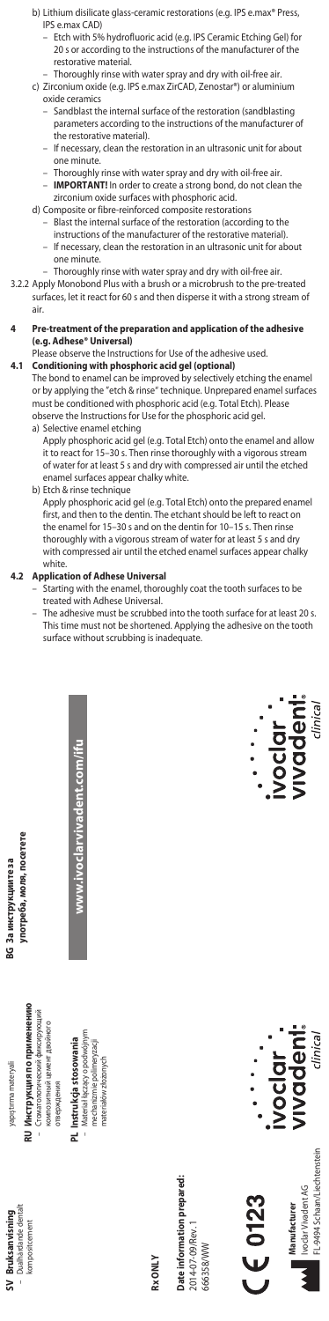- b) Lithium disilicate glass-ceramic restorations (e.g. IPS e.max® Press IPS e.max CAD)
- Etch with 5% hydrofluoric acid (e.g. IPS Ceramic Etching Gel) for 20 s or according to the instructions of the manufacturer of the restorative material.
- Thoroughly rinse with water spray and dry with oil-free air. c) Zirconium oxide (e.g. IPS e.max ZirCAD, Zenostar®) or aluminium
	- oxide ceramics
- Sandblast the internal surface of the restoration (sandblasting parameters according to the instructions of the manufacturer of the restorative material).
	- If necessary, clean the restoration in an ultrasonic unit for about one minute.
	- Thoroughly rinse with water spray and dry with oil-free air. – **IMPORTANT!** In order to create a strong bond, do not clean the
	- zirconium oxide surfaces with phosphoric acid.
	- d) Composite or fibre-reinforced composite restorations – Blast the internal surface of the restoration (according to the instructions of the manufacturer of the restorative material).
		- If necessary, clean the restoration in an ultrasonic unit for about one minute.
		- Thoroughly rinse with water spray and dry with oil-free air.
- 3.2.2 Apply Monobond Plus with a brush or a microbrush to the pre-treated surfaces, let it react for 60 s and then disperse it with a strong stream of air.
- **4 Pre-treatment of the preparation and application of the adhesive (e.g. Adhese® Universal)**
- Please observe the Instructions for Use of the adhesive used. **4.1 Conditioning with phosphoric acid gel (optional)**

The bond to enamel can be improved by selectively etching the enamel or by applying the "etch & rinse" technique. Unprepared enamel surfaces must be conditioned with phosphoric acid (e.g. Total Etch). Please observe the Instructions for Use for the phosphoric acid gel.

- a) Selective enamel etching Apply phosphoric acid gel (e.g. Total Etch) onto the enamel and allow it to react for 15–30 s. Then rinse thoroughly with a vigorous stream of water for at least 5 s and dry with compressed air until the etched enamel surfaces appear chalky white.
- b) Etch & rinse technique

Apply phosphoric acid gel (e.g. Total Etch) onto the prepared enamel first, and then to the dentin. The etchant should be left to react on the enamel for 15–30 s and on the dentin for 10–15 s. Then rinse thoroughly with a vigorous stream of water for at least 5 s and dry with compressed air until the etched enamel surfaces appear chalky white.

**www.ivoclarvivadent.com/ifu**

ww.ivoclarvivadent.com/ifu

- **4.2 Application of Adhese Universal** Starting with the enamel, thoroughly coat the tooth surfaces to be treated with Adhese Universal.
	- The adhesive must be scrubbed into the tooth surface for at least 20 s. This time must not be shortened. Applying the adhesive on the tooth surface without scrubbing is inadequate.

vadeni  $\frac{1}{2}$ 



**SV Bruksanvisning** – Dualhärdande dentalt

Dualhärdande denta

yapıştırma materyali

yapıştırma materyali

**BG За инструкциите за** 

За инструкциите за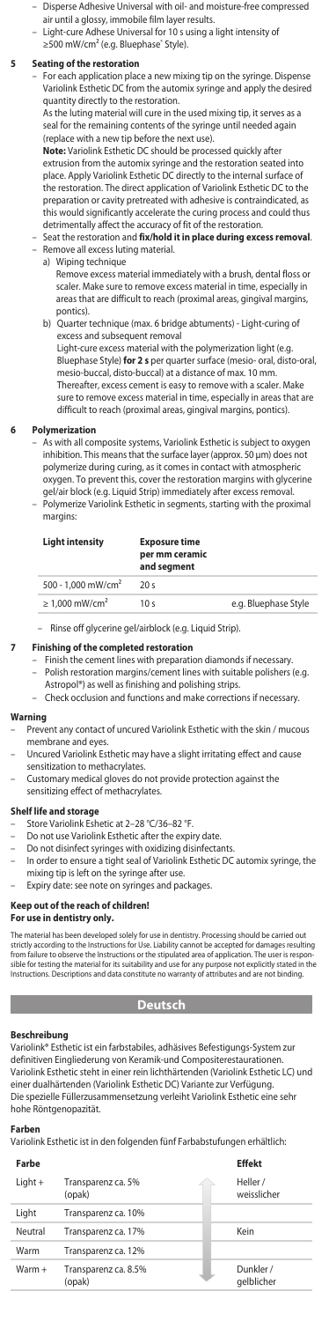- Disperse Adhesive Universal with oil- and moisture-free compressed
- air until a glossy, immobile film layer results. – Light-cure Adhese Universal for 10 s using a light intensity of
- ≥500 mW/cm² (e.g. Bluephase¨ Style).

### **5 Seating of the restoration**

– For each application place a new mixing tip on the syringe. Dispense Variolink Esthetic DC from the automix syringe and apply the desired quantity directly to the restoration.

As the luting material will cure in the used mixing tip, it serves as a seal for the remaining contents of the syringe until needed again (replace with a new tip before the next use).

**Note:** Variolink Esthetic DC should be processed quickly after extrusion from the automix syringe and the restoration seated into place. Apply Variolink Esthetic DC directly to the internal surface of the restoration. The direct application of Variolink Esthetic DC to the preparation or cavity pretreated with adhesive is contraindicated, as this would significantly accelerate the curing process and could thus detrimentally affect the accuracy of fit of the restoration.

- Seat the restoration and **fix/hold it in place during excess removal**. – Remove all excess luting material.
- a) Wiping technique

Remove excess material immediately with a brush, dental floss or scaler. Make sure to remove excess material in time, especially in areas that are difficult to reach (proximal areas, gingival margins, pontics).

 b) Quarter technique (max. 6 bridge abtuments) - Light-curing of excess and subsequent removal

Light-cure excess material with the polymerization light (e.g. Bluephase Style) **for 2 s** per quarter surface (mesio- oral, disto-oral, mesio-buccal, disto-buccal) at a distance of max. 10 mm. Thereafter, excess cement is easy to remove with a scaler. Make sure to remove excess material in time, especially in areas that are difficult to reach (proximal areas, gingival margins, pontics).

#### **6 Polymerization**

– As with all composite systems, Variolink Esthetic is subject to oxygen inhibition. This means that the surface layer (approx. 50 μm) does not polymerize during curing, as it comes in contact with atmospheric oxygen. To prevent this, cover the restoration margins with glycerine gel/air block (e.g. Liquid Strip) immediately after excess removal. – Polymerize Variolink Esthetic in segments, starting with the proximal margins:

| <b>Light intensity</b>          | <b>Exposure time</b><br>per mm ceramic<br>and seament |                      |
|---------------------------------|-------------------------------------------------------|----------------------|
| 500 - 1.000 mW/cm <sup>2</sup>  | 20s                                                   |                      |
| $\geq 1.000$ mW/cm <sup>2</sup> | 10 <sub>s</sub>                                       | e.g. Bluephase Style |

– Rinse off glycerine gel/airblock (e.g. Liquid Strip).

- **7 Finishing of the completed restoration** Finish the cement lines with preparation diamonds if necessary. – Polish restoration margins/cement lines with suitable polishers (e.g.
	- Astropol®) as well as finishing and polishing strips. Check occlusion and functions and make corrections if necessary.

# **Warning**

- Prevent any contact of uncured Variolink Esthetic with the skin / mucous
- membrane and eyes. Uncured Variolink Esthetic may have a slight irritating effect and cause sensitization to methacrylates.
- Customary medical gloves do not provide protection against the sensitizing effect of methacrylates.
- 

#### **Shelf life and storage**

- Store Variolink Eshetic at 2–28 °C/36–82 °F.
- 
- Do not use Variolink Esthetic after the expiry date. Do not disinfect syringes with oxidizing disinfectants.
	- In order to ensure a tight seal of Variolink Esthetic DC automix syringe, the
- mixing tip is left on the syringe after use. Expiry date: see note on syringes and packages.

#### **Keep out of the reach of children!**

# **For use in dentistry only.**

The material has been developed solely for use in dentistry. Processing should be carried out strictly according to the Instructions for Use. Liability cannot be accepted for damages resulting<br>from failure to observe the Instructions or the stipulated area of application. The user is respon-<br>sible for testing the m

# **Deutsch**

# **Beschreibung**

Variolink® Esthetic ist ein farbstabiles, adhäsives Befestigungs-System zur definitiven Eingliederung von Keramik-und Compositerestaurationen. Variolink Esthetic steht in einer rein lichthärtenden (Variolink Esthetic LC) und einer dualhärtenden (Variolink Esthetic DC) Variante zur Verfügung. Die spezielle Füllerzusammensetzung verleiht Variolink Esthetic eine sehr hohe Röntgenopazität.

#### **Farben**

Variolink Esthetic ist in den folgenden fünf Farbabstufungen erhältlich:

| Farbe   |                                | Effekt                  |
|---------|--------------------------------|-------------------------|
| Light + | Transparenz ca. 5%<br>(opak)   | Heller /<br>weisslicher |
| Light   | Transparenz ca. 10%            |                         |
| Neutral | Transparenz ca. 17%            | Kein                    |
| Warm    | Transparenz ca. 12%            |                         |
| Warm +  | Transparenz ca. 8.5%<br>(opak) | Dunkler /<br>aelblicher |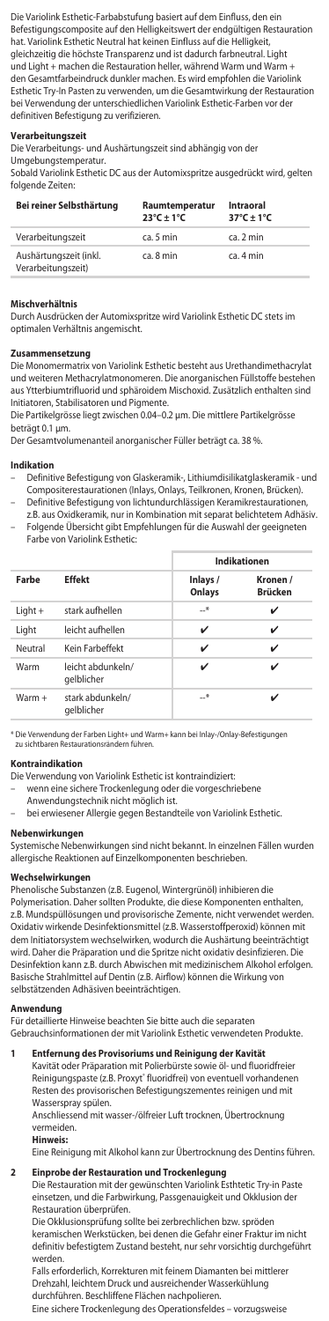Die Variolink Esthetic-Farbabstufung basiert auf dem Einfluss, den ein Befestigungscomposite auf den Helligkeitswert der endgültigen Restauration hat. Variolink Esthetic Neutral hat keinen Einfluss auf die Helligkeit, gleichzeitig die höchste Transparenz und ist dadurch farbneutral. Light und Light + machen die Restauration heller, während Warm und Warm + den Gesamtfarbeindruck dunkler machen. Es wird empfohlen die Variolink Esthetic Try-In Pasten zu verwenden, um die Gesamtwirkung der Restauration bei Verwendung der unterschiedlichen Variolink Esthetic-Farben vor der definitiven Befestigung zu verifizieren.

### **Verarbeitungszeit**

Die Verarbeitungs- und Aushärtungszeit sind abhängig von der

# Umgebungstemperatur.

Sobald Variolink Esthetic DC aus der Automixspritze ausgedrückt wird, gelten folgende Zeiten:

| Bei reiner Selbsthärtung                     | Raumtemperatur<br>$23^{\circ}$ C + 1 $^{\circ}$ C | Intraoral<br>$37^{\circ}$ C ± 1 $^{\circ}$ C |
|----------------------------------------------|---------------------------------------------------|----------------------------------------------|
| Verarbeitungszeit                            | ca. 5 min.                                        | ca. 2 min                                    |
| Aushärtungszeit (inkl.<br>Verarbeitungszeit) | ca. 8 min.                                        | ca. 4 min                                    |

#### **Mischverhältnis**

Durch Ausdrücken der Automixspritze wird Variolink Esthetic DC stets im optimalen Verhältnis angemischt.

#### **Zusammensetzung**

Die Monomermatrix von Variolink Esthetic besteht aus Urethandimethacrylat und weiteren Methacrylatmonomeren. Die anorganischen Füllstoffe bestehen aus Ytterbiumtrifluorid und sphäroidem Mischoxid. Zusätzlich enthalten sind Initiatoren, Stabilisatoren und Pigmente.

Die Partikelgrösse liegt zwischen 0.04–0.2 μm. Die mittlere Partikelgrösse beträgt 0.1 μm.

Der Gesamtvolumenanteil anorganischer Füller beträgt ca. 38 %.

#### **Indikation**

- Definitive Befestigung von Glaskeramik-, Lithiumdisilikatglaskeramik und Compositerestaurationen (Inlays, Onlays, Teilkronen, Kronen, Brücken).
- Definitive Befestigung von lichtundurchlässigen Keramikrestaurationen, z.B. aus Oxidkeramik, nur in Kombination mit separat belichtetem Adhäsiv. – Folgende Übersicht gibt Empfehlungen für die Auswahl der geeigneten
- Farbe von Variolink Esthetic:

|          |                                 |                    | Indikationen               |  |
|----------|---------------------------------|--------------------|----------------------------|--|
| Farbe    | <b>Effekt</b>                   | Inlays /<br>Onlays | Kronen /<br><b>Brücken</b> |  |
| Light +  | stark aufhellen                 | $-$ *              | ✓                          |  |
| Light    | leicht aufhellen                | v                  | v                          |  |
| Neutral  | Kein Farbeffekt                 | ✓                  | ✓                          |  |
| Warm     | leicht abdunkeln/<br>qelblicher | v                  | ✓                          |  |
| $Warm +$ | stark abdunkeln/<br>aelblicher  | *                  |                            |  |

\* Die Verwendung der Farben Light+ und Warm+ kann bei Inlay-/Onlay-Befestigungen zu sichtbaren Restaurationsrändern führen.

#### **Kontraindikation**

Die Verwendung von Variolink Esthetic ist kontraindiziert:

- wenn eine sichere Trockenlegung oder die vorgeschriebene
- Anwendungstechnik nicht möglich ist.
- bei erwiesener Allergie gegen Bestandteile von Variolink Esthetic.

# **Nebenwirkungen**

Systemische Nebenwirkungen sind nicht bekannt. In einzelnen Fällen wurden allergische Reaktionen auf Einzelkomponenten beschrieben.

# **Wechselwirkungen**

Phenolische Substanzen (z.B. Eugenol, Wintergrünöl) inhibieren die Polymerisation. Daher sollten Produkte, die diese Komponenten enthalte z.B. Mundspüllösungen und provisorische Zemente, nicht verwendet werden. Oxidativ wirkende Desinfektionsmittel (z.B. Wasserstoffperoxid) können mit dem Initiatorsystem wechselwirken, wodurch die Aushärtung beeinträchtigt wird. Daher die Präparation und die Spritze nicht oxidativ desinfizieren. Die Desinfektion kann z.B. durch Abwischen mit medizinischem Alkohol erfolgen. Basische Strahlmittel auf Dentin (z.B. Airflow) können die Wirkung von selbstätzenden Adhäsiven beeinträchtigen.

# **Anwendung**

Für detaillierte Hinweise beachten Sie bitte auch die separaten

Gebrauchsinformationen der mit Variolink Esthetic verwendeten Produkte.

# **1 Entfernung des Provisoriums und Reinigung der Kavität**

Kavität oder Präparation mit Polierbürste sowie öl- und fluoridfreier Reinigungspaste (z.B. Proxyt˚ fluoridfrei) von eventuell vorhandenen Resten des provisorischen Befestigungszementes reinigen und mit Wasserspray spülen.

Anschliessend mit wasser-/ölfreier Luft trocknen, Übertrocknung vermeiden.<br>Hinweis:

#### **Hinweis:**

Eine Reinigung mit Alkohol kann zur Übertrocknung des Dentins führen.

### **2 Einprobe der Restauration und Trockenlegung**

Die Restauration mit der gewünschten Variolink Esthtetic Try-in Paste einsetzen, und die Farbwirkung, Passgenauigkeit und Okklusion der Restauration überprüfen.

Die Okklusionsprüfung sollte bei zerbrechlichen bzw. spröden keramischen Werkstücken, bei denen die Gefahr einer Fraktur im nicht definitiv befestigtem Zustand besteht, nur sehr vorsichtig durchgeführt erder

Falls erforderlich, Korrekturen mit feinem Diamanten bei mittlerer Drehzahl, leichtem Druck und ausreichender Wasserkühlung durchführen. Beschliffene Flächen nachpolieren. Eine sichere Trockenlegung des Operationsfeldes – vorzugsweise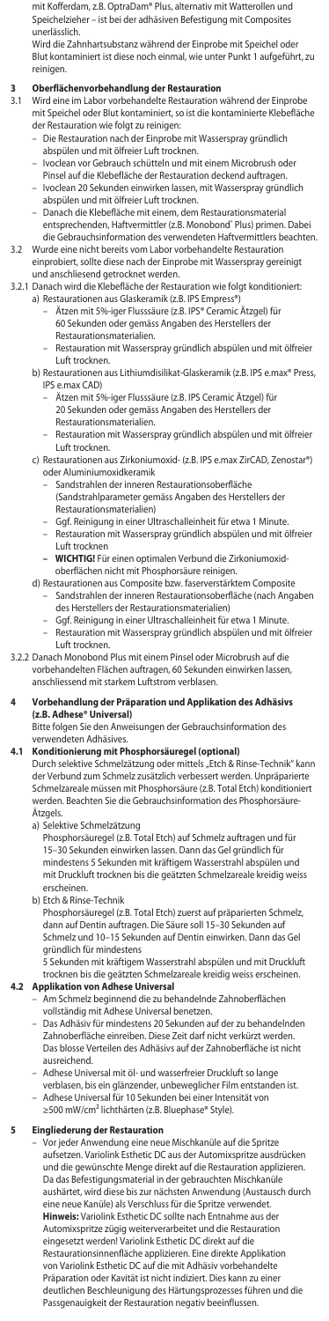mit Kofferdam, z.B. OptraDam® Plus, alternativ mit Watterollen und Speichelzieher – ist bei der adhäsiven Befestigung mit Composites unerlässlich.

Wird die Zahnhartsubstanz während der Einprobe mit Speichel oder Blut kontaminiert ist diese noch einmal, wie unter Punkt 1 aufgeführt, zu reinigen.

- **3 Oberflächenvorbehandlung der Restauration** 3.1 Wird eine im Labor vorbehandelte Restauration während der Einprobe mit Speichel oder Blut kontaminiert, so ist die kontaminierte Klebefläche
	- der Restauration wie folgt zu reinigen: Die Restauration nach der Einprobe mit Wasserspray gründlich abspülen und mit ölfreier Luft trocknen.
	- Ivoclean vor Gebrauch schütteln und mit einem Microbrush oder
	- Pinsel auf die Klebefläche der Restauration deckend auftragen. – Ivoclean 20 Sekunden einwirken lassen, mit Wasserspray gründlich
	- abspülen und mit ölfreier Luft trocknen. Danach die Klebefläche mit einem, dem Restaurationsmaterial entsprechenden, Haftvermittler (z.B. Monobond® Plus) primen. Dabei die Gebrauchsinformation des verwendeten Haftvermittlers beachten.
- 3.2 Wurde eine nicht bereits vom Labor vorbehandelte Restauration einprobiert, sollte diese nach der Einprobe mit Wasserspray gereinigt
- und anschliesend getrocknet werden. 3.2.1 Danach wird die Klebefläche der Restauration wie folgt konditioniert: a) Restaurationen aus Glaskeramik (z.B. IPS Empress®)
- Ätzen mit 5%-iger Flusssäure (z.B. IPS® Ceramic Ätzgel) für 60 Sekunden oder gemäss Angaben des Herstellers der
	- Restaurationsmaterialien. – Restauration mit Wasserspray gründlich abspülen und mit ölfreier
	- Luft trocknen. b) Restaurationen aus Lithiumdisilikat-Glaskeramik (z.B. IPS e.max® Press, IPS e.max CAD)
		- Ätzen mit 5%-iger Flusssäure (z.B. IPS Ceramic Ätzgel) für
		- 20 Sekunden oder gemäss Angaben des Herstellers der Restaurationsmaterialien.
		- Restauration mit Wasserspray gründlich abspülen und mit ölfreier Luft trocknen.
	- c) Restaurationen aus Zirkoniumoxid- (z.B. IPS e.max ZirCAD, Zenostar®) oder Aluminiumoxidkeramik
		- Sandstrahlen der inneren Restaurationsoberfläche (Sandstrahlparameter gemäss Angaben des Herstellers der
- Restaurationsmaterialien) Ggf. Reinigung in einer Ultraschalleinheit für etwa 1 Minute. – Restauration mit Wasserspray gründlich abspülen und mit ölfreier Luft trocknen
	- **WICHTIG!** Für einen optimalen Verbund die Zirkoniumoxid-

oberflächen nicht mit Phosphorsäure reinigen. d) Restaurationen aus Composite bzw. faserverstärktem Composite

- Sandstrahlen der inneren Restaurationsoberfläche (nach Angaben des Herstellers der Restaurationsmaterialien)
	- Ggf. Reinigung in einer Ultraschalleinheit für etwa 1 Minute. – Restauration mit Wasserspray gründlich abspülen und mit ölfreier
- Luft trocknen. 3.2.2 Danach Monobond Plus mit einem Pinsel oder Microbrush auf die

vorbehandelten Flächen auftragen, 60 Sekunden einwirken lassen, anschliessend mit starkem Luftstrom verblasen.

# **4 Vorbehandlung der Präparation und Applikation des Adhäsivs (z.B. Adhese® Universal)**

Bitte folgen Sie den Anweisungen der Gebrauchsinformation des

# verwendeten Adhäsives. **4.1 Konditionierung mit Phosphorsäuregel (optional)**

Durch selektive Schmelzätzung oder mittels "Etch & Rinse-Technik" kann der Verbund zum Schmelz zusätzlich verbessert werden. Unpräparierte Schmelzareale müssen mit Phosphorsäure (z.B. Total Etch) konditioniert erden. Beachten Sie die Gebrauchsinformation des Phosphorsäure-

Ätzgels. a) Selektive Schmelzätzung

 Phosphorsäuregel (z.B. Total Etch) auf Schmelz auftragen und für 15–30 Sekunden einwirken lassen. Dann das Gel gründlich für mindestens 5 Sekunden mit kräftigem Wasserstrahl abspülen und mit Druckluft trocknen bis die geätzten Schmelzareale kreidig weiss erscheinen.

b) Etch & Rinse-Technik

 Phosphorsäuregel (z.B. Total Etch) zuerst auf präparierten Schmelz, dann auf Dentin auftragen. Die Säure soll 15–30 Sekunden auf Schmelz und 10–15 Sekunden auf Dentin einwirken. Dann das Gel gründlich für mindestens

5 Sekunden mit kräftigem Wasserstrahl abspülen und mit Druckluft trocknen bis die geätzten Schmelzareale kreidig weiss erscheinen. **4.2 Applikation von Adhese Universal**

– Am Schmelz beginnend die zu behandelnde Zahnoberflächen vollständig mit Adhese Universal benetzen.

- Das Adhäsiv für mindestens 20 Sekunden auf der zu behandelnden Zahnoberfläche einreiben. Diese Zeit darf nicht verkürzt werden. Das blosse Verteilen des Adhäsivs auf der Zahnoberfläche ist nicht ausreichend.
- Adhese Universal mit öl- und wasserfreier Druckluft so lange verblasen, bis ein glänzender, unbeweglicher Film entstanden ist.
- Adhese Universal für 10 Sekunden bei einer Intensität von ≥500 mW/cm² lichthärten (z.B. Bluephase® Style).

**5 Eingliederung der Restauration** – Vor jeder Anwendung eine neue Mischkanüle auf die Spritze aufsetzen. Variolink Esthetic DC aus der Automixspritze ausdrücken und die gewünschte Menge direkt auf die Restauration applizieren. Da das Befestigungsmaterial in der gebrauchten Mischkanüle aushärtet, wird diese bis zur nächsten Anwendung (Austausch durch eine neue Kanüle) als Verschluss für die Spritze verwendet. **Hinweis:** Variolink Esthetic DC sollte nach Entnahme aus der Automixspritze zügig weiterverarbeitet und die Restauration eingesetzt werden! Variolink Esthetic DC direkt auf die Restaurationsinnenfläche applizieren. Eine direkte Applikation von Variolink Esthetic DC auf die mit Adhäsiv vorbehandelte Präparation oder Kavität ist nicht indiziert. Dies kann zu einer deutlichen Beschleunigung des Härtungsprozesses führen und die Passgenauigkeit der Restauration negativ beeinflussen.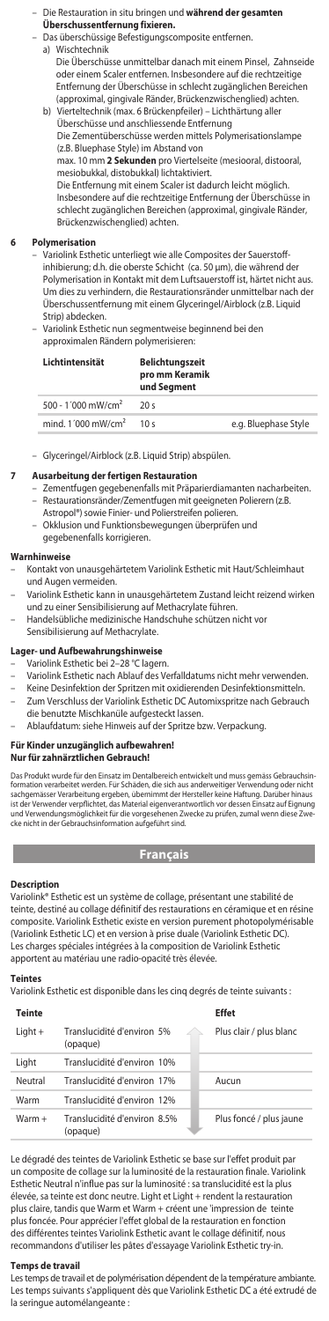### – Die Restauration in situ bringen und **während der gesamten Überschussentfernung fixieren.**

- Das überschüssige Befestigungscomposite entfernen.
	- a) Wischtechnik Die Überschüsse unmittelbar danach mit einem Pinsel, Zahnseide oder einem Scaler entfernen. Insbesondere auf die rechtzeitige Entfernung der Überschüsse in schlecht zugänglichen Bereichen (approximal, gingivale Ränder, Brückenzwischenglied) achten.
	- b) Vierteltechnik (max. 6 Brückenpfeiler) Lichthärtung aller Überschüsse und anschliessende Entfernung Die Zementüberschüsse werden mittels Polymerisationslampe (z.B. Bluephase Style) im Abstand von max. 10 mm **2 Sekunden** pro Viertelseite (mesiooral, distooral, mesiobukkal, distobukkal) lichtaktiviert. Die Entfernung mit einem Scaler ist dadurch leicht möglich.

Insbesondere auf die rechtzeitige Entfernung der Überschüsse in schlecht zugänglichen Bereichen (approximal, gingivale Ränder, Brückenzwischenglied) achten.

#### **6 Polymerisation**

- Variolink Esthetic unterliegt wie alle Composites der Sauerstoffinhibierung; d.h. die oberste Schicht (ca. 50 μm), die während der Polymerisation in Kontakt mit dem Luftsauerstoff ist, härtet nicht aus. Um dies zu verhindern, die Restaurationsränder unmittelbar nach der Überschussentfernung mit einem Glyceringel/Airblock (z.B. Liquid Strip) abdecken.
- Variolink Esthetic nun segmentweise beginnend bei den approximalen Rändern polymerisieren:

| Lichtintensität                  | <b>Belichtunaszeit</b><br>pro mm Keramik<br>und Segment |                      |
|----------------------------------|---------------------------------------------------------|----------------------|
| 500 - 1'000 mW/cm <sup>2</sup>   | 20s                                                     |                      |
| mind. $1'000$ mW/cm <sup>2</sup> | 10 <sub>s</sub>                                         | e.g. Bluephase Style |

– Glyceringel/Airblock (z.B. Liquid Strip) abspülen.

#### **7 Ausarbeitung der fertigen Restauration**

- Zementfugen gegebenenfalls mit Präparierdiamanten nacharbeiten. Restaurationsränder/Zementfugen mit geeigneten Polierern (z.B. Astropol®) sowie Finier- und Polierstreifen polieren.
- Okklusion und Funktionsbewegungen überprüfen und
- gegebenenfalls korrigieren.

#### **Warnhinweise**

- Kontakt von unausgehärtetem Variolink Esthetic mit Haut/Schleimhaut und Augen vermeiden.
	- Variolink Esthetic kann in unausgehärtetem Zustand leicht reizend wirken und zu einer Sensibilisierung auf Methacrylate führen.
- Handelsübliche medizinische Handschuhe schützen nicht vor Sensibilisierung auf Methacrylate.

# Lager- und Aufbewahrungshin

- Variolink Esthetic bei 2-28 °C lagern.
- Variolink Esthetic nach Ablauf des Verfalldatums nicht mehr verwenden.
- Keine Desinfektion der Spritzen mit oxidierenden Desinfektionsmitteln. – Zum Verschluss der Variolink Esthetic DC Automixspritze nach Gebrauch
	- die benutzte Mischkanüle aufgesteckt lassen.
- Ablaufdatum: siehe Hinweis auf der Spritze bzw. Verpackung.

# **Für Kinder unzugänglich aufbewahren! Nur für zahnärztlichen Gebrauch!**

Das Produkt wurde für den Einsatz im Dentalbereich entwickelt und muss gemäss Gebrauch formation verarbeitet werden. Für Schäden, die sich aus anderweitiger Verwendung oder nicht<br>sachgemässer Verarbeitung ergeben, übernimmt der Hersteller keine Haftung. Darüber hinaus<br>ist der Verwender verpflichtet, das Mate

# **Français**

**Description** Variolink® Esthetic est un système de collage, présentant une stabilité de teinte, destiné au collage définitif des restaurations en céramique et en résine composite. Variolink Esthetic existe en version purement photopolymérisable (Variolink Esthetic LC) et en version à prise duale (Variolink Esthetic DC). Les charges spéciales intégrées à la composition de Variolink Esthetic apportent au matériau une radio-opacité très élevée.

#### **Teintes**

Variolink Esthetic est disponible dans les cinq degrés de teinte suivants :

| Teinte  |                                          | <b>Effet</b>            |
|---------|------------------------------------------|-------------------------|
| Light + | Translucidité d'environ 5%<br>(opaque)   | Plus clair / plus blanc |
| Liaht   | Translucidité d'environ 10%              |                         |
| Neutral | Translucidité d'environ 17%              | Aucun                   |
| Warm    | Translucidité d'environ 12%              |                         |
| Warm +  | Translucidité d'environ 8.5%<br>(opaque) | Plus foncé / plus jaune |

Le dégradé des teintes de Variolink Esthetic se base sur l'effet produit par un composite de collage sur la luminosité de la restauration finale. Variolink Esthetic Neutral n'influe pas sur la luminosité : sa translucidité est la plus élevée, sa teinte est donc neutre. Light et Light + rendent la restauration plus claire, tandis que Warm et Warm + créent une 'impression de teinte plus foncée. Pour apprécier l'effet global de la restauration en fonction des différentes teintes Variolink Esthetic avant le collage définitif, nous recommandons d'utiliser les pâtes d'essayage Variolink Esthetic try-in.

#### **Temps de travail**

Les temps de travail et de polymérisation dépendent de la température ambiante. Les temps suivants s'appliquent dès que Variolink Esthetic DC a été extrudé de la seringue automélangeante :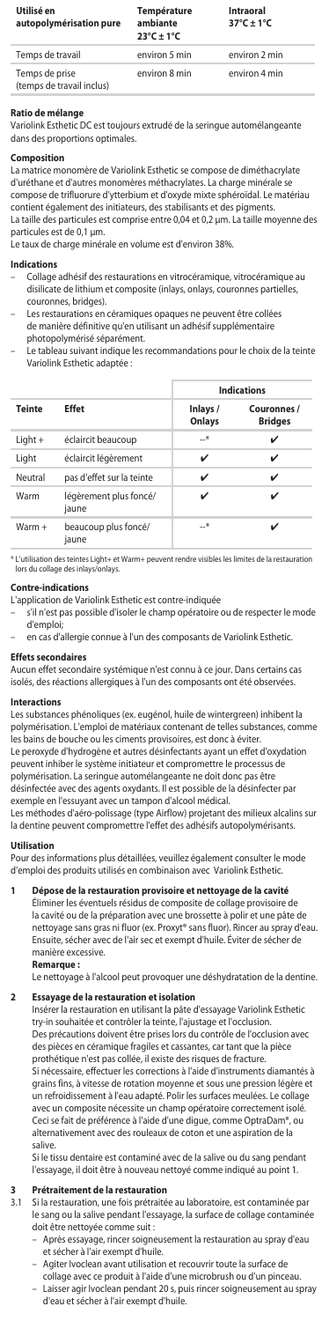| Utilisé en<br>autopolymérisation pure       | Température<br>ambiante<br>$23^{\circ}$ C + 1 $^{\circ}$ C | Intraoral<br>$37^{\circ}$ C + 1°C |
|---------------------------------------------|------------------------------------------------------------|-----------------------------------|
| Temps de travail                            | environ 5 min                                              | environ 2 min                     |
| Temps de prise<br>(temps de travail inclus) | environ 8 min                                              | environ 4 min                     |

# **Ratio de mélang**

Variolink Esthetic DC est toujours extrudé de la seringue automélangeante dans des proportions optimales.

# **Composition**

La matrice monomère de Variolink Esthetic se compose de diméthacrylate d'uréthane et d'autres monomères méthacrylates. La charge minérale se compose de trifluorure d'ytterbium et d'oxyde mixte sphéroïdal. Le matériau contient également des initiateurs, des stabilisants et des pigments. La taille des particules est comprise entre 0,04 et 0,2 μm. La taille moyenne des particules est de 0,1 µm.

Le taux de charge minérale en volume est d'environ 38%.

#### **Indications**

- Collage adhésif des restaurations en vitrocéramique, vitrocéramique au disilicate de lithium et composite (inlays, onlays, couronnes partielles, couronnes, bridges).
- Les restaurations en céramiques opaques ne peuvent être collées de manière définitive qu'en utilisant un adhésif supplémentaire photopolymérisé séparément.<br>Le tableau suivant indique les
- .<br>u suivant indique les recommandations pour le choix de la teinte Variolink Esthetic adaptée :

|               |                                 | <b>Indications</b> |                               |  |
|---------------|---------------------------------|--------------------|-------------------------------|--|
| <b>Teinte</b> | <b>Effet</b>                    | Inlays /<br>Onlays | Couronnes /<br><b>Bridges</b> |  |
| Light +       | éclaircit beaucoup              | $\rightarrow$      | ✓                             |  |
| Light         | éclaircit légèrement            | ✓                  | ✓                             |  |
| Neutral       | pas d'effet sur la teinte       | ✓                  | ✓                             |  |
| Warm          | légèrement plus foncé/<br>iaune | ✓                  |                               |  |
| $Warm +$      | beaucoup plus foncé/<br>iaune   | $-$ *              |                               |  |

\* L'utilisation des teintes Light+ et Warm+ peuvent rendre visibles les limites de la restauration lors du collage des inlays/onlays.

**Contre-indications** L'application de Variolink Esthetic est contre-indiquée

- s'il n'est pas possible d'isoler le champ opératoire ou de respecter le mode d'emploi;
- en cas d'allergie connue à l'un des composants de Variolink Esthetic.

#### **Effets secondaires**

Aucun effet secondaire systémique n'est connu à ce jour. Dans certains cas isolés, des réactions allergiques à l'un des composants ont été observées.

#### **Interactions**

Les substances phénoliques (ex. eugénol, huile de wintergreen) inhibent la polymérisation. L'emploi de matériaux contenant de telles substances, comme les bains de bouche ou les ciments provisoires, est donc à éviter. Le peroxyde d'hydrogène et autres désinfectants ayant un effet d'oxydation peuvent inhiber le système initiateur et compromettre le processus de polymérisation. La seringue automélangeante ne doit donc pas être désinfectée avec des agents oxydants. Il est possible de la désinfecter par exemple en l'essuyant avec un tampon d'alcool médical.

Les méthodes d'aéro-polissage (type Airflow) projetant des milieux alcalins sur la dentine peuvent compromettre l'effet des adhésifs autopolymérisants.

#### **Utilisation**

Pour des informations plus détaillées, veuillez également consulter le mode d'emploi des produits utilisés en combinaison avec Variolink Esthetic.

**1 Dépose de la restauration provisoire et nettoyage de la cavité** Éliminer les éventuels résidus de composite de collage provisoire de la cavité ou de la préparation avec une brossette à polir et une pâte de nettoyage sans gras ni fluor (ex. Proxyt® sans fluor). Rincer au spray d'eau nettoyage sans gras ni fluor (ex. Proxyt® sans fluor). Rincer au spray d'eau. Ensuite, sécher avec de l'air sec et exempt d'huile. Éviter de sécher de manière excessive.

#### **Remarque :**

Le nettoyage à l'alcool peut provoquer une déshydratation de la dentine.

### **2 Essayage de la restauration et isolation**

Insérer la restauration en utilisant la pâte d'essayage Variolink Esthetic try-in souhaitée et contrôler la teinte, l'ajustage et l'occlusion.<br>Des précautions doivent être prises lors du contrôle de l'occlu .<br>es précautions doivent être prises lors du contrôle de l'occlusion avec des pièces en céramique fragiles et cassantes, car tant que la pièce prothétique n'est pas collée, il existe des risques de fracture. Si nécessaire, effectuer les corrections à l'aide d'instruments diamantés à grains fins, à vitesse de rotation moyenne et sous une pression légère et un refroidissement à l'eau adapté. Polir les surfaces meulées. Le collage avec un composite nécessite un champ opératoire correctement isolé. Ceci se fait de préférence à l'aide d'une digue, comme OptraDam®, ou alternativement avec des rouleaux de coton et une aspiration de la salive.

Si le tissu dentaire est contaminé avec de la salive ou du sang pendant l'essayage, il doit être à nouveau nettoyé comme indiqué au point 1.

# **3 Prétraitement de la restauration**

Si la restauration, une fois prétraitée au laboratoire, est contaminée par le sang ou la salive pendant l'essayage, la surface de collage contaminée doit être nettoyée comme suit :

- Après essayage, rincer soigneusement la restauration au spray d'eau et sécher à l'air exempt d'huile.
- Agiter Ivoclean avant utilisation et recouvrir toute la surface de
- collage avec ce produit à l'aide d'une microbrush ou d'un pinceau. – Laisser agir Ivoclean pendant 20 s, puis rincer soigneusement au spray d'eau et sécher à l'air exempt d'huile.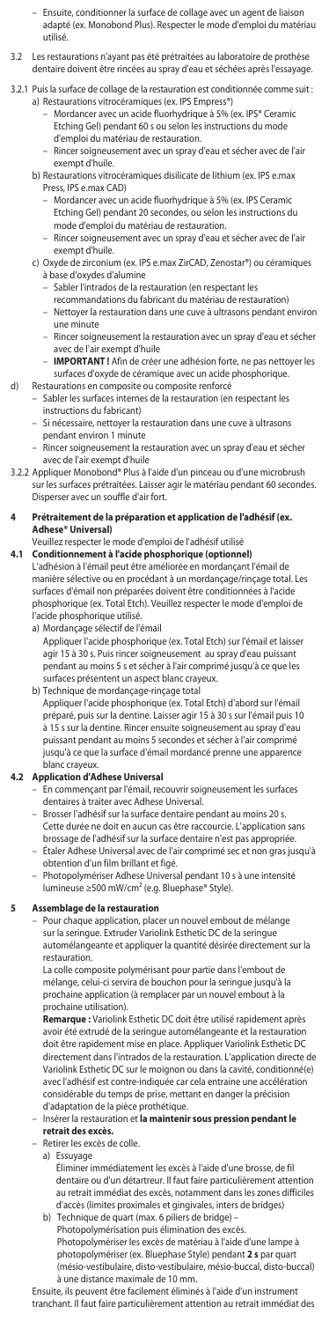- Ensuite, conditionner la surface de collage avec un agent de liaison adapté (ex. Monobond Plus). Respecter le mode d'emploi du matériau utilisé.
- 3.2 Les restaurations n'ayant pas été prétraitées au laboratoire de prothèse dentaire doivent être rincées au spray d'eau et séchées après l'essayage.
- 3.2.1 Puis la surface de collage de la restauration est conditionnée comme suit : a) Restaurations vitrocéramiques (ex. IPS Empress®)
	- Mordancer avec un acide fluorhydrique à 5% (ex. IPS® Ceramic Etching Gel) pendant 60 s ou selon les instructions du mode d'emploi du matériau de restauration.
- Rincer soigneusement avec un spray d'eau et sécher avec de l'air exempt d'huile.
	- b) Restaurations vitrocéramiques disilicate de lithium (ex. IPS e.max Press, IPS e.max CAD)
		- Mordancer avec un acide fluorhydrique à 5% (ex. IPS Ceramic Etching Gel) pendant 20 secondes, ou selon les instructions du
		- mode d'emploi du matériau de restauration.
		- Rincer soigneusement avec un spray d'eau et sécher avec de l'air exempt d'huile.
	- c) Oxyde de zirconium (ex. IPS e.max ZirCAD, Zenostar®) ou céramiques à base d'oxydes d'alumine
		- Sabler l'intrados de la restauration (en respectant les
		- recommandations du fabricant du matériau de restauration) – Nettoyer la restauration dans une cuve à ultrasons pendant environ une minute
- Rincer soigneusement la restauration avec un spray d'eau et sécher avec de l'air exempt d'huile
	- **IMPORTANT !** Afin de créer une adhésion forte, ne pas nettoyer les surfaces d'oxyde de céramique avec un acide phosphorique.

# d) Restaurations en composite ou composite renforcé

- Sabler les surfaces internes de la restauration (en respectant les instructions du fabricant)
	- Si nécessaire, nettoyer la restauration dans une cuve à ultrasons pendant environ 1 minute
	- Rincer soigneusement la restauration avec un spray d'eau et sécher avec de l'air exempt d'huile

### 3.2.2 Appliquer Monobond® Plus à l'aide d'un pinceau ou d'une microbrush sur les surfaces prétraitées. Laisser agir le matériau pendant 60 secondes. Disperser avec un souffle d'air fort.

#### **4 Prétraitement de la préparation et application de l'adhésif (ex. Adhese® Universal)**

# Veuillez respecter le mode d'emploi de l'adhésif utilisé

- **4.1 Conditionnement à l'acide phosphorique (optionnel)** L'adhésion à l'émail peut être améliorée en mordançant l'émail de manière sélective ou en procédant à un mordançage/rinçage total. Les surfaces d'émail non préparées doivent être conditionnées à l'acide phosphorique (ex. Total Etch). Veuillez respecter le mode d'emploi de l'acide phosphorique utilisé.
	- a) Mordançage sélectif de l'émail

 Appliquer l'acide phosphorique (ex. Total Etch) sur l'émail et laisser agir 15 à 30 s. Puis rincer soigneusement au spray d'eau puissant pendant au moins 5 s et sécher à l'air comprimé jusqu'à ce que les surfaces présentent un aspect blanc crayeux.

b) Technique de mordançage-rinçage total Appliquer l'acide phosphorique (ex. Total Etch) d'abord sur l'émail préparé, puis sur la dentine. Laisser agir 15 à 30 s sur l'émail puis 10 à 15 s sur la dentine. Rincer ensuite soigneusement au spray d'eau puissant pendant au moins 5 secondes et sécher à l'air comprimé jusqu'à ce que la surface d'émail mordancé prenne une apparence

# blanc crayeux. **4.2 Application d'Adhese Universal**

- En commençant par l'émail, recouvrir soigneusement les surfaces dentaires à traiter avec Adhese Universal.
- Brosser l'adhésif sur la surface dentaire pendant au moins 20 s. Cette durée ne doit en aucun cas être raccourcie. L'application sans brossage de l'adhésif sur la surface dentaire n'est pas appropriée. – Étaler Adhese Universal avec de l'air comprimé sec et non gras jusqu'à
- obtention d'un film brillant et figé. – Photopolymériser Adhese Universal pendant 10 s à une intensité lumineuse ≥500 mW/cm² (e.g. Bluephase® Style).

# **5 Assemblage de la restauration**

– Pour chaque application, placer un nouvel embout de mélange sur la seringue. Extruder Variolink Esthetic DC de la seringue<br>automélangeante et appliquer la quantité désirée directement sur la automélangeante et appliquer la quantité désirée direct restauration.

 La colle composite polymérisant pour partie dans l'embout de mélange, celui-ci servira de bouchon pour la seringue jusqu'à la prochaine application (à remplacer par un nouvel embout à la prochaine utilisation).

 **Remarque :** Variolink Esthetic DC doit être utilisé rapidement après avoir été extrudé de la seringue automélangeante et la restauration doit être rapidement mise en place. Appliquer Variolink Esthetic DC directement dans l'intrados de la restauration. L'application directe de Variolink Esthetic DC sur le moignon ou dans la cavité, conditionné(e) avec l'adhésif est contre-indiquée car cela entraine une accélération considérable du temps de prise, mettant en danger la précision d'adaptation de la pièce prothétique.

– Insérer la restauration et **la maintenir sous pression pendant le retrait des excès.**

- Retirer les excès de colle.
	- a) Essuyage

Éliminer immédiatement les excès à l'aide d'une brosse, de fil dentaire ou d'un détartreur. Il faut faire particulièrement attention au retrait immédiat des excès, notamment dans les zones difficiles d'accès (limites proximales et gingivales, inters de bridges) b) Technique de quart (max. 6 piliers de bridge) –

Photopolymérisation puis élimination des excès.

Photopolymériser les excès de matériau à l'aide d'une lampe à photopolymériser (ex. Bluephase Style) pendant **2 s** par quart (mésio-vestibulaire, disto-vestibulaire, mésio-buccal, disto-buccal) à une distance maximale de 10 mm.

Ensuite, ils peuvent être facilement éliminés à l'aide d'un instrument tranchant. Il faut faire particulièrement attention au retrait immédiat des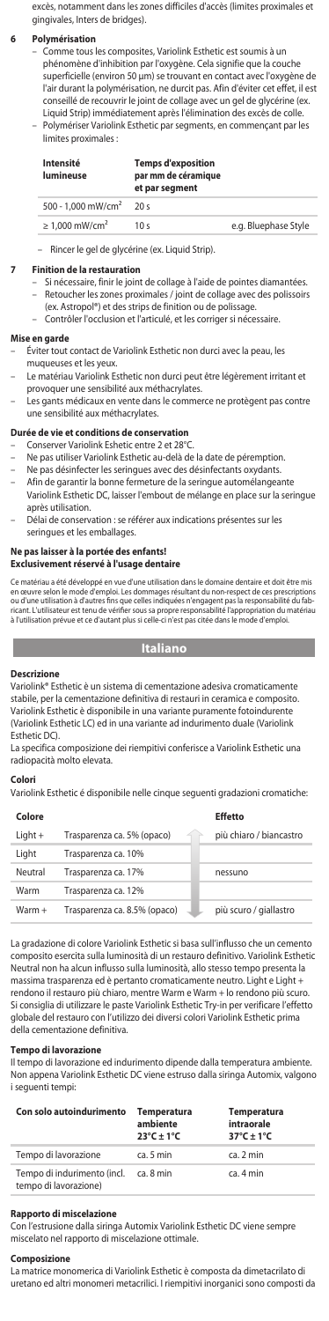excès, notamment dans les zones difficiles d'accès (limites proximales et gingivales, Inters de bridges).

#### **6 Polymérisation**

- Comme tous les composites, Variolink Esthetic est soumis à un phénomène d'inhibition par l'oxygène. Cela signifie que la couche superficielle (environ 50 μm) se trouvant en contact avec l'oxygène de l'air durant la polymérisation, ne durcit pas. Afin d'éviter cet effet, il est conseillé de recouvrir le joint de collage avec un gel de glycérine (ex. Liquid Strip) immédiatement après l'élimination des excès de colle. – Polymériser Variolink Esthetic par segments, en commençant par les
- limites proximales : **Intensité Temps d'exposition**

| lumineuse                       | par mm de céramique<br>et par segment |                      |
|---------------------------------|---------------------------------------|----------------------|
| 500 - 1.000 mW/cm <sup>2</sup>  | 20s                                   |                      |
| $\geq 1.000$ mW/cm <sup>2</sup> | 10 <sub>s</sub>                       | e.g. Bluephase Style |

– Rincer le gel de glycérine (ex. Liquid Strip).

# **7 Finition de la restauration**

- Si nécessaire, finir le joint de collage à l'aide de pointes diamantées.
- Retoucher les zones proximales / joint de collage avec des polissoirs (ex. Astropol®) et des strips de finition ou de polissage.
- Contrôler l'occlusion et l'articulé, et les corriger si nécessaire.

### **Mise en garde**

- Éviter tout contact de Variolink Esthetic non durci avec la peau muqueuses et les yeux.
- Le matériau Variolink Esthetic non durci peut être légèrement irritant et provoquer une sensibilité aux méthacrylates.
- Les gants médicaux en vente dans le commerce ne protègent pas contre une sensibilité aux méthacrylates.

# **Durée de vie et conditions de conservation**

- Conserver Variolink Eshetic entre 2 et 28°C.
- Ne pas utiliser Variolink Esthetic au-delà de la date de péremption.
- Ne pas désinfecter les seringues avec des désinfectants oxydants.
- Afin de garantir la bonne fermeture de la seringue automélangeante Variolink Esthetic DC, laisser l'embout de mélange en place sur la seringue après utilisation.
- Délai de conservation : se référer aux indications présentes sur les seringues et les emballages.

#### **Ne pas laisser à la portée des enfants! Exclusivement réservé à l'usage dentaire**

Ce matériau a été développé en vue d'une utilisation dans le domaine dentaire et doit être mis<br>en œuvre selon le mode d'emploi. Les dommages résultant du non-respect de ces prescriptions<br>ou d'une utilisation à d'autres fin

# **Italiano**

#### **Descrizion**

Variolink® Esthetic è un sistema di cementazione adesiva cromaticamente stabile, per la cementazione definitiva di restauri in ceramica e composito. Variolink Esthetic è disponibile in una variante puramente fotoindurente (Variolink Esthetic LC) ed in una variante ad indurimento duale (Variolink Esthetic DC).

La specifica composizione dei riempitivi conferisce a Variolink Esthetic una radiopacità molto elevata.

#### **Colori**

Variolink Esthetic é disponibile nelle cinque seguenti gradazioni cromatiche:

| Colore    |                              | <b>Effetto</b>          |
|-----------|------------------------------|-------------------------|
| $Light +$ | Trasparenza ca. 5% (opaco)   | più chiaro / biancastro |
| Light     | Trasparenza ca. 10%          |                         |
| Neutral   | Trasparenza ca. 17%          | nessuno                 |
| Warm      | Trasparenza ca. 12%          |                         |
| $Warm +$  | Trasparenza ca. 8.5% (opaco) | più scuro / giallastro  |

La gradazione di colore Variolink Esthetic si basa sull'influsso che un cemento composito esercita sulla luminosità di un restauro definitivo. Variolink Esthetic Neutral non ha alcun influsso sulla luminosità, allo stesso tempo presenta la massima trasparenza ed è pertanto cromaticamente neutro. Light e Light + rendono il restauro più chiaro, mentre Warm e Warm + lo rendono più scuro. Si consiglia di utilizzare le paste Variolink Esthetic Try-in per verificare l'effetto globale del restauro con l'utilizzo dei diversi colori Variolink Esthetic prima della cementazione definitiva.

**Tempo di lavorazione** Il tempo di lavorazione ed indurimento dipende dalla temperatura ambiente. Non appena Variolink Esthetic DC viene estruso dalla siringa Automix, valgono i seguenti tempi:

| Con solo autoindurimento                             | <b>Temperatura</b><br>ambiente<br>$23^{\circ}$ C ± 1°C | <b>Temperatura</b><br>intraorale<br>$37^{\circ}$ C + 1°C |
|------------------------------------------------------|--------------------------------------------------------|----------------------------------------------------------|
| Tempo di lavorazione                                 | ca. 5 min                                              | ca. 2 min                                                |
| Tempo di indurimento (incl.<br>tempo di lavorazione) | ca. 8 min                                              | ca. 4 min                                                |

#### **Rapporto di miscelazione**

Con l'estrusione dalla siringa Automix Variolink Esthetic DC viene sempre miscelato nel rapporto di miscelazione ottimale.

#### **Composizion**

La matrice monomerica di Variolink Esthetic è composta da dimetacrilato di uretano ed altri monomeri metacrilici. I riempitivi inorganici sono composti da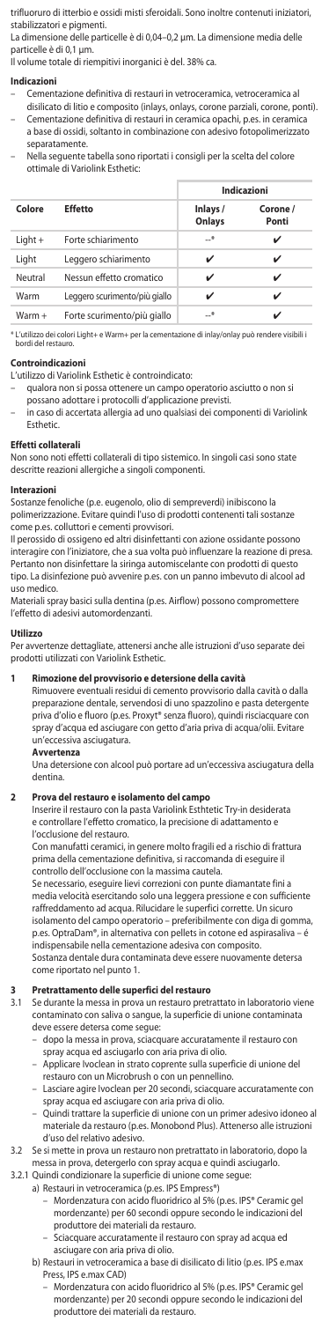trifluoruro di itterbio e ossidi misti sferoidali. Sono inoltre contenuti iniziatori, stabilizzatori e pigmenti.

La dimensione delle particelle è di 0,04–0,2 μm. La dimensione media delle particelle è di 0,1 μm.

Il volume totale di riempitivi inorganici è del. 38% ca.

#### **Indicazioni**

- Cementazione definitiva di restauri in vetroceramica, vetroceramica al disilicato di litio e composito (inlays, onlays, corone parziali, corone, ponti).
- Cementazione definitiva di restauri in ceramica opachi, p.es. in ceramica a base di ossidi, soltanto in combinazione con adesivo fotopolimerizzato
- separatamente. – Nella seguente tabella sono riportati i consigli per la scelta del colore ottimale di Variolink Esthetic:

|         |                               | Indicazioni        |                   |
|---------|-------------------------------|--------------------|-------------------|
| Colore  | <b>Effetto</b>                | Inlays /<br>Onlays | Corone /<br>Ponti |
| Light + | Forte schiarimento            | $-$ *              | ✓                 |
| Light   | Leggero schiarimento          | ✓                  | ✓                 |
| Neutral | Nessun effetto cromatico      | ✓                  | ✓                 |
| Warm    | Leggero scurimento/più giallo |                    | ✓                 |
| Warm +  | Forte scurimento/più giallo   | $-$ *              |                   |

\* L'utilizzo dei colori Light+ e Warm+ per la cementazione di inlay/onlay può rendere visibili i bordi del restauro.

### **Controindicazioni**

- L'utilizzo di Variolink Esthetic è controindicato:
- qualora non si possa ottenere un campo operatorio asciutto o non si possano adottare i protocolli d'applicazione previsti.
- in caso di accertata allergia ad uno qualsiasi dei componenti di Variolink Esthetic.

# **Effetti collaterali**

Non sono noti effetti collaterali di tipo sistemico. In singoli casi sono state descritte reazioni allergiche a singoli componenti.

#### **Interazioni**

Sostanze fenoliche (p.e. eugenolo, olio di sempreverdi) inibiscono la polimerizzazione. Evitare quindi l'uso di prodotti contenenti tali sostanze come p.es. colluttori e cementi provvisori.

Il perossido di ossigeno ed altri disinfettanti con azione ossidante possono interagire con l'iniziatore, che a sua volta può influenzare la reazione di presa. Pertanto non disinfettare la siringa automiscelante con prodotti di questo tipo. La disinfezione può avvenire p.es. con un panno imbevuto di alcool ad uso medico.

Materiali spray basici sulla dentina (p.es. Airflow) possono compromettere l'effetto di adesivi automordenzanti.

### **Utilizzo**

Per avvertenze dettagliate, attenersi anche alle istruzioni d'uso separate dei prodotti utilizzati con Variolink Esthetic.

#### **1 Rimozione del provvisorio e detersione della cavità**

Rimuovere eventuali residui di cemento provvisorio dalla cavità o dalla preparazione dentale, servendosi di uno spazzolino e pasta detergente priva d'olio e fluoro (p.es. Proxyt® senza fluoro), quindi risciacquare con spray d'acqua ed asciugare con getto d'aria priva di acqua/olii. Evitare un'eccessiva asciugatura.

## **Avvertenza**

Una detersione con alcool può portare ad un'eccessiva asciugatura della dentina.

**2 Prova del restauro e isolamento del campo**  Inserire il restauro con la pasta Variolink Esthtetic Try-in desiderata e controllare l'effetto cromatico, la precisione di adattamento e l'occlusione del restauro.

Con manufatti ceramici, in genere molto fragili ed a rischio di frattura prima della cementazione definitiva, si raccomanda di eseguire il controllo dell'occlusione con la massima cautela.

Se necessario, eseguire lievi correzioni con punte diamantate fini a media velocità esercitando solo una leggera pressione e con sufficiente raffreddamento ad acqua. Rilucidare le superfici corrette. Un sicuro isolamento del campo operatorio – preferibilmente con diga di gomma, p.es. OptraDam®, in alternativa con pellets in cotone ed aspirasaliva – é indispensabile nella cementazione adesiva con composito. Sostanza dentale dura contaminata deve essere nuovamente detersa come riportato nel punto 1.

**3 Pretrattamento delle superfici del restauro**  3.1 Se durante la messa in prova un restauro pretrattato in laboratorio viene contaminato con saliva o sangue, la superficie di unione contaminata

- deve essere detersa come segue: dopo la messa in prova, sciacquare accuratamente il restauro con spray acqua ed asciugarlo con aria priva di olio.
- Applicare Ivoclean in strato coprente sulla superficie di unione del restauro con un Microbrush o con un pennellino.
- Lasciare agire Ivoclean per 20 secondi, sciacquare accuratamente con spray acqua ed asciugare con aria priva di olio.
- Quindi trattare la superficie di unione con un primer adesivo idoneo al materiale da restauro (p.es. Monobond Plus). Attenerso alle istruzioni d'uso del relativo adesivo.
- 3.2 Se si mette in prova un restauro non pretrattato in laboratorio, dopo la messa in prova, detergerlo con spray acqua e quindi asciugarlo.
- 3.2.1 Quindi condizionare la superficie di unione come segue:
	- a) Restauri in vetroceramica (p.es. IPS Empress®)
		- Mordenzatura con acido fluoridrico al 5% (p.es. IPS® Ceramic gel mordenzante) per 60 secondi oppure secondo le indicazioni del produttore dei materiali da restauro.
		- Sciacquare accuratamente il restauro con spray ad acqua ed asciugare con aria priva di olio.
	- b) Restauri in vetroceramica a base di disilicato di litio (p.es. IPS e.max Press, IPS e-max CAD)
		- Mordenzatura con acido fluoridrico al 5% (p.es. IPS® Ceramic q mordenzante) per 20 secondi oppure secondo le indicazioni del produttore dei materiali da restauro.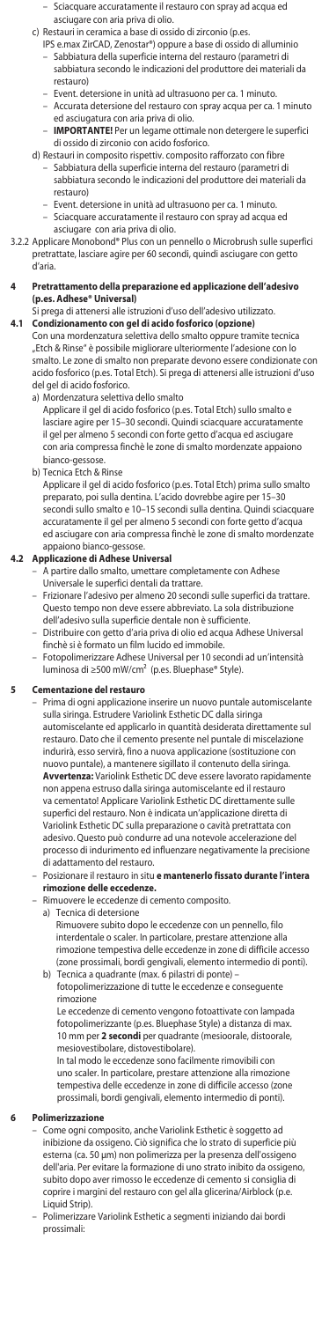- Sciacquare accuratamente il restauro con spray ad acqua ed asciugare con aria priva di olio.
- c) Restauri in ceramica a base di ossido di zirconio (p.es.
	- IPS e.max ZirCAD, Zenostar®) oppure a base di ossido di alluminio
	- Sabbiatura della superficie interna del restauro (parametri di sabbiatura secondo le indicazioni del produttore dei materiali da restauro)
	- Event. detersione in unità ad ultrasuono per ca. 1 minuto.
	- Accurata detersione del restauro con spray acqua per ca. 1 minuto ed asciugatura con aria priva di olio.
	- **IMPORTANTE!** Per un legame ottimale non detergere le superfici di ossido di zirconio con acido fosforico.
- d) Restauri in composito rispettiv. composito rafforzato con fibre
	- Sabbiatura della superficie interna del restauro (parametri di sabbiatura secondo le indicazioni del produttore dei materiali da restauro)
	- Event. detersione in unità ad ultrasuono per ca. 1 minuto. – Sciacquare accuratamente il restauro con spray ad acqua ed asciugare con aria priva di olio.
- 3.2.2 Applicare Monobond® Plus con un pennello o Microbrush sulle superfici pretrattate, lasciare agire per 60 secondi, quindi asciugare con getto d'aria.
- **4 Pretrattamento della preparazione ed applicazione dell'adesivo (p.es. Adhese® Universal)**

# Si prega di attenersi alle istruzioni d'uso dell'adesivo utilizzato. **4.1 Condizionamento con gel di acido fosforico (opzione)**

Con una mordenzatura selettiva dello smalto oppure tramite tecnica "Etch & Rinse" è possibile migliorare ulteriormente l'adesione con lo smalto. Le zone di smalto non preparate devono essere condizionate con acido fosforico (p.es. Total Etch). Si prega di attenersi alle istruzioni d'uso

# del gel di acido fosforico. a) Mordenzatura selettiva dello smalto

Applicare il gel di acido fosforico (p.es. Total Etch) sullo smalto e lasciare agire per 15–30 secondi. Quindi sciacquare accuratamente il gel per almeno 5 secondi con forte getto d'acqua ed asciugare con aria compressa finchè le zone di smalto mordenzate appaiono

bianco-gessose. b) Tecnica Etch & Rinse

Applicare il gel di acido fosforico (p.es. Total Etch) prima sullo smalto preparato, poi sulla dentina. L'acido dovrebbe agire per 15–30 secondi sullo smalto e 10–15 secondi sulla dentina. Quindi sciacquare accuratamente il gel per almeno 5 secondi con forte getto d'acqua ed asciugare con aria compressa finchè le zone di smalto mordenzate appaiono bianco-gessose.

# **4.2 Applicazione di Adhese Universal**

- A partire dallo smalto, umettare completamente con Adhese Universale le superfici dentali da trattare.
- Frizionare l'adesivo per almeno 20 secondi sulle superfici da trattare. Questo tempo non deve essere abbreviato. La sola distribuzione dell'adesivo sulla superficie dentale non è sufficiente.
- Distribuire con getto d'aria priva di olio ed acqua Adhese Universal finchè si è formato un film lucido ed immobile. – Fotopolimerizzare Adhese Universal per 10 secondi ad un'intensità
- luminosa di ≥500 mW/cm² (p.es. Bluephase® Style).

### **5 Cementazione del restauro**

– Prima di ogni applicazione inserire un nuovo puntale automiscelante sulla siringa. Estrudere Variolink Esthetic DC dalla siringa automiscelante ed applicarlo in quantità desiderata direttamente sul restauro. Dato che il cemento presente nel puntale di miscelazione indurirà, esso servirà, fino a nuova applicazione (sostituzione con nuovo puntale), a mantenere sigillato il contenuto della siringa. **Avvertenza:** Variolink Esthetic DC deve essere lavorato rapidamente non appena estruso dalla siringa automiscelante ed il restauro va cementato! Applicare Variolink Esthetic DC direttamente sulle superfici del restauro. Non è indicata un'applicazione diretta di Variolink Esthetic DC sulla preparazione o cavità pretrattata con adesivo. Questo può condurre ad una notevole accelerazione del processo di indurimento ed influenzare negativamente la precisione di adattamento del restauro.

- Posizionare il restauro in situ **e mantenerlo fissato durante l'intera rimozione delle eccedenze.** – Rimuovere le eccedenze di cemento composito.
	-
	- a) Tecnica di detersione
- Rimuovere subito dopo le eccedenze con un pennello, filo interdentale o scaler. In particolare, prestare attenzione alla rimozione tempestiva delle eccedenze in zone di difficile accesso (zone prossimali, bordi gengivali, elemento intermedio di ponti). b) Tecnica a quadrante (max. 6 pilastri di ponte) –
	- fotopolimerizzazione di tutte le eccedenze e conseguente rimozione

Le eccedenze di cemento vengono fotoattivate con lampada fotopolimerizzante (p.es. Bluephase Style) a distanza di max. 10 mm per **2 secondi** per quadrante (mesioorale, distoorale, mesiovestibolare, distovestibolare).

In tal modo le eccedenze sono facilmente rimovibili con uno scaler. In particolare, prestare attenzione alla rimozione tempestiva delle eccedenze in zone di difficile accesso (zone prossimali, bordi gengivali, elemento intermedio di ponti).

# **6 Polimerizzazione**

- Come ogni composito, anche Variolink Esthetic è soggetto ad inibizione da ossigeno. Ciò significa che lo strato di superficie più esterna (ca. 50 μm) non polimerizza per la presenza dell'ossigeno dell'aria. Per evitare la formazione di uno strato inibito da ossigeno, subito dopo aver rimosso le eccedenze di cemento si consiglia coprire i margini del restauro con gel alla glicerina/Airblock (p.e. Liquid Strip).
- Polimerizzare Variolink Esthetic a segmenti iniziando dai bordi prossimali: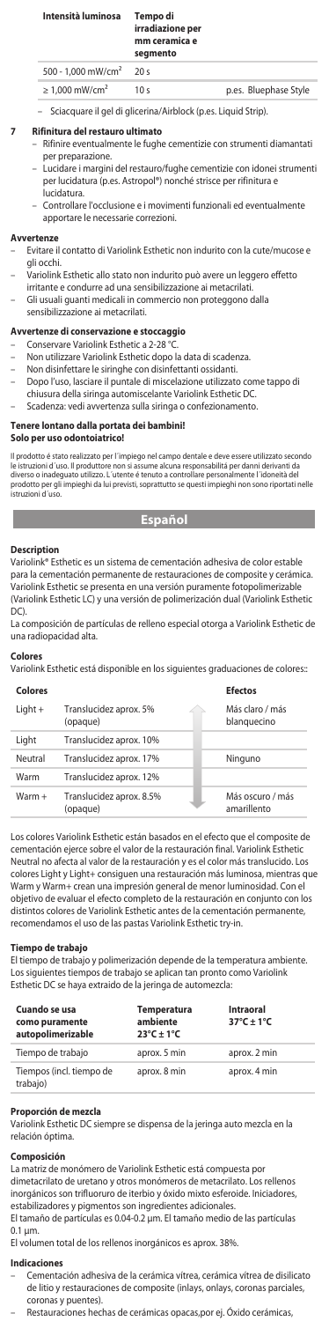| Intensità luminosa                    | Tempo di<br>irradiazione per<br>mm ceramica e<br>segmento |                       |
|---------------------------------------|-----------------------------------------------------------|-----------------------|
| $500 - 1.000$ mW/cm <sup>2</sup> 20 s |                                                           |                       |
| $\geq 1.000$ mW/cm <sup>2</sup>       | 10 <sub>s</sub>                                           | p.es. Bluephase Style |

– Sciacquare il gel di glicerina/Airblock (p.es. Liquid Strip).

### **7 Rifinitura del restauro ultimato**

- Rifinire eventualmente le fughe cementizie con strumenti diamantati per preparazione.
- Lucidare i margini del restauro/fughe cementizie con idonei strumenti per lucidatura (p.es. Astropol®) nonché strisce per rifinitura e lucidatura.
- Controllare l'occlusione e i movimenti funzionali ed eventualmente apportare le necessarie correzioni.

#### **Avvertenze**

- Evitare il contatto di Variolink Esthetic non indurito con la cute/mucose e gli occhi.
	- Variolink Esthetic allo stato non indurito può avere un leggero effetto
- irritante e condurre ad una sensibilizzazione ai metacrilati. – Gli usuali guanti medicali in commercio non proteggono dalla sensibilizzazione ai metacrilati.

# **Avvertenze di conservazione e stoccaggio**

- Conservare Variolink Esthetic a 2-28 °C.
- Non utilizzare Variolink Esthetic dopo la data di scadenza.
	- Non disinfettare le siringhe con disinfettanti ossidanti.
- Dopo l'uso, lasciare il puntale di miscelazione utilizzato come tappo di
- chiusura della siringa automiscelante Variolink Esthetic DC.
	- Scadenza: vedi avvertenza sulla siringa o confezionamento.

# **Tenere lontano dalla portata dei bambini!**

#### **Solo per uso odontoiatrico!**

Ill prodotto é stato realizzato per l'impiego nel campo dentale e deve essere utilizzato secondo<br>le istruzioni d'uso. Il produttore non si assume alcuna responsabilità per danni derivanti da<br>diverso o inadeguato utilizzo.

# **Español**

### **Description**

Variolink® Esthetic es un sistema de cementación adhesiva de color estable para la cementación permanente de restauraciones de composite y cerámica. Variolink Esthetic se presenta en una versión puramente fotopolimerizable (Variolink Esthetic LC) y una versión de polimerización dual (Variolink Esthetic DC).

La composición de partículas de relleno especial otorga a Variolink Esthetic de una radiopacidad alta.

#### **Colores**

Variolink Esthetic está disponible en los siguientes graduaciones de colores::

| Colores  |                                      | <b>Ffectos</b>                  |
|----------|--------------------------------------|---------------------------------|
| Light +  | Translucidez aprox. 5%<br>(opaque)   | Más claro / más<br>blanquecino  |
| Light    | Translucidez aprox. 10%              |                                 |
| Neutral  | Translucidez aprox. 17%              | Ninguno                         |
| Warm     | Translucidez aprox. 12%              |                                 |
| $Warm +$ | Translucidez aprox. 8.5%<br>(opaque) | Más oscuro / más<br>amarillento |

Los colores Variolink Esthetic están basados en el efecto que el composite de cementación ejerce sobre el valor de la restauración final. Variolink Esthetic Neutral no afecta al valor de la restauración y es el color más translucido. Los colores Light y Light+ consiguen una restauración más luminosa, mientras que Warm y Warm+ crean una impresión general de menor luminosidad. Con el objetivo de evaluar el efecto completo de la restauración en conjunto con los distintos colores de Variolink Esthetic antes de la cementación pe recomendamos el uso de las pastas Variolink Esthetic try-in.

#### **Tiempo de trabajo**

El tiempo de trabajo y polimerización depende de la temperatura ambiente. Los siguientes tiempos de trabajo se aplican tan pronto como Variolink Esthetic DC se haya extraido de la jeringa de automezcla:

| Cuando se usa<br>como puramente<br>autopolimerizable | <b>Temperatura</b><br>ambiente<br>$23^{\circ}$ C ± 1°C | <b>Intraoral</b><br>$37^{\circ}$ C + 1°C |
|------------------------------------------------------|--------------------------------------------------------|------------------------------------------|
| Tiempo de trabajo                                    | aprox. 5 min                                           | aprox. 2 min                             |
| Tiempos (incl. tiempo de<br>trabajo)                 | aprox. 8 min                                           | aprox. 4 min                             |

#### **Proporción de mezcla**

Variolink Esthetic DC siempre se dispensa de la jeringa auto mezcla en la relación óptima.

#### **Composición**

La matriz de monómero de Variolink Esthetic está compuesta por dimetacrilato de uretano y otros monómeros de metacrilato. Los rellenos inorgánicos son trifluoruro de iterbio y óxido mixto esferoide. Iniciadores, estabilizadores y pigmentos son ingredientes adicionales.

El tamaño de partículas es 0.04-0.2 μm. El tamaño medio de las partículas 0.1 µm.

El volumen total de los rellenos inorgánicos es aprox. 38%.

#### **Indicaciones**

- Cementación adhesiva de la cerámica vítrea, cerámica vítrea de disilicato de litio y restauraciones de composite (inlays, onlays, coronas parciales, coronas y puentes).
	- Restauraciones hechas de cerámicas opacas,por ej. Óxido cerámicas,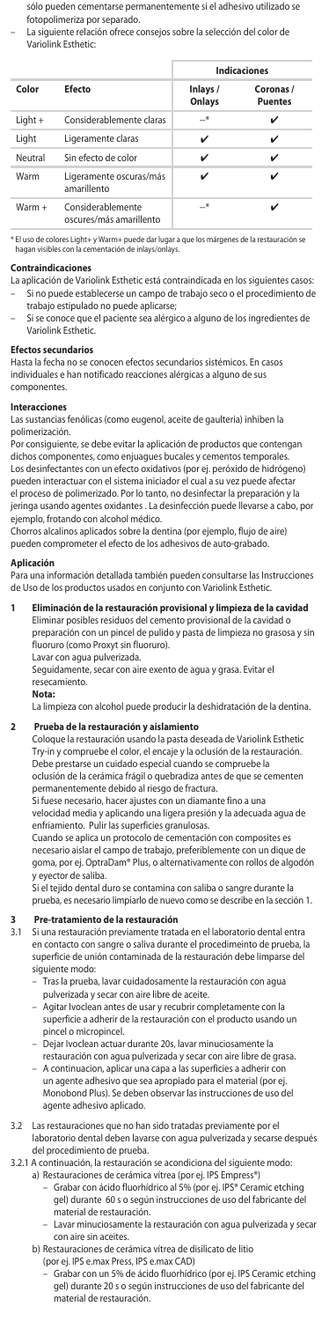sólo pueden cementarse permanentemente si el adhesivo utilizado se fotopolimeriza por separado.

– La siguiente relación ofrece consejos sobre la selección del color de Variolink Esthetic:

|           |                                              |                    | <b>Indicaciones</b>         |
|-----------|----------------------------------------------|--------------------|-----------------------------|
| Color     | Efecto                                       | Inlays /<br>Onlays | Coronas /<br><b>Puentes</b> |
| $Light +$ | Considerablemente claras                     | $-$ *              | ✓                           |
| Light     | Ligeramente claras                           | v                  | ✓                           |
| Neutral   | Sin efecto de color                          | v                  | ✓                           |
| Warm      | Ligeramente oscuras/más<br>amarillento       | ✓                  |                             |
| Warm +    | Considerablemente<br>oscures/más amarillento | —*                 |                             |

Warm+ puede dar lugar a que los márgenes de la restauración s<br>entación de inlays/onlays. hagan visibles con la cementación de contravas.<br>Inagan visibles con la cementaci

#### **Contraindicaciones**

La aplicación de Variolink Esthetic está contraindicada en los siguientes casos: – Si no puede establecerse un campo de trabajo seco o el procedimiento de

trabajo estipulado no puede aplicarse; – Si se conoce que el paciente sea alérgico a alguno de los ingredientes de Variolink Esthetic.

#### **Efectos secundarios**

Hasta la fecha no se conocen efectos secundarios sistémicos. En casos individuales e han notificado reacciones alérgicas a alguno de sus componentes.

### **Interacciones**

Las sustancias fenólicas (como eugenol, aceite de gaulteria) inhiben la polimerización.

Por consiguiente, se debe evitar la aplicación de productos que contengan dichos componentes, como enjuagues bucales y cementos temporales. Los desinfectantes con un efecto oxidativos (por ej. peróxido de hidrógeno) pueden interactuar con el sistema iniciador el cual a su vez puede afectar el proceso de polimerizado. Por lo tanto, no desinfectar la preparación y la jeringa usando agentes oxidantes . La desinfección puede llevarse a cabo, por ejemplo, frotando con alcohol médico.

Chorros alcalinos aplicados sobre la dentina (por ejemplo, flujo de aire) pueden comprometer el efecto de los adhesivos de auto-grabado.

#### **Aplicación**

Para una información detallada también pueden consultarse las Instrucciones de Uso de los productos usados en conjunto con Variolink Esthetic.

- **1 Eliminación de la restauración provisional y limpieza de la cavidad**  Eliminar posibles residuos del cemento provisional de la cavidad o preparación con un pincel de pulido y pasta de limpieza no grasosa y sin
	- fluoruro (como Proxyt sin fluoruro). Lavar con agua pulverizada.

Seguidamente, secar con aire exento de agua y grasa. Evitar el resecamiento.

#### **Nota:**

La limpieza con alcohol puede producir la deshidratación de la dentina.

#### **2 Prueba de la restauración y aislamiento**

Coloque la restauración usando la pasta deseada de Variolink Esth Try-in y compruebe el color, el encaje y la oclusión de la restauración. Debe prestarse un cuidado especial cuando se compruebe la oclusión de la cerámica frágil o quebradiza antes de que se cementen permanentemente debido al riesgo de fractura.

Si fuese necesario, hacer ajustes con un diamante fino a una velocidad media y aplicando una ligera presión y la adecuada agua de enfriamiento. Pulir las superficies granulosas.

Cuando se aplica un protocolo de cementación con composites es necesario aislar el campo de trabajo, preferiblemente con un dique de goma, por ej. OptraDam® Plus, o alternativamente con rollos de algodón y eyector de saliba.

Si el tejido dental duro se contamina con saliba o sangre durante la prueba, es necesario limpiarlo de nuevo como se describe en la sección 1.

# **3 Pre-tratamiento de la restauración**<br>**31 Si una restauración previamente trata**

Si una restauración previamente tratada en el laboratorio dental entra en contacto con sangre o saliva durante el procedimeinto de prueba, la superficie de unión contaminada de la restauración debe limparse del siguiente modo:

- Tras la prueba, lavar cuidadosamente la restauración con agua pulverizada y secar con aire libre de aceite.
- Agitar Ivoclean antes de usar y recubrir completamente con la superficie a adherir de la restauración con el producto usando un pincel o micropincel.
- Dejar Ivoclean actuar durante 20s, lavar minuciosamente la
- restauración con agua pulverizada y secar con aire libre de gras – A continuacion, aplicar una capa a las superficies a adherir con un agente adhesivo que sea apropiado para el material (por ej. Monobond Plus). Se deben observar las instrucciones de uso del agente adhesivo aplicado.
- 3.2 Las restauraciones que no han sido tratadas previamente por el laboratorio dental deben lavarse con agua pulverizada y secarse después del procedimiento de prueba.
- 3.2.1 A continuación, la restauración se acondiciona del siguiente modo:
- a) Restauraciones de cerámica vítrea (por ej. IPS Empress®)<br>Grabar con ácido fluorhídrico al 5% (por ej. IPS® Ceramic etching –<br>gel) durante 60 s o según instrucciones de uso del fabricante del material de restauración.
	- Lavar minuciosamente la restauración con agua pulverizada y secar con aire sin aceites.
	- b) Restauraciones de cerámica vítrea de disilicato de litio
- (por ej. IPS e.max Press, IPS e.max CAD) Grabar con un 5% de ácido fluorhídrico (por ej. IPS Ceramic etching gel) durante 20 s o según instrucciones de uso del fabricante del material de restauración.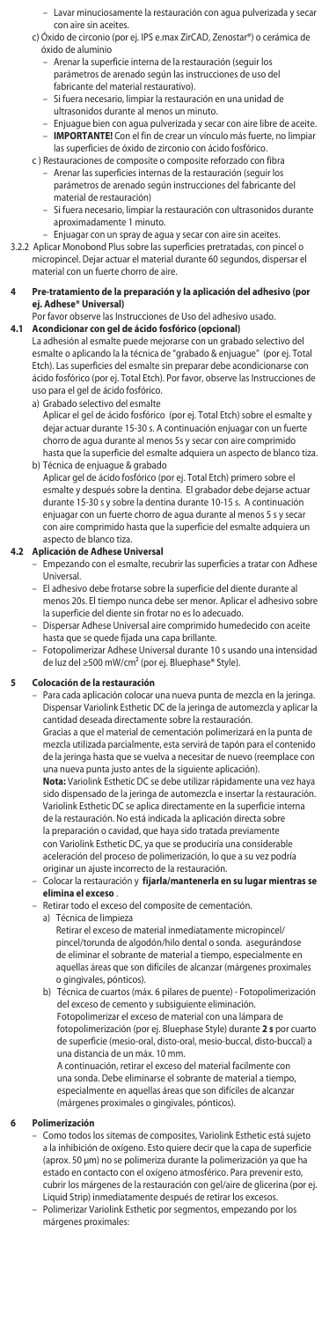- Lavar minuciosamente la restauración con agua pulverizada y secar con aire sin aceites.
- c) Óxido de circonio (por ej. IPS e.max ZirCAD, Zenostar®) o cerámica de óxido de aluminio
	- Arenar la superficie interna de la restauración (seguir los parámetros de arenado según las instrucciones de uso del fabricante del material restaurativo).
	- Si fuera necesario, limpiar la restauración en una unidad de ultrasonidos durante al menos un minuto.
	- Enjuague bien con agua pulverizada y secar con aire libre de aceite. – **IMPORTANTE!** Con el fin de crear un vínculo más fuerte, no limpiar
- las superficies de óxido de zirconio con ácido fosfórico. c ) Restauraciones de composite o composite reforzado con fibra
	- Arenar las superficies internas de la restauración (seguir los parámetros de arenado según instrucciones del fabricante del material de restauración)
		- Si fuera necesario, limpiar la restauración con ultrasonidos durante aproximadamente 1 minuto.
			- Enjuagar con un spray de agua y secar con aire sin aceites.
- 3.2.2 Aplicar Monobond Plus sobre las superficies pretratadas, con pincel o micropincel. Dejar actuar el material durante 60 segundos, dispersar el material con un fuerte chorro de aire.
- **4 Pre-tratamiento de la preparación y la aplicación del adhesivo (por ej. Adhese® Universal)**
- Por favor observe las Instrucciones de Uso del adhesivo usado. **4.1 Acondicionar con gel de ácido fosfórico (opcional)**

La adhesión al esmalte puede mejorarse con un grabado selectivo del esmalte o aplicando la la técnica de "grabado & enjuague" (por ej. Total Etch). Las superficies del esmalte sin preparar debe acondicionarse con ácido fosfórico (por ej. Total Etch). Por favor, observe las Instrucciones de uso para el gel de ácido fosfórico.

- a) Grabado selectivo del esmalte
	- Aplicar el gel de ácido fosfórico (por ej. Total Etch) sobre el esmalte y dejar actuar durante 15-30 s. A continuación enjuagar con un fuerte chorro de agua durante al menos 5s y secar con aire comprimido hasta que la superficie del esmalte adquiera un aspecto de blanco tiza.
- b) Técnica de enjuague & grabado Aplicar gel de ácido fosfórico (por ej. Total Etch) primero sobre el esmalte y después sobre la dentina. El grabador debe dejarse actuar durante 15-30 s y sobre la dentina durante 10-15 s. A continuación enjuagar con un fuerte chorro de agua durante al menos 5 s y secar con aire comprimido hasta que la superficie del esmalte adquiera un aspecto de blanco tiza.

# **4.2 Aplicación de Adhese Universal**

- Empezando con el esmalte, recubrir las superficies a tratar con Adhese Universal.
- El adhesivo debe frotarse sobre la superficie del diente durante al menos 20s. El tiempo nunca debe ser menor. Aplicar el adhesivo sobre la superficie del diente sin frotar no es lo adecuado.
- Dispersar Adhese Universal aire comprimido humedecido con aceite hasta que se quede fijada una capa brillante.
- Fotopolimerizar Adhese Universal durante 10 s usando una intensidad de luz del ≥500 mW/cm² (por ej. Bluephase® Style).

### **5 Colocación de la restauración**

– Para cada aplicación colocar una nueva punta de mezcla en la jeringa. Dispensar Variolink Esthetic DC de la jeringa de automezcla y aplicar la cantidad deseada directamente sobre la restauración.

 Gracias a que el material de cementación polimerizará en la punta de mezcla utilizada parcialmente, esta servirá de tapón para el contenido de la jeringa hasta que se vuelva a necesitar de nuevo (reemplace con una nueva punta justo antes de la siguiente aplicación).

 **Nota:** Variolink Esthetic DC se debe utilizar rápidamente una vez haya sido dispensado de la jeringa de automezcla e insertar la restauración. Variolink Esthetic DC se aplica directamente en la superficie interna de la restauración. No está indicada la aplicación directa sobre la preparación o cavidad, que haya sido tratada previamente

con Variolink Esthetic DC, ya que se produciría una considerable aceleración del proceso de polimerización, lo que a su vez podría originar un ajuste incorrecto de la restauración.

### – Colocar la restauración y **fijarla/mantenerla en su lugar mientras se elimina el exceso** .

- Retirar todo el exceso del composite de cementación.
- a) Técnica de limpieza
	- Retirar el exceso de material inmediatamente micropincel/ pincel/torunda de algodón/hilo dental o sonda. asegurándose de eliminar el sobrante de material a tiempo, especialmente en aquellas áreas que son difíciles de alcanzar (márgenes proximales o gingivales, pónticos).
- b) Técnica de cuartos (máx. 6 pilares de puente) Fotopolimerización del exceso de cemento y subsiguiente eliminación. Fotopolimerizar el exceso de material con una lámpara de

fotopolimerización (por ej. Bluephase Style) durante **2 s** por cuarto de superficie (mesio-oral, disto-oral, mesio-buccal, disto-buccal) a una distancia de un máx. 10 mm.

A continuación, retirar el exceso del material facilmente con una sonda. Debe eliminarse el sobrante de material a tiempo, especialmente en aquellas áreas que son difíciles de alcanzar (márgenes proximales o gingivales, pónticos).

### **6 Polimerización**

– Como todos los sitemas de composites, Variolink Esthetic está sujeto a la inhibición de oxígeno. Esto quiere decir que la capa de superficie (aprox. 50 μm) no se polimeriza durante la polimerización ya que ha estado en contacto con el oxígeno atmosférico. Para prevenir esto, cubrir los márgenes de la restauración con gel/aire de glicerina (por ej. Liquid Strip) inmediatamente después de retirar los excesos. – Polimerizar Variolink Esthetic por segmentos, empezando por los márgenes proximales: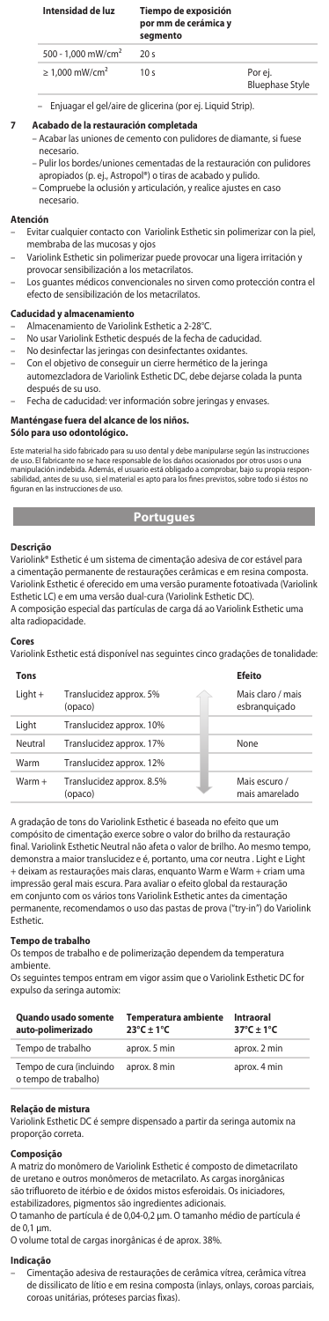| Intensidad de luz               | Tiempo de exposición<br>por mm de cerámica y<br>segmento |         |
|---------------------------------|----------------------------------------------------------|---------|
| 500 - 1.000 mW/cm <sup>2</sup>  | 20s                                                      |         |
| $\geq 1.000$ mW/cm <sup>2</sup> | 10 s                                                     | Por ei. |

- Bluephase Style
- Enjuagar el gel/aire de glicerina (por ej. Liquid Strip).
- **7 Acabado de la restauración completada**
	- Acabar las uniones de cemento con pulidores de diamante, si fuese necesario.
	- Pulir los bordes/uniones cementadas de la restauración con pulidores apropiados (p. ej., Astropol®) o tiras de acabado y pulido.
	- Compruebe la oclusión y articulación, y realice ajustes en caso

# necesario.

# **Atención**

- Evitar cualquier contacto con Variolink Esthetic sin polimerizar con la piel, membraba de las mucosas y ojos
	- Variolink Esthetic sin polimerizar puede provocar una ligera irritación y provocar sensibilización a los metacrilatos.
- Los guantes médicos convencionales no sirven como protección contra el efecto de sensibilización de los metacrilatos.

#### **Caducidad y almacenamiento**

- Almacenamiento de Variolink Esthetic a 2-28°C.
- No usar Variolink Esthetic después de la fecha de caducidad.
- No desinfectar las jeringas con desinfectantes oxidantes.
- Con el objetivo de conseguir un cierre hermético de la jeringa
- automezcladora de Variolink Esthetic DC, debe dejarse colada la punta después de su uso.
- Fecha de caducidad: ver información sobre jeringas y envases.

# **Manténgase fuera del alcance de los niños.**

# **Sólo para uso odontológico.**

Este material ha sido fabricado para su uso dental y debe manipularse según las instrucciones durantes e un se<br>de uso. El fabricante no se hace responsable de los daños ocasionados por otros usos o un de uso. El fabricante no se hace responsable de los daños ocasionados por otros usos o una<br>manipulación indebida. Además, el usuario está obligado a comprobar, bajo su propia respon-<br>sabilidad, antes de su uso, si el mater nampulación indebida: Ademas, e<br>iabilidad, antes de su uso, si el mat<br>figuran en las instrucciones de uso.

# **Portugues**

### **Descrição**

Variolink® Esthetic é um sistema de cimentação adesiva de cor estável para a cimentação permanente de restaurações cerâmicas e em resina composta. Variolink Esthetic é oferecido em uma versão puramente fotoativada (Variolink Esthetic LC) e em uma versão dual-cura (Variolink Esthetic DC). A composição especial das partículas de carga dá ao Variolink Esthetic uma alta radiopacidade.

#### **Cores**

Variolink Esthetic está disponível nas seguintes cinco gradações de tonalidade:

| Tons     |                                      | <b>Efeito</b>                      |
|----------|--------------------------------------|------------------------------------|
| Light +  | Translucidez approx. 5%<br>(opaco)   | Mais claro / mais<br>esbranquiçado |
| Light    | Translucidez approx. 10%             |                                    |
| Neutral  | Translucidez approx. 17%             | None                               |
| Warm     | Translucidez approx. 12%             |                                    |
| $Warm +$ | Translucidez approx. 8.5%<br>(opaco) | Mais escuro /<br>mais amarelado    |

A gradação de tons do Variolink Esthetic é baseada no efeito que um compósito de cimentação exerce sobre o valor do brilho da restauração final. Variolink Esthetic Neutral não afeta o valor de brilho. Ao mesmo tempo, demonstra a maior translucidez e é, portanto, uma cor neutra . Light e Light + deixam as restaurações mais claras, enquanto Warm e Warm + criam u impressão geral mais escura. Para avaliar o efeito global da restauração em conjunto com os vários tons Variolink Esthetic antes da cimentação permanente, recomendamos o uso das pastas de prova ("try-in") do Variolink .<br>Esthetic

### **Tempo de trabalho**

Os tempos de trabalho e de polimerização dependem da temperatura ambiente.

Os seguintes tempos entram em vigor assim que o Variolink Esthetic DC for expulso da seringa automix:

| <b>Quando usado somente</b><br>auto-polimerizado | <b>Temperatura ambiente</b><br>$23^{\circ}$ C ± 1°C | Intraoral<br>$37^{\circ}$ C + 1°C |
|--------------------------------------------------|-----------------------------------------------------|-----------------------------------|
| Tempo de trabalho                                | aprox. 5 min                                        | aprox. 2 min                      |
| Tempo de cura (incluindo<br>o tempo de trabalho) | aprox, 8 min                                        | aprox. 4 min                      |

#### **Relação de mistura**

Variolink Esthetic DC é sempre dispensado a partir da seringa automix na proporção correta.

### **Composição**

A matriz do monômero de Variolink Esthetic é composto de dimetacrilato de uretano e outros monômeros de metacrilato. As cargas inorgânicas são trifluoreto de itérbio e de óxidos mistos esferoidais. Os iniciadores, estabilizadores, pigmentos são ingredientes adicionais. O tamanho de partícula é de 0,04-0,2 µm. O tamanho médio de partícula é de  $0,1 \mu m$ .

O volume total de cargas inorgânicas é de aprox. 38%.

### **Indicação**

– Cimentação adesiva de restaurações de cerâmica vítrea, cerâmica vítrea de dissilicato de lítio e em resina composta (inlays, onlays, coroas parciais, coroas unitárias, próteses parcias fixas).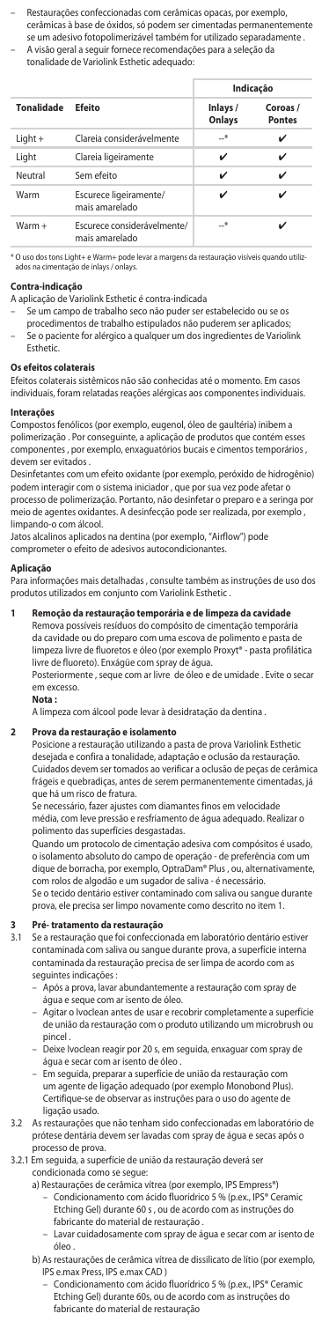– Restaurações confeccionadas com cerâmicas opacas, por exemplo, cerâmicas à base de óxidos, só podem ser cimentadas permanentemente se um adesivo fotopolimerizável também for utilizado separadamente . – A visão geral a seguir fornece recomendações para a seleção da

| tonalidade de Variolink Esthetic adequado: |  |  |
|--------------------------------------------|--|--|

|                   |                                               |                    | Indicação                 |
|-------------------|-----------------------------------------------|--------------------|---------------------------|
| <b>Tonalidade</b> | Ffeito                                        | Inlays /<br>Onlays | Coroas /<br><b>Pontes</b> |
| $Light +$         | Clareja considerávelmente                     | $-$ *              | ✓                         |
| Light             | Clareia ligeiramente                          | ✓                  | ✓                         |
| Neutral           | Sem efeito                                    | ✓                  | ✓                         |
| Warm              | Escurece ligeiramente/<br>mais amarelado      | ✓                  | ✓                         |
| Warm +            | Escurece considerávelmente/<br>mais amarelado | $-$ *              |                           |

\* O uso dos tons Light+ e Warm+ pode levar a margens da restauração visíveis quando utiliz-ados na cimentação de inlays / onlays.

# **Contra-indicaçã**

A aplicação de Variolink Esthetic é contra-indicada

- Se um campo de trabalho seco não puder ser estabelecido ou se os procedimentos de trabalho estipulados não puderem ser aplicados;
- Se o paciente for alérgico a qualquer um dos ingredientes de Variolink Esthetic.

**Os efeitos colaterais**  Efeitos colaterais sistêmicos não são conhecidas até o momento. Em casos individuais, foram relatadas reações alérgicas aos componentes individuais.

#### **Interações**

Compostos fenólicos (por exemplo, eugenol, óleo de gaultéria) inibem a polimerização . Por conseguinte, a aplicação de produtos que contém esses componentes , por exemplo, enxaguatórios bucais e cimentos temporários , devem ser evitados .

Desinfetantes com um efeito oxidante (por exemplo, peróxido de hidrogênio) podem interagir com o sistema iniciador , que por sua vez pode afetar o<br>processo de polimerização. Portanto, não desinfetar o preparo e a seringa por<br>meio de agentes oxidantes. A desinfecção pode ser realizada, por exemplo limpando-o com álcool.

Jatos alcalinos aplicados na dentina (por exemplo, "Airflow") pode comprometer o efeito de adesivos autocondicionantes.

#### **Aplicação**

Para informações mais detalhadas , consulte também as instruções de uso dos produtos utilizados em conjunto com Variolink Esthetic .

# **1 Remoção da restauração temporária e de limpeza da cavidade** Remova possíveis resíduos do compósito de cimentação temporária

da cavidade ou do preparo com uma escova de polimento e pasta de limpeza livre de fluoretos e óleo (por exemplo Proxyt® - pasta profilática livre de fluoreto). Enxágüe com spray de água. Posteriormente , seque com ar livre de óleo e de umidade . Evite o secar

em excesso.

### **Nota :**

A limpeza com álcool pode levar à desidratação da dentina .

# **2 Prova da restauração e isolamento**

Posicione a restauração utilizando a pasta de prova Variolink Esthetic desejada e confira a tonalidade, adaptação e oclusão da restauração. Cuidados devem ser tomados ao verificar a oclusão de peças de cerâmica frágeis e quebradiças, antes de serem permanentemente cimentadas, já que há um risco de fratura.

Se necessário, fazer ajustes com diamantes finos em velocidade média, com leve pressão e resfriamento de água adequado. Realizar o polimento das superfícies desgastadas.

Quando um protocolo de cimentação adesiva com compósitos é usado, o isolamento absoluto do campo de operação - de preferência com um dique de borracha, por exemplo, OptraDam® Plus , ou, alternativamente, com rolos de algodão e um sugador de saliva - é necessário. Se o tecido dentário estiver contaminado com saliva ou sangue durante

prova, ele precisa ser limpo novamente como descrito no item 1.

# **3 Pré- tratamento da restauração**

3.1 Se a restauração que foi confeccionada em laboratório dentário estiver contaminada com saliva ou sangue durante prova, a superfície interna contaminada da restauração precisa de ser limpa de acordo com as seguintes indicações :

- Após a prova, lavar abundantemente a restauração com spray de água e seque com ar isento de óleo.
- Agitar o Ivoclean antes de usar e recobrir completamente a superfície de união da restauração com o produto utilizando um microbrush ou pincel .
- Deixe Ivoclean reagir por 20 s, em seguida, enxaguar com spray de água e secar com ar isento de óleo
- Em seguida, preparar a superfície de união da restauração com um agente de ligação adequado (por exemplo Monobond Plus). Certifique-se de observar as instruções para o uso do agente de ligação usado.
- 3.2 As restaurações que não tenham sido confeccionadas em laboratório de prótese dentária devem ser lavadas com spray de água e secas após o processo de prova.
- 3.2.1 Em seguida, a superfície de união da restauração deverá ser condicionada como se segue:
	- a) Restaurações de cerâmica vítrea (por exemplo, IPS Empress®) – Condicionamento com ácido fluorídrico 5 % (p.ex., IPS® Ceramic
		- Etching Gel) durante 60 s , ou de acordo com as instruções do fabricante do material de restauração .
		- Lavar cuidadosamente com spray de água e secar com ar isento de óleo
	- b) As restaurações de cerâmica vítrea de dissilicato de lítio (por exemplo, IPS e.max Press, IPS e.max CAD )
		- Condicionamento com ácido fluorídrico 5 % (p.ex., IPS® Ceramic Etching Gel) durante 60s, ou de acordo com as instruções do fabricante do material de restauração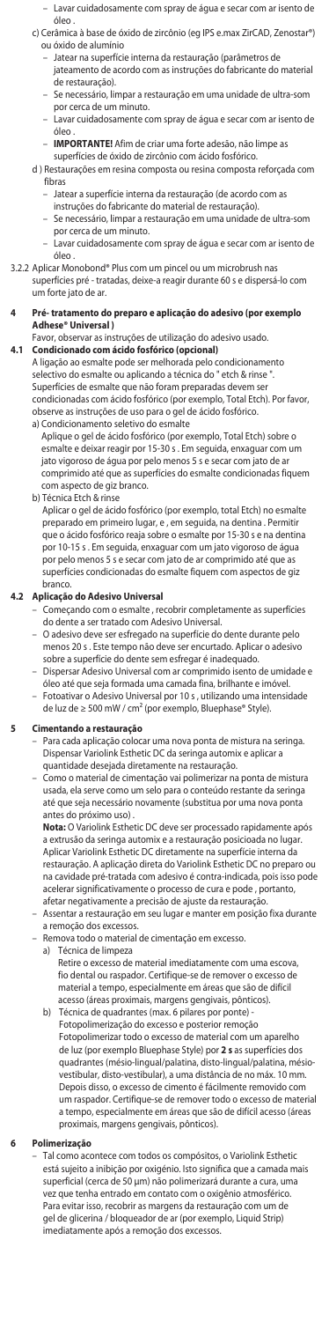- Lavar cuidadosamente com spray de água e secar com ar isento de óleo
- c) Cerâmica à base de óxido de zircônio (eg IPS e.max ZirCAD, Zenostar®) ou óxido de alumínio
	- Jatear na superfície interna da restauração (parâmetros de jateamento de acordo com as instruções do fabricante do material
	- de restauração). – Se necessário, limpar a restauração em uma unidade de ultra-som
- por cerca de um minuto. Lavar cuidadosamente com spray de água e secar com ar isento de
	- óleo
	- **IMPORTANTE!** Afim de criar uma forte adesão, não limpe as superfícies de óxido de zircônio com ácido fosfórico.
	- d ) Restaurações em resina composta ou resina composta reforçada com
		- fibras<br>- Jatea – Jatear a superfície interna da restauração (de acordo com as
		- instruções do fabricante do material de restauração). – Se necessário, limpar a restauração em uma unidade de ultra-som
		- por cerca de um minuto.
		- Lavar cuidadosamente com spray de água e secar com ar isento de óleo
- 3.2.2 Aplicar Monobond® Plus com um pincel ou um microbrush nas superfícies pré - tratadas, deixe-a reagir durante 60 s e dispersá-lo com um forte jato de ar.
- **4 Pré- tratamento do preparo e aplicação do adesivo (por exemplo Adhese® Universal )**
	- Favor, observar as instruções de utilização do adesivo usado.

**4.1 Condicionado com ácido fosfórico (opcional)** A ligação ao esmalte pode ser melhorada pelo condicionamento selectivo do esmalte ou aplicando a técnica do " etch & rinse ". Superfícies de esmalte que não foram preparadas deve condicionadas com ácido fosfórico (por exemplo, Total Etch). Por favor, observe as instruções de uso para o gel de ácido fosfórico.

- a) Condicionamento seletivo do esmalte Aplique o gel de ácido fosfórico (por exemplo, Total Etch) sobre o esmalte e deixar reagir por 15-30 s . Em seguida, enxaguar com um jato vigoroso de água por pelo menos 5 s e secar com jato de ar comprimido até que as superfícies do esmalte condicionadas fiquem com aspecto de giz branco.
- b) Técnica Etch & rinse
	- Aplicar o gel de ácido fosfórico (por exemplo, total Etch) no esmalte preparado em primeiro lugar, e , em seguida, na dentina . Permitir que o ácido fosfórico reaja sobre o esmalte por 15-30 s e na dentina por 10-15 s . Em seguida, enxaguar com um jato vigoroso de água por pelo menos 5 s e secar com jato de ar comprimido até que as superfícies condicionadas do esmalte fiquem com aspectos de giz branco.

# **4.2 Aplicação do Adesivo Universal**

- Começando com o esmalte , recobrir completamente as superfícies do dente a ser tratado com Adesivo Universal.
- O adesivo deve ser esfregado na superfície do dente durante pelo menos 20 s . Este tempo não deve ser encurtado. Aplicar o adesivo sobre a superfície do dente sem esfregar é inadequado.
- Dispersar Adesivo Universal com ar comprimido isento de umidade e óleo até que seja formada uma camada fina, brilhante e imóvel.
- Fotoativar o Adesivo Universal por 10 s , utilizando uma intensidade de luz de ≥ 500 mW / cm² (por exemplo, Bluephase® Style).

# **5 Cimentando a restauração**

- Para cada aplicação colocar uma nova ponta de mistura na seringa. Dispensar Variolink Esthetic DC da seringa automix e aplicar a quantidade desejada diretamente na restauração.
- Como o material de cimentação vai polimerizar na ponta de mistura usada, ela serve como um selo para o conteúdo restante da seringa até que seja necessário novamente (substitua por uma nova ponta antes do próximo uso) .

 **Nota:** O Variolink Esthetic DC deve ser processado rapidamente após a extrusão da seringa automix e a restauração posicioada no lugar. Aplicar Variolink Esthetic DC diretamente na superfície interna da restauração. A aplicação direta do Variolink Esthetic DC no preparo ou na cavidade pré-tratada com adesivo é contra-indicada, pois isso pode acelerar significativamente o processo de cura e pode , portanto, afetar negativamente a precisão de ajuste da restauração.

- Assentar a restauração em seu lugar e manter em posição fixa durante a remoção dos excessos.
- Remova todo o material de cimentação em excesso.<br>a) Técnica de limpeza
- Técnica de limpeza

Retire o excesso de material imediatamente com uma escova, fio dental ou raspador. Certifique-se de remover o excesso de material a tempo, especialmente em áreas que são de difícil

acesso (áreas proximais, margens gengivais, pônticos). b) Técnica de quadrantes (max. 6 pilares por ponte) - Fotopolimerização do excesso e posterior remoção Fotopolimerizar todo o excesso de material com um aparelho de luz (por exemplo Bluephase Style) por **2 s** as superfícies dos quadrantes (mésio-lingual/palatina, disto-lingual/palatina, mésiovestibular, disto-vestibular), a uma distância de no máx. 10 mm. Depois disso, o excesso de cimento é fácilmente removido com um raspador. Certifique-se de remover todo o excesso de material a tempo, especialmente em áreas que são de difícil acesso (áreas proximais, margens gengivais, pônticos).

#### **6 Polimerização**

– Tal como acontece com todos os compósitos, o Variolink Esthetic está sujeito a inibição por oxigénio. Isto significa que a camada mais superficial (cerca de 50 µm) não polimerizará durante a cura, uma vez que tenha entrado em contato com o oxigênio atmosférico. Para evitar isso, recobrir as margens da restauração com um de gel de glicerina / bloqueador de ar (por exemplo, Liquid Strip) imediatamente após a remoção dos excessos.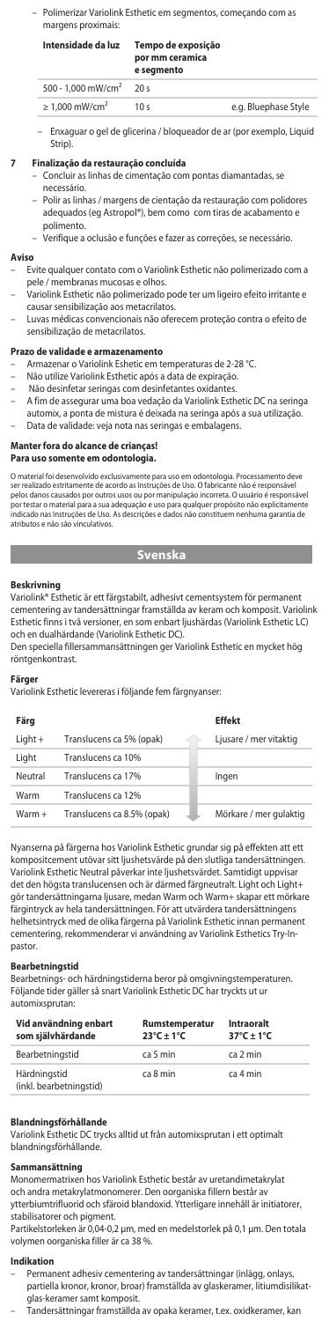– Polimerizar Variolink Esthetic em segmentos, começando com as margens proximais:

| Intensidade da luz              | Tempo de exposição<br>por mm ceramica<br>e segmento |                      |
|---------------------------------|-----------------------------------------------------|----------------------|
| 500 - 1.000 mW/cm <sup>2</sup>  | 20s                                                 |                      |
| $\geq 1.000$ mW/cm <sup>2</sup> | 10 <sub>s</sub>                                     | e.g. Bluephase Style |

– Enxaguar o gel de glicerina / bloqueador de ar (por exemplo, Liquid Strip).

#### **7 Finalização da restauração concluída**

- Concluir as linhas de cimentação com pontas diamantadas, se
- ecessário – Polir as linhas / margens de cientação da restauração com polidores adequados (eg Astropol®), bem como com tiras de acabamento e
- polimento. .<br>Verifique a oclusão e funções e fazer as correções, se nece

#### **Aviso**

- Evite qualquer contato com o Variolink Esthetic não polimerizado com a pele / membranas mucosas e olhos.
- Variolink Esthetic não polimerizado pode ter um ligeiro efeito irritante e causar sensibilização aos metacrilatos.
- Luvas médicas convencionais não oferecem proteção contra o efeito de sensibilização de metacrilatos.

# **Prazo de validade e armazenamento**

- Armazenar o Variolink Eshetic em temperaturas de 2-28 °C.
- Não utilize Variolink Esthetic após a data de expiração.
- Não desinfetar seringas com desinfetantes oxidantes.
- A fim de assegurar uma boa vedação da Variolink Esthetic DC na seringa automix, a ponta de mistura é deixada na seringa após a sua utilização.
- Data de validade: veja nota nas seringas e embalagens.

# **Manter fora do alcance de crianças!**

### **Para uso somente em odontologia.**

O material foi desenvolvido exclusivamente para uso em odontologia. Processamento d ser realizado estritamente de acordo as Instruções de Uso. O fabricante não é responsável pelos danos causados por outros usos ou por manipulação incorreta. O usuário é responsável por testar o material para a sua adequação e uso para qualquer propósito não explicitamente indicado nas Instruções de Uso. As descrições e dados não constituem nenhuma garantia de pelos antos causados por outros asos ou por mais<br>por testar o material para a sua adequação e uso<br>indicado nas Instruções de Uso. As descrições e o<br>atributos e não são vinculativos.

**Svenska** 

**Beskrivning** Variolink® Esthetic är ett färgstabilt, adhesivt cementsystem för permanent cementering av tandersättningar framställda av keram och komposit. Variolink Esthetic finns i två versioner, en som enbart ljushärdas (Variolink Esthetic LC) och en dualhärdande (Variolink Esthetic DC).

Den speciella fillersammansättningen ger Variolink Esthetic en mycket hög röntgenkontrast.

**Färger** Variolink Esthetic levereras i följande fem färgnyanser:

| Färg    |                            | <b>Effekt</b>          |
|---------|----------------------------|------------------------|
| Light + | Translucens ca 5% (opak)   | Ljusare / mer vitaktig |
| Liaht   | Translucens ca 10%         |                        |
| Neutral | Translucens ca 17%         | Ingen                  |
| Warm    | Translucens ca 12%         |                        |
| Warm +  | Translucens ca 8.5% (opak) | Mörkare / mer gulaktig |

Nyanserna på färgerna hos Variolink Esthetic grundar sig på effekten att ett kompositcement utövar sitt ljushetsvärde på den slutliga tandersättningen. Variolink Esthetic Neutral påverkar inte ljushetsvärdet. Samtidigt uppvisar det den högsta translucensen och är därmed färgneutralt. Light och Light+ gör tandersättningarna ljusare, medan Warm och Warm+ skapar ett mörkare färgintryck av hela tandersättningen. För att utvärdera tandersättningens helhetsintryck med de olika färgerna på Variolink Esthetic innan permanent cementering, rekommenderar vi användning av Variolink Esthetics Try-Inpastor.

#### **Bearbetningstid**

Bearbetnings- och härdningstiderna beror på omgivningstemperaturen. Följande tider gäller så snart Variolink Esthetic DC har tryckts ut ur automixsprutan:

| Vid användning enbart<br>som siälvhärdande | Rumstemperatur<br>$23^{\circ}$ C + 1 $^{\circ}$ C | Intraoralt<br>$37^{\circ}$ C + 1°C |
|--------------------------------------------|---------------------------------------------------|------------------------------------|
| Bearbetningstid                            | ca 5 min                                          | ca 2 min                           |
| Härdningstid<br>(inkl. bearbetningstid)    | ca 8 min                                          | ca 4 min                           |

# **Blandningsförhållande**

Variolink Esthetic DC trycks alltid ut från automixsprutan i ett optimalt blandningsförhållande.

**Sammansättning** Monomermatrixen hos Variolink Esthetic består av uretandimetakrylat och andra metakrylatmonomerer. Den oorganiska fillern består av ytterbiumtrifluorid och sfäroid blandoxid. Ytterligare innehåll är initiatorer, stabilisatorer och pigment.

Partikelstorleken är 0,04-0,2 μm, med en medelstorlek på 0,1 µm. Den totala volymen oorganiska filler är ca 38 %.

#### **Indikation**

- Permanent adhesiv cementering av tandersättningar (inlägg, onlays partiella kronor, kronor, broar) framställda av glaskeramer, litiumdisilikat-
- glas-keramer samt komposit. Tandersättningar framställda av opaka keramer, t.ex. oxidkeramer, kan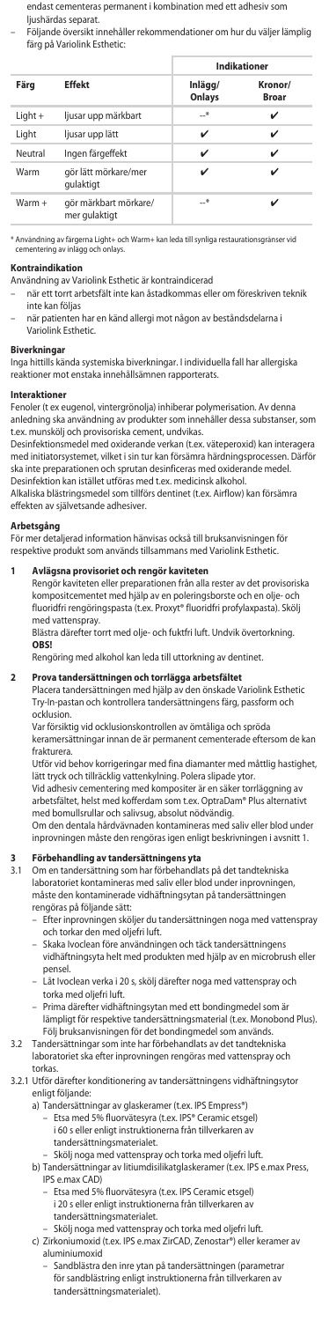endast cementeras permanent i kombination med ett adhesiv som ljushärdas separat.

– Följande översikt innehåller rekommendationer om hur du väljer lämplig färg på Variolink Esthetic:

|           |                                        | Indikationer      |                         |
|-----------|----------------------------------------|-------------------|-------------------------|
| Färg      | <b>Effekt</b>                          | Inlägg/<br>Onlays | Kronor/<br><b>Broar</b> |
| $Light +$ | ljusar upp märkbart                    | $\rightarrow$     | ✓                       |
| Light     | ljusar upp lätt                        | ✓                 | ✓                       |
| Neutral   | Ingen färgeffekt                       | ✓                 | ✓                       |
| Warm      | gör lätt mörkare/mer<br>qulaktigt      | ✓                 |                         |
| $Warm +$  | gör märkbart mörkare/<br>mer gulaktigt | $-$ *             |                         |

\* Användning av färgerna Light+ och Warm+ kan leda till synliga resta<br>Liementering av inlägg och onlavs cementering av inlägg och onlays.

### **Kontraindikation**

Användning av Variolink Esthetic är kontraindicerad

- när ett torrt arbetsfält inte kan åstadkommas eller om föreskriven teknik inte kan följas
- när patienten har en känd allergi mot någon av beståndsdelarna i Variolink Esthetic.

#### **Biverkning**

Inga hittills kända systemiska biverkningar. I individuella fall har allergiska reaktioner mot enstaka innehållsämnen rapporterats.

#### **Interaktioner**

Fenoler (t ex eugenol, vintergrönolja) inhiberar polymerisation. Av denna anledning ska användning av produkter som innehåller dessa substanser, som t.ex. munskölj och provisoriska cement, undvikas.

Desinfektionsmedel med oxiderande verkan (t.ex. väteperoxid) kan interagera med initiatorsystemet, vilket i sin tur kan försämra härdningsprocessen. Därför ska inte preparationen och sprutan desinficeras med oxiderande medel. Desinfektion kan istället utföras med t.ex. medicinsk alkohol.

Alkaliska blästringsmedel som tillförs dentinet (t.ex. Airflow) kan försämra effekten av självetsande adhesiver.

# **Arbetsgång**

För mer detaljerad information hänvisas också till bruksanvisningen för respektive produkt som används tillsammans med Variolink Esthetic.

**1 Avlägsna provisoriet och rengör kaviteten** Rengör kaviteten eller preparationen från alla rester av det provisoriska kompositcementet med hjälp av en poleringsborste och en olje- och fluoridfri rengöringspasta (t.ex. Proxyt® fluoridfri profylaxpasta). Skölj med vattenspray.

Blästra därefter torrt med olje- och fuktfri luft. Undvik övertorkning. **OBS!**

# Rengöring med alkohol kan leda till uttorkning av dentinet.

**2 Prova tandersättningen och torrlägga arbetsfältet** Placera tandersättningen med hjälp av den önskade Variolink Esthetic Try-In-pastan och kontrollera tandersättningens färg, passform och ocklusion.

Var försiktig vid ocklusionskontrollen av ömtåliga och spröda keramersättningar innan de är permanent cementerade eftersom de kan frakturera.

Utför vid behov korrigeringar med fina diamanter med måttlig hastighet, lätt tryck och tillräcklig vattenkylning. Polera slipade ytor. Vid adhesiv cementering med kompositer är en säker torrläggning av

arbetsfältet, helst med kofferdam som t.ex. OptraDam® Plus alternativt med bomullsrullar och salivsug, absolut nödvändig. Om den dentala hårdvävnaden kontamineras med saliv eller blod under

inprovningen måste den rengöras igen enligt beskrivningen i avsnitt 1.

# **3 Förbehandling av tandersättningens yta**

3.1 Om en tandersättning som har förbehandlats på det tandtekniska laboratoriet kontamineras med saliv eller blod under inprovningen, måste den kontaminerade vidhäftningsytan på tandersättningen rengöras på följande sätt:

- Efter inprovningen sköljer du tandersättningen noga med vattenspray och torkar den med oljefri luft.
- Skaka Ivoclean före användningen och täck tandersättningens vidhäftningsyta helt med produkten med hjälp av en microbrush eller pensel.
- Låt Ivoclean verka i 20 s, skölj därefter noga med vattenspray och torka med oljefri luft.
- Prima därefter vidhäftningsytan med ett bondingmedel som är lämpligt för respektive tandersättningsmaterial (t.ex. Monobond Plus). Följ bruksanvisningen för det bondingmedel som används.

#### 3.2 Tandersättningar som inte har förbehandlats av det tandtekniska laboratoriet ska efter inprovningen rengöras med vattenspray och torkas.

#### 3.2.1 Utför därefter konditionering av tandersättningens vidhäftningsytor enligt följande:

a) Tandersättningar av glaskeramer (t.ex. IPS Empress®)

- Etsa med 5% fluorvätesyra (t.ex. IPS® Ceramic etsgel) i 60 s eller enligt instruktionerna från tillverkaren tandersättningsmaterialet.
- Skölj noga med vattenspray och torka med oljefri luft.
- b) Tandersättningar av litiumdisilikatglaskeramer (t.ex. IPS e.max Press, IPS e.max CAD)
	- Etsa med 5% fluorvätesyra (t.ex. IPS Ceramic etsgel) i 20 s eller enligt instruktionerna från tillverkaren av tandersättningsmaterialet.
	- Skölj noga med vattenspray och torka med oljefri luft.
- c) Zirkoniumoxid (t.ex. IPS e.max ZirCAD, Zenostar®) eller keramer av aluminiumoxid
	- Sandblästra den inre ytan på tandersättningen (parametrar för sandblästring enligt instruktionerna från tillverkaren av tandersättningsmaterialet).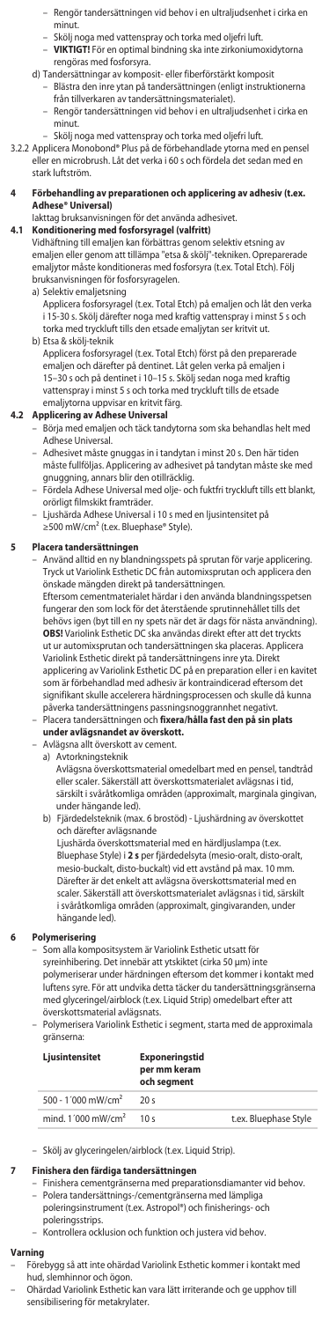- Rengör tandersättningen vid behov i en ultraljudsenhet i cirka en minut.
- 
- Skölj noga med vattenspray och torka med oljefri luft. **VIKTIGT!** För en optimal bindning ska inte zirkoniumoxidytorna rengöras med fosforsyra.
	- d) Tandersättningar av komposit- eller fiberförstärkt komposit
		- Blästra den inre ytan på tandersättningen (enligt instruktionerna från tillverkaren av tandersättningsmaterialet).
		- Rengör tandersättningen vid behov i en ultraljudsenhet i cirka en minut.
	- Skölj noga med vattenspray och torka med oljefri luft.
- 3.2.2 Applicera Monobond® Plus på de förbehandlade ytorna med en pensel eller en microbrush. Låt det verka i 60 s och fördela det sedan med en stark luftström.

#### **4 Förbehandling av preparationen och applicering av adhesiv (t.ex. Adhese® Universal)**

Iakttag bruksanvisningen för det använda adhesivet.

**4.1 Konditionering med fosforsyragel (valfritt)** Vidhäftning till emaljen kan förbättras genom selektiv etsning av emaljen eller genom att tillämpa "etsa & skölj"-tekniken. Opreparerade emaljytor måste konditioneras med fosforsyra (t.ex. Total Etch). Följ bruksanvisningen för fosforsyragelen.

- a) Selektiv emaljetsning
- Applicera fosforsyragel (t.ex. Total Etch) på emaljen och låt den verka i 15-30 s. Skölj därefter noga med kraftig vattenspray i minst 5 s och torka med tryckluft tills den etsade emaljytan ser kritvit ut. b) Etsa & skölj-teknik
	- Applicera fosforsyragel (t.ex. Total Etch) först på den preparerade emaljen och därefter på dentinet. Låt gelen verka på emaljen i 15–30 s och på dentinet i 10–15 s. Skölj sedan noga med kraftig vattenspray i minst 5 s och torka med tryckluft tills de etsade emaljytorna uppvisar en kritvit färg.

# **4.2 Applicering av Adhese Universal**

- Börja med emaljen och täck tandytorna som ska behandlas helt med Adhese Universal.
	- Adhesivet måste gnuggas in i tandytan i minst 20 s. Den här tiden måste fullföljas. Applicering av adhesivet på tandytan måste ske med gnuggning, annars blir den otillräcklig.
	- Fördela Adhese Universal med olje- och fuktfri tryckluft tills ett blankt, orörligt filmskikt framträder.
	- Ljushärda Adhese Universal i 10 s med en ljusintensitet på ≥500 mW/cm² (t.ex. Bluephase® Style).

### **5 Placera tandersättningen**

– Använd alltid en ny blandningsspets på sprutan för varje applicering. Tryck ut Variolink Esthetic DC från automixsprutan och applicera den önskade mängden direkt på tandersättningen.

Eftersom cementmaterialet härdar i den använda blandningsspetsen fungerar den som lock för det återstående sprutinnehållet tills det behövs igen (byt till en ny spets när det är dags för nästa användning). **OBS!** Variolink Esthetic DC ska användas direkt efter att det tryckts ut ur automixsprutan och tandersättningen ska placeras. Applicera Variolink Esthetic direkt på tandersättningens inre yta. Direkt applicering av Variolink Esthetic DC på en preparation eller i en kavitet som är förbehandlad med adhesiv är kontraindicerad eftersom det signifikant skulle accelerera härdningsprocessen och skulle då kunna påverka tandersättningens passningsnoggrannhet negativt. – Placera tandersättningen och **fixera/hålla fast den på sin plats** 

- **under avlägsnandet av överskott.**
- Avlägsna allt överskott av cement. a) Avtorkningsteknik
	- Avlägsna överskottsmaterial omedelbart med en pensel, tandtråd eller scaler. Säkerställ att överskottsmaterialet avlägsnas i tid, särskilt i svåråtkomliga områden (approximalt, marginala gingivan, under hängande led).
	- b) Fjärdedelsteknik (max. 6 brostöd) Ljushärdning av överskottet och därefter avlägsnande

Ljushärda överskottsmaterial med en härdljuslampa (t.ex. Bluephase Style) i **2 s** per fjärdedelsyta (mesio-oralt, disto-oralt, mesio-buckalt, disto-buckalt) vid ett avstånd på max. 10 mm. Därefter är det enkelt att avlägsna överskottsmaterial med en scaler. Säkerställ att överskottsmaterialet avlägsnas i tid, särskilt i svåråtkomliga områden (approximalt, gingivaranden, under hängande led).

## **6 Polymerisering**

– Som alla kompositsystem är Variolink Esthetic utsatt för

syreinhibering. Det innebär att ytskiktet (cirka 50 μm) inte

polymeriserar under härdningen eftersom det kommer i kontakt med luftens syre. För att undvika detta täcker du tandersättningsgränserna med glyceringel/airblock (t.ex. Liquid Strip) omedelbart efter att överskottsmaterial avlägsnats.

– Polymerisera Variolink Esthetic i segment, starta med de approximala gränserna:

| Ljusintensitet                   | <b>Exponeringstid</b><br>per mm keram<br>och segment |                       |
|----------------------------------|------------------------------------------------------|-----------------------|
| 500 - 1'000 mW/cm <sup>2</sup>   | 20s                                                  |                       |
| mind. $1'000$ mW/cm <sup>2</sup> | 10 <sub>s</sub>                                      | t.ex. Bluephase Style |

– Skölj av glyceringelen/airblock (t.ex. Liquid Strip).

### **7 Finishera den färdiga tandersättningen**

- Finishera cementgränserna med preparationsdiamanter vid behov. – Polera tandersättnings-/cementgränserna med lämpliga
	- poleringsinstrument (t.ex. Astropol®) och finisherings- och
	- poleringsstrips.
	- Kontrollera ocklusion och funktion och justera vid behov.

- **Varning**<br>– Förebygg så att inte ohärdad Variolink Esthetic kommer i kontakt med<br>hud, slemhinnor och ögon.
- Ohärdad Variolink Esthetic kan vara lätt irriterande och ge upphov till sensibilisering för metakrylater.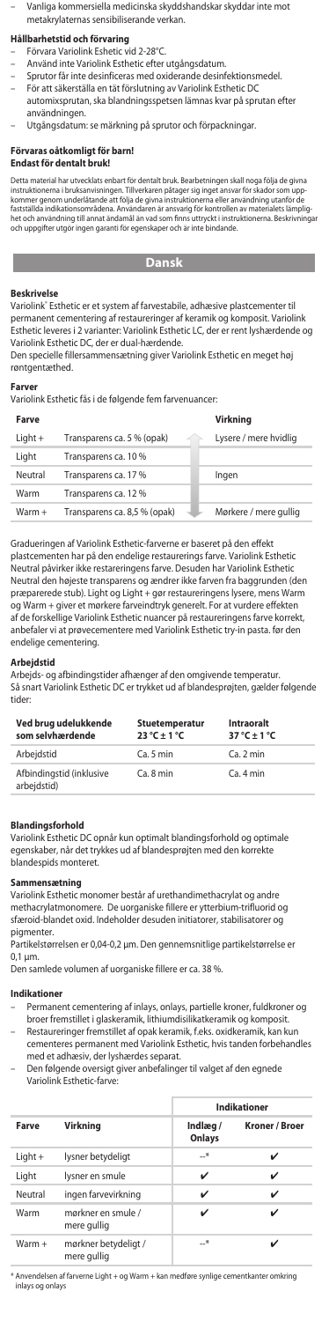– Vanliga kommersiella medicinska skyddshandskar skyddar inte mot metakrylaternas sensibiliserande verkan.

# **Hållbarhetstid och förvaring**

- Förvara Variolink Eshetic vid 2-28°C.
- Använd inte Variolink Esthetic efter utgångsdatum.
- Sprutor får inte desinficeras med oxiderande desinfektionsmedel.
- För att säkerställa en tät förslutning av Variolink Esthetic DC
- automixsprutan, ska blandningsspetsen lämnas kvar på sprutan efter användningen.
- Utgångsdatum: se märkning på sprutor och förpackningar.

#### **Förvaras oåtkomligt för barn!**

### **Endast för dentalt bruk!**

Detta material har utvecklats enbart for dentalt bruk. Bearbetningen skall noga folja de givna<br>instruktionerna i bruksanvisningen. Tillverkaren påtager sig inget ansvar för skador som upp-<br>kommer genom underlåtande att föl taststallda indikationsområdena. Användaren är ansvärig för kontrollen av materialets lämplig-<br>het och användning till annat ändamål än vad som finns uttryckt i instruktionerna. Beskrivningar<br>och uppgifter utgör ingen gara

**Dansk**

**Beskrivelse**<br>Variolink' Esthetic er et system af farvestabile, adhæsive plastcementer til<br>permanent cementering af restaureringer af keramik og komposit. Variolink Esthetic leveres i 2 varianter: Variolink Esthetic LC, der er rent lyshærdende og Variolink Esthetic DC, der er dual-hærdende.

Den specielle fillersammensætning giver Variolink Esthetic en meget høj røntgentæthed.

#### **Farver**

Variolink Esthetic fås i de følgende fem farvenuancer:

| Farve     |                              | Virknina              |
|-----------|------------------------------|-----------------------|
| $Light +$ | Transparens ca. 5 % (opak)   | Lysere / mere hvidlig |
| Liaht     | Transparens ca. 10 %         |                       |
| Neutral   | Transparens ca. 17 %         | Ingen                 |
| Warm      | Transparens ca. 12 %         |                       |
| $Warm +$  | Transparens ca. 8,5 % (opak) | Mørkere / mere gullig |

Gradueringen af Variolink Esthetic-farverne er baseret på den effekt plastcementen har på den endelige restaurerings farve. Variolink Esthetic Neutral påvirker ikke restareringens farve. Desuden har Variolink Esthetic Neutral den højeste transparens og ændrer ikke farven fra baggrunden (den præparerede stub). Light og Light + gør restaureringens lysere, mens Warm og Warm + giver et mørkere farveindtryk generelt. For at vurdere effekten af de forskellige Variolink Esthetic nuancer på restaureringens farve korrekt, anbefaler vi at prøvecementere med Variolink Esthetic try-in pasta. før den endelige cementering.

## **Arbejdstid**

Arbejds- og afbindingstider afhænger af den omgivende temperatur. Så snart Variolink Esthetic DC er trykket ud af blandesprøjten, gælder følgende tider:

| Ved brug udelukkende<br>som selvhærdende | Stuetemperatur<br>$23^{\circ}$ C ± 1 $^{\circ}$ C | Intraoralt<br>$37^\circ C + 1^\circ C$ |
|------------------------------------------|---------------------------------------------------|----------------------------------------|
| Arbeidstid                               | Ca. 5 min                                         | Ca.2 min                               |
| Afbindingstid (inklusive<br>arbejdstid)  | Ca. 8 min                                         | Ca.4 min                               |

# **Blandingsforhold**

Variolink Esthetic DC opnår kun optimalt blandingsforhold og optimale egenskaber, når det trykkes ud af blandesprøjten med den korrekte .<br>andespids monteret.

## **Sammensætning**

Variolink Esthetic monomer består af urethandimethacrylat og andre methacrylatmonomere. De uorganiske fillere er ytterbium-trifluorid og sfæroid-blandet oxid. Indeholder desuden initiatorer, stabilisatorer og pigmenter.

Partikelstørrelsen er 0,04-0,2 μm. Den gennemsnitlige partikelstørrelse er 0,1 µm.

Den samlede volumen af uorganiske fillere er ca. 38 %.

#### **Indikationer**

- Permanent cementering af inlays, onlays, partielle kroner, fuldkroner og broer fremstillet i glaskeramik, lithiumdisilikatkeramik og komposit. Restaureringer fremstillet af opak keramik, f.eks. oxidkeramik, kan kun
- cementeres permanent med Variolink Esthetic, hvis tanden forbehandles med et adhæsiv, der lyshærdes separat.
- Den følgende oversigt giver anbefalinger til valget af den egnede Variolink Esthetic-farve:

|          |                                     | <b>Indikationer</b> |                       |  |
|----------|-------------------------------------|---------------------|-----------------------|--|
| Farve    | Virknina                            | Indlæg/<br>Onlays   | <b>Kroner / Broer</b> |  |
| Light +  | lysner betydeligt                   | $-$ *               |                       |  |
| Light    | lysner en smule                     | ✓                   |                       |  |
| Neutral  | ingen farvevirkning                 | ✓                   | ✓                     |  |
| Warm     | mørkner en smule /<br>mere gullig   | ✓                   |                       |  |
| $Warm +$ | mørkner betydeligt /<br>mere gullig | $-$ *               |                       |  |

\* Anvendelsen af farverne Light + og Warm + kan medføre synlige cementkanter omkring inlays og onlays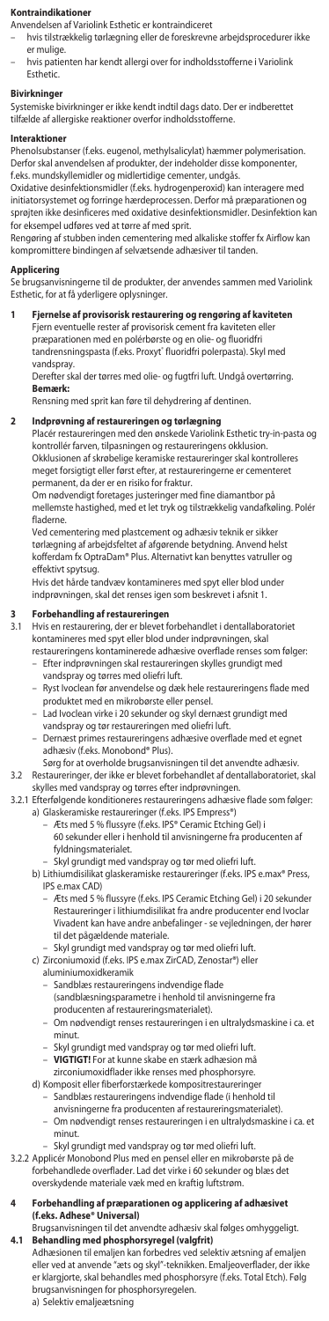#### **Kontraindikation**

Anvendelsen af Variolink Esthetic er kontraindiceret

- hvis tilstrækkelig tørlægning eller de foreskrevne arbejdsprocedurer ikke er mulige.
- hvis patienten har kendt allergi over for indholdsstofferne i Variolink Esthetic.

**Bivirkninger** Systemiske bivirkninger er ikke kendt indtil dags dato. Der er indberettet tilfælde af allergiske reaktioner overfor indholdsstofferne.

#### **Interaktioner**

Phenolsubstanser (f.eks. eugenol, methylsalicylat) hæmmer polymerisation. Derfor skal anvendelsen af produkter, der indeholder disse komponenter, f.eks. mundskyllemidler og midlertidige cementer, undgås.

Oxidative desinfektionsmidler (f.eks. hydrogenperoxid) kan interagere med initiatorsystemet og forringe hærdeprocessen. Derfor må præparationen og sprøjten ikke desinficeres med oxidative desinfektionsmidler. Desinfektion kan for eksempel udføres ved at tørre af med sprit.

Rengøring af stubben inden cementering med alkaliske stoffer fx Airflow kan kompromittere bindingen af selvætsende adhæsiver til tanden.

# **Applicering**

Se brugsanvisningerne til de produkter, der anvendes sammen med Variolink Esthetic, for at få yderligere oplysninger.

#### **1 Fjernelse af provisorisk restaurering og rengøring af kaviteten** Fjern eventuelle rester af provisorisk cement fra kaviteten eller

præparationen med en polérbørste og en olie- og fluoridfri<br>tandrensningspasta (f.eks. Proxyt® fluoridfri polerpasta). Skyl med vandspray.

Derefter skal der tørres med olie- og fugtfri luft. Undgå overtørring. **Bemærk:**

Rensning med sprit kan føre til dehydrering af dentinen.

### **2 Indprøvning af restaureringen og tørlægning**

Placér restaureringen med den ønskede Variolink Esthetic try-in-pasta og kontrollér farven, tilpasningen og restaureringens okklusion. Okklusionen af skrøbelige keramiske restaureringer skal kontrolleres

meget forsigtigt eller først efter, at restaureringerne er cementeret permanent, da der er en risiko for fraktur.

Om nødvendigt foretages justeringer med fine diamantbor på mellemste hastighed, med et let tryk og tilstrækkelig vandafkøling. Polér fladerne.

Ved cementering med plastcement og adhæsiv teknik er sikker tørlægning af arbejdsfeltet af afgørende betydning. Anvend helst kofferdam fx OptraDam® Plus. Alternativt kan benyttes vatruller og effektivt spytsug.

Hvis det hårde tandvæv kontamineres med spyt eller blod under indprøvningen, skal det renses igen som beskrevet i afsnit 1.

# **3 Forbehandling af restaureringen**

3.1 Hvis en restaurering, der er blevet forbehandlet i dentallaboratoriet kontamineres med spyt eller blod under indprøvningen, skal restaureringens kontaminerede adhæsive overflade renses som følger:

- Efter indprøvningen skal restaureringen skylles grundigt med vandspray og tørres med oliefri luft.
- Ryst Ivoclean før anvendelse og dæk hele restaureringens flade med produktet med en mikrobørste eller pensel.
- Lad Ivoclean virke i 20 sekunder og skyl dernæst grundigt med
- vandspray og tør restaureringen n – Dernæst primes restaureringens adhæsive overflade med et egnet adhæsiv (f.eks. Monobond® Plus).
- Sørg for at overholde brugsanvisningen til det anvendte adhæsiv.
- 3.2 Restaureringer, der ikke er blevet forbehandlet af dentallaboratoriet, skal skylles med vandspray og tørres efter indprøvningen
- 3.2.1 Efterfølgende konditioneres restaureringens adhæsive flade som følger: a) Glaskeramiske restaureringer (f.eks. IPS Empress®) Æts med 5 % flussyre (f.eks. IPS® Ceramic Etching Gel) i
	- 60 sekunder eller i henhold til anvisningerne fra producenten af fyldningsmaterialet.
		-

 – Skyl grundigt med vandspray og tør med oliefri luft. b) Lithiumdisilikat glaskeramiske restaureringer (f.eks. IPS e.max® Press, IPS e.max CAD)

- Æts med 5 % flussyre (f.eks. IPS Ceramic Etching Gel) i 20 sekunder Restaureringer i lithiumdisilikat fra andre producenter end Ivoclar Vivadent kan have andre anbefalinger - se vejledningen, der hører til det pågældende materiale.
- Skyl grundigt med vandspray og tør med oliefri luft. c) Zirconiumoxid (f.eks. IPS e.max ZirCAD, Zenostar®) eller
	-
	- aluminiumoxidkeramik
	- Sandblæs restaureringens indvendige flade (sandblæsningsparametre i henhold til anvisningerne fra
- producenten af restaureringsmaterialet). Om nødvendigt renses restaureringen i en ultralydsmaskine i ca. et minut.
	- Skyl grundigt med vandspray og tør med oliefri luft.
	- **VIGTIGT!** For at kunne skabe en stærk adhæsion må
	- zirconiumoxidflader ikke renses med phosphorsyre. d) Komposit eller fiberforstærkede kompositrestaureringer
		- Sandblæs restaureringens indvendige flade (i henhold til
		- anvisningerne fra producenten af restaureringsmaterialet). – Om nødvendigt renses restaureringen i en ultralydsmaskine i ca. et minut.
		- Skyl grundigt med vandspray og tør med oliefri luft.
- 3.2.2 Applicér Monobond Plus med en pensel eller en mikrobørste på de forbehandlede overflader. Lad det virke i 60 sekunder og blæs det overskydende materiale væk med en kraftig luftstrøm.

# **4 Forbehandling af præparationen og applicering af adhæsivet (f.eks. Adhese® Universal)**

Brugsanvisningen til det anvendte adhæsiv skal følges omhyggeligt. **4.1 Behandling med phosphorsyregel (valgfrit)**

Adhæsionen til emaljen kan forbedres ved selektiv ætsning af emaljen eller ved at anvende "æts og skyl"-teknikken. Emaljeoverflader, der ikke er klargjorte, skal behandles med phosphorsyre (f.eks. Total Etch). Følg brugsanvisningen for phosphorsyregelen. a) Selektiv emaljeætsning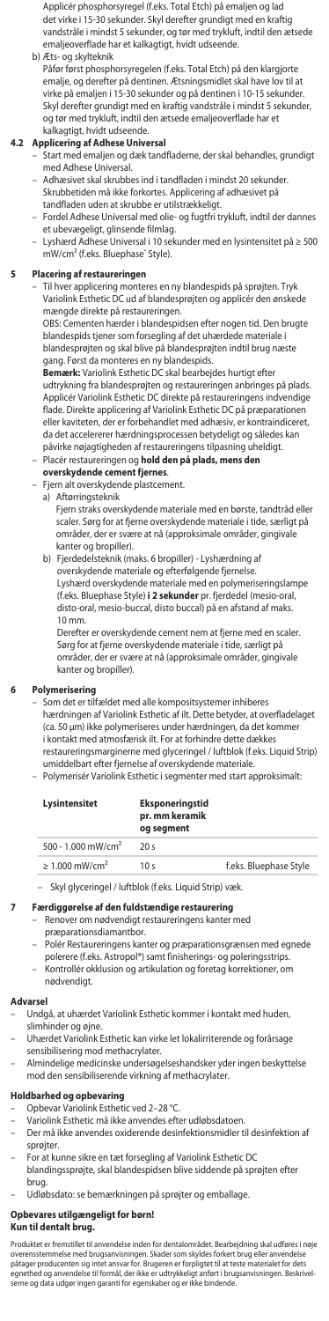Applicér phosphorsyregel (f.eks. Total Etch) på emaljen og lad det virke i 15-30 sekunder. Skyl derefter grundigt med en kraftig vandstråle i mindst 5 sekunder, og tør med trykluft, indtil den ætsede emaljeoverflade har et kalkagtigt, hvidt udsee b) Æts- og skylteknik

Påfør først phosphorsyregelen (f.eks. Total Etch) på den klargjorte emalje, og derefter på dentinen. Ætsningsmidlet skal have lov til at virke på emaljen i 15-30 sekunder og på dentinen i 10-15 sekunder. Skyl derefter grundigt med en kraftig vandstråle i mindst 5 sekunder, og tør med trykluft, indtil den ætsede emaljeoverflade har et kalkagtigt, hvidt udseende.

- **4.2 Applicering af Adhese Universal** Start med emaljen og dæk tandfladerne, der skal behandles, grundigt med Adhese Universal.
	- Adhæsivet skal skrubbes ind i tandfladen i mindst 20 sekunder. Skrubbetiden må ikke forkortes. Applicering af adhæsivet på tandfladen uden at skrubbe er utilstrækkeligt.
	- Fordel Adhese Universal med olie- og fugtfri trykluft, indtil der dannes et ubevægeligt, glinsende filmlag.
	- Lyshærd Adhese Universal i 10 sekunder med en lysintensitet på ≥ 500 mW/cm² (f.eks. Bluephase® Style).

# **5 Placering af restaureringen**

– Til hver applicering monteres en ny blandespids på sprøjten. Tryk Variolink Esthetic DC ud af blandesprøjten og applicér den ønsk

mængde direkte på restaureringen. OBS: Cementen hærder i blandespidsen efter nogen tid. Den brugte blandespids tjener som forsegling af det uhærdede materiale i blandesprøjten og skal blive på blandesprøjten indtil brug næste gang. Først da monteres en ny blandespids.

**Bemærk:** Variolink Esthetic DC skal bearbejdes hurtigt efter udtrykning fra blandesprøjten og restaureringen anbringes på plads. Applicér Variolink Esthetic DC direkte på restaureringens indvendige flade. Direkte applicering af Variolink Esthetic DC på præparationen eller kaviteten, der er forbehandlet med adhæsiv, er kontraindiceret, da det accelererer hærdningsprocessen betydeligt og således kan påvirke nøjagtigheden af restaureringens tilpasning uheldigt.

# – Placér restaureringen og **hold den på plads, mens den overskydende cement fjernes**.

- Fjern alt overskydende plastcement.
- a) Aftørringsteknik

Fjern straks overskydende materiale med en børste, tandtråd eller scaler. Sørg for at fjerne overskydende materiale i tide, særligt på områder, der er svære at nå (approksimale områder, gingivale kanter og bropiller).

 b) Fjerdedelsteknik (maks. 6 bropiller) - Lyshærdning af overskydende materiale og efterfølgende fjernelse. Lyshærd overskydende materiale med en polymeriseringslampe (f.eks. Bluephase Style) **i 2 sekunder** pr. fjerdedel (mesio-oral, disto-oral, mesio-buccal, disto buccal) på en afstand af maks. 10 mm.

Derefter er overskydende cement nem at fjerne med en scaler. Sørg for at fjerne overskydende materiale i tide, særligt på områder, der er svære at nå (approksimale områder, gingivale kanter og bropiller).

# **6 Polymerisering**

– Som det er tilfældet med alle kompositsystemer inhiberes hærdningen af Variolink Esthetic af ilt. Dette betyder, at overfladelaget (ca. 50 μm) ikke polymeriseres under hærdningen, da det kommer i kontakt med atmosfærisk ilt. For at forhindre dette dækkes restaureringsmarginerne med glyceringel / luftblok (f.eks. Liquid Strip) umiddelbart efter fjernelse af overskydende materiale.

– Polymerisér Variolink Esthetic i segmenter med start approksimalt:

| Lysintensitet                   | <b>Eksponerinastid</b><br>pr. mm keramik<br>og segment |                        |
|---------------------------------|--------------------------------------------------------|------------------------|
| 500 - 1.000 mW/cm <sup>2</sup>  | 20s                                                    |                        |
| $\geq 1.000$ mW/cm <sup>2</sup> | 10 <sub>s</sub>                                        | f.eks. Bluephase Style |

– Skyl glyceringel / luftblok (f.eks. Liquid Strip) væk.

**7 Færdiggørelse af den fuldstændige restaurering** – Renover om nødvendigt restaureringens kanter med

- præparationsdiamantbor.
- Polér Restaureringens kanter og præparationsgrænsen med egnede polerere (f.eks. Astropol®) samt finisherings- og poleringsstrips.
- Kontrollér okklusion og artikulation og foretag korrektioner, om nødvendigt.

### **Advarsel**

- Undgå, at uhærdet Variolink Esthetic kommer i kontakt med huden, slimhinder og øjne.
- Uhærdet Variolink Esthetic kan virke let lokalirriterende og forårsage sensibilisering mod methacrylater.
- Almindelige medicinske undersøgelseshandsker yder ingen beskyttelse mod den sensibiliserende virkning af methacrylater.

- **Holdbarhed og opbevaring**<br>– Opbevar Variolink Esthetic ved 2–28 °C.
- Variolink Esthetic må ikke anvendes efter udløbsdatoen.
- Der må ikke anvendes oxiderende desinfektionsmidler til desinfektion af sprøjter.
- For at kunne sikre en tæt forsegling af Variolink Esthetic DC blandingssprøjte, skal blandespidsen blive siddende på sprøjten efter
- brug.
- Udløbsdato: se bemærkningen på sprøjter og emballage.

## **Opbevares utilgængeligt for børn!**

## **Kun til dentalt brug.**

Produktet er fremstillet til anvendelse inden for dentalområdet. Bearbeigning skal udføres i nøje<br>overensstemmelse med brugsanvisningen. Skader som skyldes forkert brug eller anvendelse<br>påtager producenten sig intet ansvar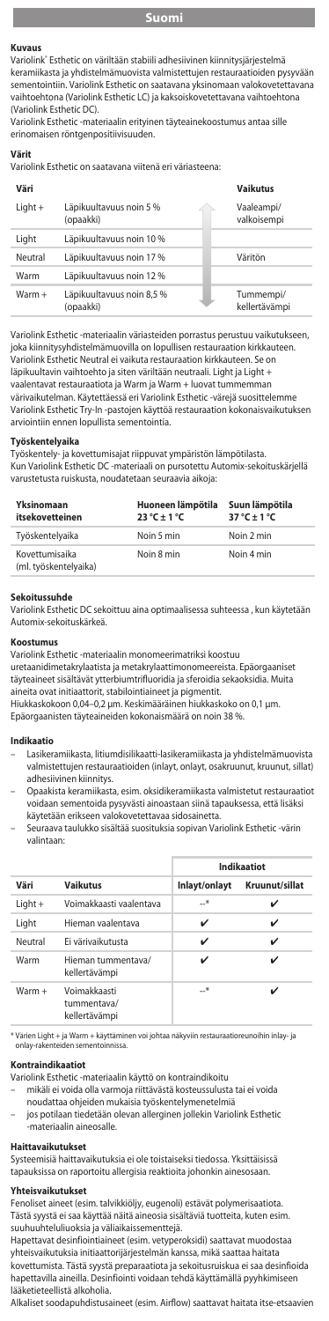**Kuvaus**<br>Variolink<sup>®</sup> Esthetic on väriltään stabiili adhesiivinen kiinnitysjärjestelmä keramiikasta ja yhdistelmämuovista valmistettujen restauraatioiden pysyvään sementointiin. Variolink Esthetic on saatavana yksinomaan valokovetettavana vaihtoehtona (Variolink Esthetic LC) ja kaksoiskovetettavana vaihtoehtona (Variolink Esthetic DC).

Variolink Esthetic -materiaalin erityinen täyteainekoostumus antaa sille erinomaisen röntgenpositiivisuuden.

**Värit**

Variolink Esthetic on saatavana viitenä eri väriasteena:

| Väri      |                                        | <b>Vaikutus</b>            |
|-----------|----------------------------------------|----------------------------|
| $Light +$ | Läpikuultavuus noin 5 %<br>(opaakki)   | Vaaleampi/<br>valkoisempi  |
| Light     | Läpikuultavuus noin 10 %               |                            |
| Neutral   | Läpikuultavuus noin 17 %               | Väritön                    |
| Warm      | Läpikuultavuus noin 12 %               |                            |
| $Warm +$  | Läpikuultavuus noin 8,5 %<br>(opaakki) | Tummempi/<br>kellertävämpi |

Variolink Esthetic -materiaalin väriasteiden porrastus perustuu vaikutukseen,<br>joka kiinnitysyhdistelmämuovilla on lopullisen restauraation kirkkauteen. joka kiinnitysyhdistelmämuovilla on lopullisen restau Variolink Esthetic Neutral ei vaikuta restauraation kirkkauteen. Se on läpikuultavin vaihtoehto ja siten väriltään neutraali. Light ja Light + vaalentavat restauraatiota ja Warm ja Warm + luovat tummemman värivaikutelman. Käytettäessä eri Variolink Esthetic -värejä suosittelemme Variolink Esthetic Try-In -pastojen käyttöä restauraation kokonaisvaikutuksen arviointiin ennen lopullista ser

#### **Työskentelyaika**

Työskentely- ja kovettumisajat riippuvat ympäristön lämpötilasta. Kun Variolink Esthetic DC -materiaali on pursotettu Automix-sekoituskärjellä varustetusta ruiskusta, noudatetaan seuraavia aikoja:

| Yksinomaan<br>itsekovetteinen           | Huoneen lämpötila<br>$23^{\circ}$ C + 1 $^{\circ}$ C | Suun lämpötila<br>$37^\circ C + 1^\circ C$ |
|-----------------------------------------|------------------------------------------------------|--------------------------------------------|
| Tvöskentelvaika                         | Noin 5 min                                           | Noin 2 min                                 |
| Kovettumisaika<br>(ml. työskentelyaika) | Noin 8 min                                           | Noin 4 min                                 |

#### **Sekoitussuhde**

Variolink Esthetic DC sekoittuu aina optimaalisessa suhteessa , kun käytetään Automix-sekoituskärkeä.

### **Koostum**

Variolink Esthetic -materiaalin monomeerimatriksi koostuu uretaanidimetakrylaatista ja metakrylaattimonomeereista. Epäorgaaniset täyteaineet sisältävät ytterbiumtrifluoridia ja sferoidia sekaoksidia. Muita

aineita ovat initiaattorit, stabilointiaineet ja pigmentit. Hiukkaskokoon 0,04–0,2 μm. Keskimääräinen hiukkaskoko on 0,1 μm. Epäorgaanisten täyteaineiden kokonaismäärä on noin 38 %.

#### **Indikaatio**

- Lasikeramiikasta, litiumdisilikaatti-lasikeramiikasta ja yhdistelmämuovista valmistettujen restauraatioiden (inlayt, onlayt, osakruunut, kruunut, sillat) adhesiivinen kiinnitys.
- Opaakista keramiikasta, esim. oksidikeramiikasta valmistetut restauraatiot voidaan sementoida pysyvästi ainoastaan siinä tapauksessa, että lisäksi käytetään erikseen valokovetettavaa sidosainetta.
- Seuraava taulukko sisältää suosituksia sopivan Variolink Esthetic -värin valintaan:

|           |                                              | Indikaatiot   |                |
|-----------|----------------------------------------------|---------------|----------------|
| Väri      | <b>Vaikutus</b>                              | Inlayt/onlayt | Kruunut/sillat |
| $Light +$ | Voimakkaasti vaalentava                      | $\rightarrow$ | ✓              |
| Light     | Hieman vaalentava                            | ✓             | ✓              |
| Neutral   | Ei värivaikutusta                            | v             | ✓              |
| Warm      | Hieman tummentava/<br>kellertävämpi          | ✓             | ✓              |
| $Warm +$  | Voimakkaasti<br>tummentava/<br>kellertävämpi | —*            | ✓              |

Värien Light + ja Warm + käyttäminen voi johtaa näkyviin restauraatioreunoihin inlay- ja<br>onlav-rakenteiden sementoinnissa. , *.*<br>enteiden seme

#### **Kontraindikaatiot**

- Variolink Esthetic -materiaalin käyttö on kontraindikoitu mikäli ei voida olla varmoja riittävästä kosteussulusta tai ei voida
	- noudattaa ohjeiden mukaisia työskentelymenetelmiä
	- jos potilaan tiedetään olevan allerginen jollekin Variolink Esthetic .<br>-materiaalin aineosalle

#### **Haittavaikutukset**

Systeemisiä haittavaikutuksia ei ole toistaiseksi tiedossa. Yksittäisissä tapauksissa on raportoitu allergisia reaktioita johonkin ainesosaan.

#### **Yhteisvaikutukset**

Fenoliset aineet (esim. talvikkiöljy, eugenoli) estävät polymerisaatiota. Tästä syystä ei saa käyttää näitä aineosia sisältäviä tuotteita, kuten esim. suuhuuhteluliuoksia ja väliaikaissementtejä.

Hapettavat desinfiointiaineet (esim. vetyperoksidi) saattavat muodostaa yhteisvaikutuksia initiaattorijärjestelmän kanssa, mikä saattaa haitata kovettumista. Tästä syystä preparaatiota ja sekoitusruiskua ei saa desinfioida hapettavilla aineilla. Desinfiointi voidaan tehdä käyttämällä pyyhkimiseen lääketieteellistä alkoholia.

Alkaliset soodapuhdistusaineet (esim. Airflow) saattavat haitata itse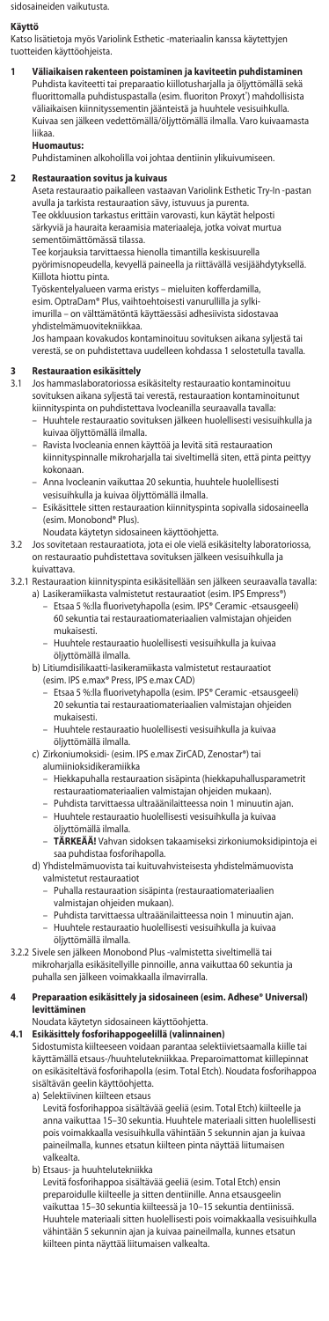sidosaineiden vaikutusta.

#### **Käyttö**

Katso lisätietoja myös Variolink Esthetic -materiaalin kanssa käytettyjen tuotteiden käyttöohjeista.

**1 Väliaikaisen rakenteen poistaminen ja kaviteetin puhdistaminen** Puhdista kaviteetti tai preparaatio kiillotusharjalla ja öljyttömällä sekä fluorittomalla puhdistuspastalla (esim. fluoriton Proxyt') mahdollisista väliaikaisen kiinnityssementin jäänteistä ja huuhtele vesisuihkulla. Kuivaa sen jälkeen vedettömällä/öljyttömällä ilmalla. Varo kuivaamasta liikaa.

#### **Huomautus:**

Puhdistaminen alkoholilla voi johtaa dentiinin ylikuivumisee

#### **2 Restauraation sovitus ja kuivaus**

Aseta restauraatio paikalleen vastaavan Variolink Esthetic Try-In -pastan avulla ja tarkista restauraation sävy, istuvuus ja purenta.

Tee okkluusion tarkastus erittäin varovasti, kun käytät helposti särkyviä ja hauraita keraamisia materiaaleja, jotka voivat murtua sementöimättömässä tilassa.

Tee korjauksia tarvittaessa hienolla timantilla keskisuurella pyörimisnopeudella, kevyellä paineella ja riittävällä vesijäähdytyksellä. Kiillota hiottu pinta.

Työskentelyalueen varma eristys – mieluiten kofferdamilla,

esim. OptraDam® Plus, vaihtoehtoisesti vanurullilla ja sylki-

imurilla – on välttämätöntä käyttäessäsi adhesiivista sidostavaa yhdistelmämuovitekniikkaa.

Jos hampaan kovakudos kontaminoituu sovituksen aikana syljestä tai verestä, se on puhdistettava uudelleen kohdassa 1 selostetulla tavalla.

# **3 Restauraation esikäsittely**

- 1 **Assiauraation Canuarticity**<br>Jos hammaslaboratoriossa esikäsitelty restauraatio kontaminoituu sovituksen aikana syljestä tai verestä, restauraation kontaminoitunut
	- kiinnityspinta on puhdistettava Ivocleanilla seuraavalla tavalla: Huuhtele restauraatio sovituksen jälkeen huolellisesti vesisuihkulla ja kuivaa öljyttömällä ilmalla.
	- Ravista Ivocleania ennen käyttöä ja levitä sitä restauraation kiinnityspinnalle mikroharjalla tai siveltimellä siten, että pinta peittyy kokonaan.
	- Anna Ivocleanin vaikuttaa 20 sekuntia, huuhtele huolellisesti vesisuihkulla ja kuivaa öljyttömällä ilmalla.
	- Esikäsittele sitten restauraation kiinnityspinta sopivalla sidosaineella (esim. Monobond® Plus).
	- Noudata käytetyn sidosaineen käyttöohjetta.
- 3.2 Jos sovitetaan restauraatiota, jota ei ole vielä esikäsitelty laboratoriossa, on restauraatio puhdistettava sovituksen jälkeen vesisuihkulla ja kuivattava.

3.2.1 Restauraation kiinnityspinta esikäsitellään sen jälkeen seuraavalla tavalla:

- a) Lasikeramiikasta valmistetut restauraatiot (esim. IPS Empress®) Etsaa 5 %:lla fluorivetyhapolla (esim. IPS® Ceramic -etsausgeeli) 60 sekuntia tai restauraatiomateriaalien valmistajan ohjeiden mukaisesti.
	- Huuhtele restauraatio huolellisesti vesisuihkulla ja kuivaa öljyttömällä ilmalla.
	- b) Litiumdisilikaatti-lasikeramiikasta valmistetut restauraatiot (esim. IPS e.max® Press, IPS e.max CAD)
		- Etsaa 5 %:lla fluorivetyhapolla (esim. IPS® Ceramic -etsausgeeli) 20 sekuntia tai restauraatiomateriaalien valmistajan ohjeiden mukaisesti.
		- Huuhtele restauraatio huolellisesti vesisuihkulla ja kuivaa öljyttömällä ilmalla.
	- c) Zirkoniumoksidi- (esim. IPS e.max ZirCAD, Zenostar®) tai alumiinioksidikeramiikka
		- Hiekkapuhalla restauraation sisäpinta (hiekkapuhallusparametrit restauraatiomateriaalien valmistajan ohjeiden mukaan).
		- Puhdista tarvittaessa ultraäänilaitteessa noin 1 minuutin ajan.
		- Huuhtele restauraatio huolellisesti vesisuihkulla ja kuivaa öljyttömällä ilmalla.
		- **TÄRKEÄÄ!** Vahvan sidoksen takaamiseksi zirkoniumoksidipintoja ei saa puhdistaa fosforihapolla.
	- d) Yhdistelmämuovista tai kuituvahvisteisesta yhdistelmämuovista valmistetut restauraatiot
		- Puhalla restauraation sisäpinta (restauraatiomateriaalien
		- valmistajan ohjeiden mukaan).
		- Puhdista tarvittaessa ultraäänilaitteessa noin 1 minuutin ajan. – Huuhtele restauraatio huolellisesti vesisuihkulla ja kuivaa öljyttömällä ilmalla.
- 3.2.2 Sivele sen jälkeen Monobond Plus -valmistetta siveltimellä tai mikroharjalla esikäsitellyille pinnoille, anna vaikuttaa 60 sekuntia ja puhalla sen jälkeen voimakkaalla ilmavirralla.

#### **4 Preparaation esikäsittely ja sidosaineen (esim. Adhese® Universal) levittäminen**

Noudata käytetyn sidosaineen käyttöohjetta.

# **4.1 Esikäsittely fosforihappogeelillä (valinnainen)**

Sidostumista kiilteeseen voidaan parantaa selektiivietsaamalla kiille tai käyttämällä etsaus-/huuhtelutekniikkaa. Preparoimattomat kiillepinnat on esikäsiteltävä fosforihapolla (esim. Total Etch). Noudata fosforihappoa sisältävän geelin käyttöohjetta.

a) Selektiivinen kiilteen etsaus

Levitä fosforihappoa sisältävää geeliä (esim. Total Etch) kiilteelle ja anna vaikuttaa 15–30 sekuntia. Huuhtele materiaali sitten huolellisesti pois voimakkaalla vesisuihkulla vähintään 5 sekunnin ajan ja kuivaa paineilmalla, kunnes etsatun kiilteen pinta näyttää liitumaisen .<br>valkealta.

b) Etsaus- ja huuhtelutekniikka Levitä fosforihappoa sisältävää geeliä (esim. Total Etch) ensin preparoidulle kiilteelle ja sitten dentiinille. Anna etsausgeelin vaikuttaa 15–30 sekuntia kiilteessä ja 10–15 sekuntia dentiinissä. Huuhtele materiaali sitten huolellisesti pois voimakkaalla vesisuihkulla vähintään 5 sekunnin ajan ja kuivaa paineilmalla, kunnes etsatun kiilteen pinta näyttää liitumaisen valkealta.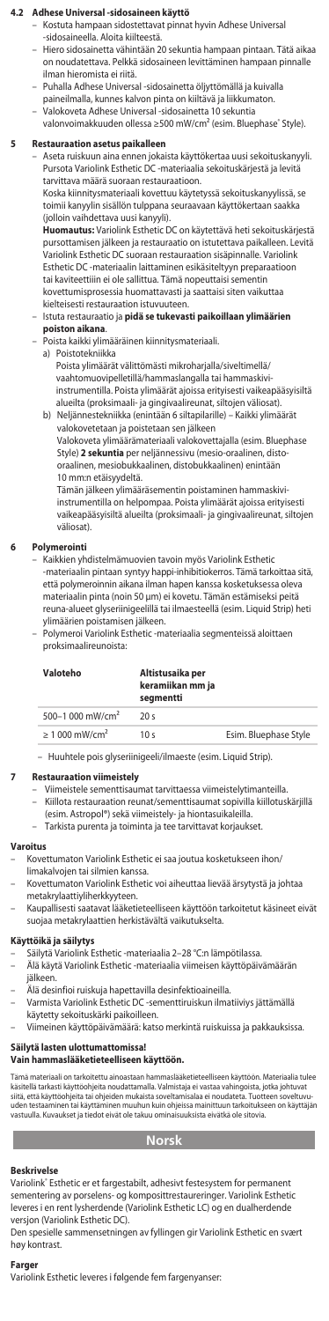# **4.2 Adhese Universal -sidosaineen käyttö**

- Kostuta hampaan sidostettavat pinnat hyvin Adhese Universal -sidosaineella. Aloita kiilteestä.
- Hiero sidosainetta vähintään 20 sekuntia hampaan pintaan. Tätä aikaa on noudatettava. Pelkkä sidosaineen levittäminen hampaan pinnalle ilman hieromista ei riitä.
- Puhalla Adhese Universal -sidosainetta öljyttömällä ja kuivalla paineilmalla, kunnes kalvon pinta on kiiltävä ja liikkumaton.
- Valokoveta Adhese Universal -sidosainetta 10 sekuntia valonvoimakkuuden ollessa ≥500 mW/cm² (esim. Bluephase® Style).

# **5 Restauraation asetus paikalleen**

– Aseta ruiskuun aina ennen jokaista käyttökertaa uusi sekoituskanyyli. Pursota Variolink Esthetic DC -materiaalia sekoituskärjestä ja levitä tarvittava määrä suoraan restauraatioon.

Koska kiinnitysmateriaali kovettuu käytetyssä sekoituskanyylissä, se toimii kanyylin sisällön tulppana seuraavaan käyttökertaan saakka (jolloin vaihdettava uusi kanyyli).

**Huomautus:** Variolink Esthetic DC on käytettävä heti sekoituskärjestä pursottamisen jälkeen ja restauraatio on istutettava paikalleen. Levitä Variolink Esthetic DC suoraan restauraation sisäpinnalle. Variolink Esthetic DC -materiaalin laittaminen esikäsiteltyyn preparaatioon tai kaviteettiiin ei ole sallittua. Tämä nopeuttaisi sementin kovettumisprosessia huomattavasti ja saattaisi siten vaikuttaa kielteisesti restauraation istuvuuteen.

#### – Istuta restauraatio ja **pidä se tukevasti paikoillaan ylimäärien poiston aikana**.

- Poista kaikki ylimääräinen kiinnitysmateriaali.
	- a) Poistotekniikka

Poista ylimäärät välittömästi mikroharjalla/siveltimellä/ vaahtomuovipelletillä/hammaslangalla tai hammaskiviinstrumentilla. Poista ylimäärät ajoissa erityisesti vaikeapääsyisiltä alueilta (proksimaali- ja gingivaalireunat, siltojen väliosat). b) Neljännestekniikka (enintään 6 siltapilarille) – Kaikki ylimäärät

valokovetetaan ja poistetaan sen jälkeen Valokoveta ylimäärämateriaali valokovettajalla (esim. Bluephase Style) **2 sekuntia** per neljännessivu (mesio-oraalinen, distooraalinen, mesiobukkaalinen, distobukkaalinen) enintään 10 mm:n etäisyydeltä.

Tämän jälkeen ylimääräsementin poistaminen hammaskiviinstrumentilla on helpompaa. Poista ylimäärät ajoissa erityisesti vaikeapääsyisiltä alueilta (proksimaali- ja gingivaalireunat, siltojen väliosat).

#### **6 Polymerointi**

- Kaikkien yhdistelmämuovien tavoin myös Variolink Esthetic .<br>Ilin pintaan syntyy happi-inhibitiokerros. Tämä tarkoittaa sitä, että polymeroinnin aikana ilman hapen kanssa kosketuksessa oleva<br>materiaalin pinta (noin 50 μm) ei kovetu. Tämän estämiseksi peitä<br>reuna-alueet glyseriinigeelillä tai ilmaesteellä (esim. Liquid Strip) heti ylimäärien poistamisen jälkeen.
- Polymeroi Variolink Esthetic -materiaalia segmenteissä aloittaen proksimaalireunoista:

| Valoteho                       | Altistusaika per<br>keramiikan mm ja<br>segmentti |                       |
|--------------------------------|---------------------------------------------------|-----------------------|
| 500-1 000 mW/cm <sup>2</sup>   | 20s                                               |                       |
| $\geq 1000$ mW/cm <sup>2</sup> | 10 <sub>s</sub>                                   | Esim. Bluephase Style |

– Huuhtele pois glyseriinigeeli/ilmaeste (esim. Liquid Strip).

#### **7 Restauraation viimeistely**

– Viimeistele sementtisaumat tarvittaessa viimeistelytimanteilla.

- Kiillota restauraation reunat/sementtisaumat sopivilla kiillotuskärjillä<br>(esim Astronol®) sekä viimeistely- ja hiontasuikaleilla (esim. Astropol®) sekä viimeistely- ja hiontasuika
	- Tarkista purenta ja toiminta ja tee tarvittavat korjaukset.

# **Varoitus**

- Kovettumaton Variolink Esthetic ei saa joutua kosketukseen ihon/ limakalvojen tai silmien kanssa.
- Kovettumaton Variolink Esthetic voi aiheuttaa lievää ärsytystä ja johtaa
- metakrylaattiyliherkkyyteen. Kaupallisesti saatavat lääketieteelliseen käyttöön tarkoitetut käsineet eivät suojaa metakrylaattien herkistävältä vaikutukselta.

### **Käyttöikä ja säilytys**

- 
- Säilytä Variolink Esthetic -materiaalia 2–28 °C:n lämpötilassa. Älä käytä Variolink Esthetic -materiaalia viimeisen käyttöpäivämäärän jälkeen.
- Älä desinfioi ruiskuja hapettavilla desinfektioaineilla. Varmista Variolink Esthetic DC -sementtiruiskun ilmatiiviys jättämällä
	- käytetty sekoituskärki paikoilleen.
- Viimeinen käyttöpäivämäärä: katso merkintä ruiskuissa ja pakkauksissa.

#### **Säilytä lasten ulottumattomissa! Vain hammaslääketieteelliseen käyttöön.**

Tämä materiaali on tarkoitettu ainoastaan hanmastääketitelelliseen käyttöön. Materiaalia tulee<br>käsitellä tarkasti käyttööhjeita noudattamalla. Valmistaja ei vastaa vahingoista, jotka johtuvat<br>siitä, että käyttööhjeita tai

# **Norsk**

#### **Beskrivelse**

Variolink® Esthetic er et fargestabilt, adhesivt festesystem for permanent sementering av porselens- og komposittrestaureringer. Variolink Esthetic leveres i en rent lysherdende (Variolink Esthetic LC) og en dualherdende versjon (Variolink Esthetic DC).

Den spesielle sammensetningen av fyllingen gir Variolink Esthetic en svært høy kontrast.

#### **Farger**

Variolink Esthetic leveres i følgende fem fargenyanser: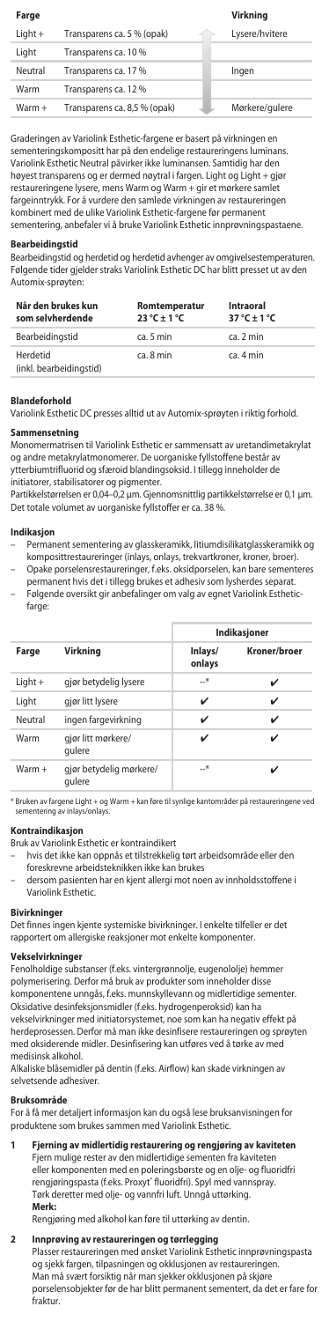#### **Farge Virkning**

| $Light +$ | Transparens ca. 5 % (opak)   | Lysere/hvitere |
|-----------|------------------------------|----------------|
| Light     | Transparens ca. 10 %         |                |
| Neutral   | Transparens ca. 17 %         | Ingen          |
| Warm      | Transparens ca. 12 %         |                |
| Warm +    | Transparens ca. 8,5 % (opak) | Mørkere/gulere |

Graderingen av Variolink Esthetic-fargene er basert på virkningen en sementeringskompositt har på den endelige restaureringens luminans. Variolink Esthetic Neutral påvirker ikke luminansen. Samtidig har den høyest transparens og er dermed nøytral i fargen. Light og Light + gjør restaureringene lysere, mens Warm og Warm + gir et mørkere samlet fargeinntrykk. For å vurdere den samlede virkningen av restaureringen kombinert med de ulike Variolink Esthetic-fargene før permanent sementering, anbefaler vi å bruke Variolink Esthetic innprøvningspastaene.

#### **Bearbeidingstid**

Bearbeidingstid og herdetid og herdetid avhenger av omgivelsestemperaturen. Følgende tider gjelder straks Variolink Esthetic DC har blitt presset ut av den Automix-sprøyten:

| Når den brukes kun<br>som selvherdende | Romtemperatur<br>$23^{\circ}$ C ± 1 $^{\circ}$ C | Intraoral<br>$37^\circ C + 1^\circ C$ |
|----------------------------------------|--------------------------------------------------|---------------------------------------|
| Bearbeidingstid                        | ca. 5 min.                                       | ca. 2 min                             |
| Herdetid<br>(inkl. bearbeidingstid)    | ca. 8 min                                        | ca. 4 min                             |

#### **Blandeforhold**

Variolink Esthetic DC presses alltid ut av Automix-sprøyten i riktig forhold.

# **Sammensetning**

Monomermatrisen til Variolink Esthetic er sammensatt av uretandimetakrylat og andre metakrylatmonomerer. De uorganiske fyllstoffene består av ytterbiumtrifluorid og sfæroid blandingsoksid. I tillegg inneholder de

initiatorer, stabilisatorer og pigmenter. Partikkelstørrelsen er 0,04–0,2 μm. Gjennomsnittlig partikkelstørrelse er 0,1 µm. Det totale volumet av uorganiske fyllstoffer er ca. 38 %.

#### **Indikasjon**

- Permanent sementering av glasskeramikk, litiumdisilikatglasskeramikk og komposittrestaureringer (inlays, onlays, trekvartkroner, kroner, broer). – Opake porselensrestaureringer, f.eks. oksidporselen, kan bare sementeres
- permanent hvis det i tillegg brukes et adhesiv som lysherdes separat. – Følgende oversikt gir anbefalinger om valg av egnet Variolink Esthetic-
- farge:

|           |                                   |                   | Indikasjoner |
|-----------|-----------------------------------|-------------------|--------------|
| Farge     | Virkning                          | Inlays/<br>onlays | Kroner/broer |
| $Light +$ | gjør betydelig lysere             | $\rightarrow$     | ✓            |
| Light     | gjør litt lysere                  | ✓                 |              |
| Neutral   | ingen fargevirkning               | ✓                 | ✓            |
| Warm      | gjør litt mørkere/<br>qulere      | ✓                 |              |
| $Warm +$  | gjør betydelig mørkere/<br>aulere | $\rightarrow$     |              |

\* Bruken av fargene Light + og Warm + kan føre til synlige kantområder på restaureringene ved sementering av inlays/onlay

**Kontraindikasjon** Bruk av Variolink Esthetic er kontraindikert

- hvis det ikke kan oppnås et tilstrekkelig tørt arbeidsområde eller den foreskrevne arbeidsteknikken ikke kan brukes
- dersom pasienten har en kjent allergi mot noen av innholdsstoffene i Variolink Esthetic.

### **Bivirkninger**

Det finnes ingen kjente systemiske bivirkninger. I enkelte tilfeller er det rapportert om allergiske reaksjoner mot enkelte komponenter.

# **Vekselvirkninger**

Fenolholdige substanser (f.eks. vintergrønnolje, eugenololje) hemmer polymerisering. Derfor må bruk av produkter som inneholder disse .<br>nponentene unngås, f.eks. munnskyllevann og midlertidige sementer. Oksidative desinfeksjonsmidler (f.eks. hydrogenperoksid) kan ha vekselvirkninger med initiatorsystemet, noe som kan ha negativ effekt på herdeprosessen. Derfor må man ikke desinfisere restaureringen og sprøyten ed oksiderende midler. Desinfisering kan utføres ved å tørke av med medisinsk alkohol.

Alkaliske blåsemidler på dentin (f.eks. Airflow) kan skade virkningen av selvetsende adhesiver.

#### **Bruksområde**

For å få mer detaljert informasjon kan du også lese bruksanvisningen for produktene som brukes sammen med Variolink Esthetic.

**1 Fjerning av midlertidig restaurering og rengjøring av kaviteten** Fjern mulige rester av den midlertidige sementen fra kaviteten

eller komponenten med en poleringsbørste og en olje- og fluoridfri<br>rengjøringspasta (f.eks. Proxyt® fluoridfri). Spyl med vannspray. Tørk deretter med olje- og vannfri luft. Unngå uttørking. **Merk:**

Rengjøring med alkohol kan føre til uttørking av dentin.

# **2 Innprøving av restaureringen og tørrlegging**

Plasser restaureringen med ønsket Variolink Esthetic innprøvningspasta og sjekk fargen, tilpasningen og okklusjonen av restaureringen. Man må svært forsiktig når man sjekker okklusjonen på skjøre porselensobjekter før de har blitt permanent sementert, da det er fare for fraktur.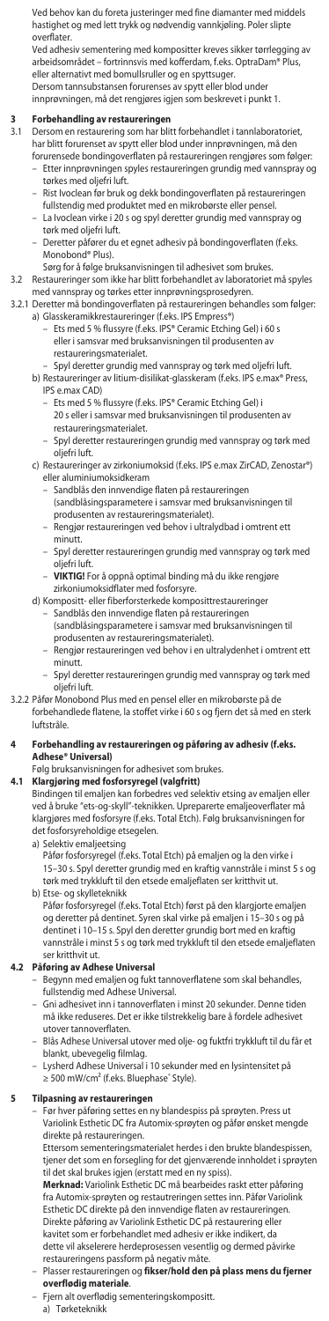Ved behov kan du foreta justeringer med fine diamanter med middels hastighet og med lett trykk og nødvendig vannkjøling. Poler slipte overflater. Ved adhesiv sementering med kompositter kreves sikker tørrlegging av

arbeidsområdet – fortrinnsvis med kofferdam, f.eks. OptraDam® Plus, eller alternativt med bomullsruller og en spyttsuge

Dersom tannsubstansen forurenses av spytt eller blod under innprøvningen, må det rengjøres igjen som beskrevet i punkt 1.

- **3 Forbehandling av restaureringen** 3.1 Dersom en restaurering som har blitt forbehandlet i tannlaboratoriet, har blitt forurenset av spytt eller blod under innprøvningen, må den forurensede bondingoverflaten på restaureringen rengjøres som følger:
	- Etter innprøvningen spyles restaureringen grundig med vannspray og tørkes med oljefri luft.
	- Rist Ivoclean før bruk og dekk bondingoverflaten på restaureringen fullstendig med produktet med en mikrobørste eller pensel. – La Ivoclean virke i 20 s og spyl deretter grundig med vannspray og
	- tørk med oljefri luft. – Deretter påfører du et egnet adhesiv på bondingoverflaten (f.eks. Monobond® Plus).
	- Sørg for å følge bruksanvisningen til adhesivet som brukes.

# 3.2 Restaureringer som ikke har blitt forbehandlet av laboratoriet må spyles med vannspray og tørkes etter innprøvningsprosedyren.

- 3.2.1 Deretter må bondingoverflaten på restaureringen behandles som følger:
- a) Glasskeramikkrestaureringer (f.eks. IPS Empress®) Ets med 5 % flussyre (f.eks. IPS® Ceramic Etching Gel) i 60 s eller i samsvar med bruksanvisningen til produsenten av restaureringsmaterialet.
	- Spyl deretter grundig med vannspray og tørk med oljefri luft. b) Restaureringer av litium-disilikat-glasskeram (f.eks. IPS e.max® Press,
		- IPS e.max CAD)
			- Ets med 5 % flussyre (f.eks. IPS® Ceramic Etching Gel) i 20 s eller i samsvar med bruksanvisningen til produsenten av
			- restaureringsmaterialet. – Spyl deretter restaureringen grundig med vannspray og tørk med oljefri luft.
	- c) Restaureringer av zirkoniumoksid (f.eks. IPS e.max ZirCAD, Zenostar®) eller aluminiumoksidkeram
		- Sandblås den innvendige flaten på restaureringen (sandblåsingsparametere i samsvar med bruksanvisningen til
		- produsenten av restaureringsmaterialet). – Rengjør restaureringen ved behov i ultralydbad i omtrent ett minutt.
		- Spyl deretter restaureringen grundig med vannspray og tørk med oljefri luft.
		- **VIKTIG!** For å oppnå optimal binding må du ikke rengjøre zirkoniumoksidflater med fosforsyre.

### d) Kompositt- eller fiberforsterkede komposittrestaureringer

- Sandblås den innvendige flaten på restaureringen (sandblåsingsparametere i samsvar med bruksanvisningen til produsenten av restaureringsmaterialet).
	- Rengjør restaureringen ved behov i en ultralydenhet i omtrent ett minutt.
	- Spyl deretter restaureringen grundig med vannspray og tørk med oljefri luft.
- 3.2.2 Påfør Monobond Plus med en pensel eller en mikrobørste på de forbehandlede flatene, la stoffet virke i 60 s og fjern det så med en sterk luftstråle.
- **4 Forbehandling av restaureringen og påføring av adhesiv (f.eks. Adhese® Universal)**
	- Følg bruksanvisningen for adhesivet som brukes.

**4.1 Klargjøring med fosforsyregel (valgfritt)** Bindingen til emaljen kan forbedres ved selektiv etsing av emaljen eller ved å bruke "ets-og-skyll"-teknikken. Upreparerte emaljeoverflater må klargjøres med fosforsyre (f.eks. Total Etch). Følg bruksanvisningen for det fosforsyreholdige etsegelen.

- a) Selektiv emaljeetsing
- Påfør fosforsyregel (f.eks. Total Etch) på emaljen og la den virke i 15–30 s. Spyl deretter grundig med en kraftig vannstråle i minst 5 s og tørk med trykkluft til den etsede emaljeflaten ser kritthvit ut. b) Etse- og skylleteknikk
- Påfør fosforsyregel (f.eks. Total Etch) først på den klargjorte emaljen og deretter på dentinet. Syren skal virke på emaljen i 15–30 s og på dentinet i 10–15 s. Spyl den deretter grundig bort med en kraftig vannstråle i minst 5 s og tørk med trykkluft til den etsede emaljeflaten ser kritthvit ut.

- **4.2 Påføring av Adhese Universal** Begynn med emaljen og fukt tannoverflatene som skal behandles, fullstendig med Adhese Universal.
	- Gni adhesivet inn i tannoverflaten i minst 20 sekunder. Denne tiden må ikke reduseres. Det er ikke tilstrekkelig bare å fordele adhesivet utover tannoverflaten.
	- Blås Adhese Universal utover med olje- og fuktfri trykkluft til du får et blankt, ubevegelig filmlag.
	- Lysherd Adhese Universal i 10 sekunder med en lysintensitet på ≥ 500 mW/cm² (f.eks. Bluephase® Style).

**5 Tilpasning av restaureringen** – Før hver påføring settes en ny blandespiss på sprøyten. Press ut Variolink Esthetic DC fra Automix-sprøyten og påfør ønsket mengde direkte på restaureringen.<br>Ettersom sementeringsmi

.<br>m sementeringsmaterialet herdes i den brukte blandespissen tjener det som en forsegling for det gjenværende innholdet i sprøyten

til det skal brukes igjen (erstatt med en ny spiss). **Merknad:** Variolink Esthetic DC må bearbeides raskt etter påføring fra Automix-sprøyten og restautreringen settes inn. Påfør Variolink Esthetic DC direkte på den innvendige flaten av restaureringen. Direkte påføring av Variolink Esthetic DC på restaurering eller kavitet som er forbehandlet med adhesiv er ikke indikert, da dette vil akselerere herdeprosessen vesentlig og dermed påvirke restaureringens passform på negativ måte.

# – Plasser restaureringen og **fikser/hold den på plass mens du fjerner**

**overflødig materiale**. – Fjern alt overflødig sementeringskompositt. a) Tørketeknikk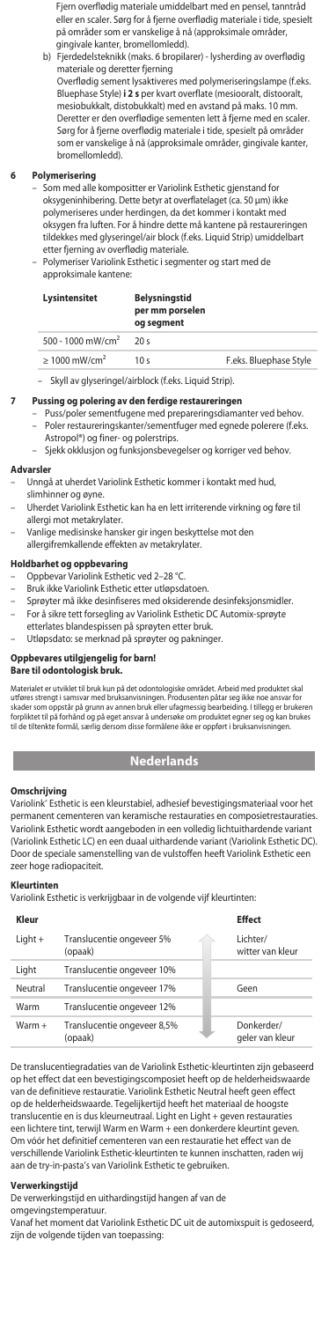Fjern overflødig materiale umiddelbart med en pensel, tanntråd eller en scaler. Sørg for å fjerne overflødig materiale i tide, spesielt på områder som er vanskelige å nå (approksimale områder, gingivale kanter, bromellomledd).

 b) Fjerdedelsteknikk (maks. 6 bropilarer) - lysherding av overflødig materiale og deretter fjerning Overflødig sement lysaktiveres med polymeriseringslampe (f.eks. Bluephase Style) **i 2 s** per kvart overflate (mesiooralt, distooralt, mesiobukkalt, distobukkalt) med en avstand på maks. 10 mm. Deretter er den overflødige sementen lett å fjerne med en scaler. Sørg for å fjerne overflødig materiale i tide, spesielt på områder som er vanskelige å nå (approksimale områder, gingivale kanter, bromellomledd).

# **6 Polymerisering**

- Som med alle kompositter er Variolink Esthetic gjenstand for oksygeninhibering. Dette betyr at overflatelaget (ca. 50 μm) ikke polymeriseres under herdingen, da det kommer i kontakt med oksygen fra luften. For å hindre dette må kantene på restaureringen tildekkes med glyseringel/air block (f.eks. Liquid Strip) umiddelbart etter fjerning av overflødig materiale.
- Polymeriser Variolink Esthetic i segmenter og start med de approksimale kantene:

### **Lysintensitet Belysningstid**

# **per mm porselen og segment** 500 - 1000 mW/cm² 20 s ≥ 1000 mW/cm² 10 s F.eks. Bluephase Style

– Skyll av glyseringel/airblock (f.eks. Liquid Strip).

### **7 Pussing og polering av den ferdige restaureringen**

- Puss/poler sementfugene med prepareringsdiamanter ved behov. – Poler restaureringskanter/sementfuger med egnede polerere (f.eks.
	- Astropol®) og finer- og polerstrips.
	- Sjekk okklusjon og funksjonsbevegelser og korriger ved behov.

#### **Advarsler**

- Unngå at uherdet Variolink Esthetic kommer i kontakt med hud, slimhinner og øyne.
- Uherdet Variolink Esthetic kan ha en lett irriterende virkning og føre til allergi mot metakrylater.
- Vanlige medisinske hansker gir ingen beskyttelse mot den
- allergifremkallende effekten av metakrylater.

# **Holdbarhet og oppbevaring**<br>- Oppbevar Variolink Esthet

- Variolink Esthetic ved 2–28 °C
	- Bruk ikke Variolink Esthetic etter utløpsdatoen.
	- Sprøyter må ikke desinfiseres med oksiderende desinfeksjonsmidler.
- For å sikre tett forsegling av Variolink Esthetic DC Automix-sprøyte
- etterlates blandespissen på sprøyten etter bruk.
	- Utløpsdato: se merknad på sprøyter og pakninger.

### **Oppbevares utilgjengelig for barn!**

**Bare til odontologisk bruk.**

Materialet er urvildet til bruk kun på det odontologiske området. Arbeid med produktet skal<br>utføres strengt i samsvar med bruksanvisningen. Produsenten påtar seg ikke noe ansvar for<br>skader som oppstår på grunn av annen bru

# **Nederlands**

# **Omschrijving**

Variolink® Esthetic is een kleurstabiel, adhesief bevestigingsmateriaal voor het permanent cementeren van keramische restauraties en composietrestauraties. Variolink Esthetic wordt aangeboden in een volledig lichtuithardende variant (Variolink Esthetic LC) en een duaal uithardende variant (Variolink Esthetic DC). Door de speciale samenstelling van de vulstoffen heeft Variolink Esthetic een zeer hoge radiopaciteit

### **Kleurtinten**

Variolink Esthetic is verkrijgbaar in de volgende vijf kleurtinten:

| Kleur     |                                        | <b>Effect</b>                 |
|-----------|----------------------------------------|-------------------------------|
| $Light +$ | Translucentie ongeveer 5%<br>(opaak)   | Lichter/<br>witter van kleur  |
| Light     | Translucentie ongeveer 10%             |                               |
| Neutral   | Translucentie ongeveer 17%             | Geen                          |
| Warm      | Translucentie ongeveer 12%             |                               |
| $Warm +$  | Translucentie ongeveer 8,5%<br>(opaak) | Donkerder/<br>geler van kleur |

De translucentiegradaties van de Variolink Esthetic-kleurtinten zijn gebaseerd op het effect dat een bevestigingscomposiet heeft op de helderheidswaarde van de definitieve restauratie. Variolink Esthetic Neutral heeft geen effect op de helderheidswaarde. Tegelijkertijd heeft het materiaal de hoogste translucentie en is dus kleurneutraal. Light en Light + geven restauraties een lichtere tint, terwijl Warm en Warm + een donkerdere kleurtint geven. Om vóór het definitief cementeren van een restauratie het effect van de verschillende Variolink Esthetic-kleurtinten te kunnen inschatten, raden wij aan de try-in-pasta's van Variolink Esthetic te gebruiken.

### **Verwerkingstijd**

De verwerkingstijd en uithardingstijd hangen af van de

omgevingstemperatuur. Vanaf het moment dat Variolink Esthetic DC uit de automixspuit is gedoseerd, zijn de volgende tijden van toepassing: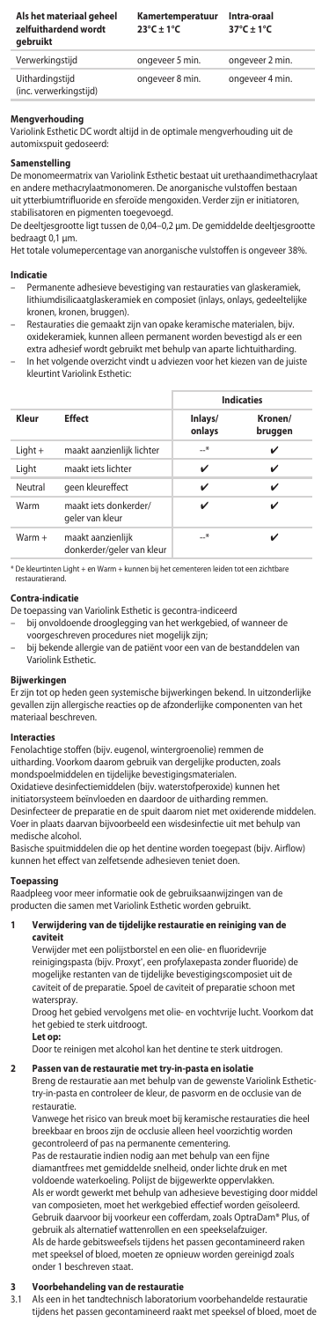| Als het materiaal geheel<br>zelfuithardend wordt<br>aebruikt | Kamertemperatuur<br>$23^{\circ}$ C + 1 $^{\circ}$ C | Intra-oraal<br>$37^{\circ}$ C + 1°C |
|--------------------------------------------------------------|-----------------------------------------------------|-------------------------------------|
| Verwerkingstijd                                              | ongeveer 5 min.                                     | ongeveer 2 min.                     |
| Uithardingstijd<br>(inc. verwerkingstiid)                    | ongeveer 8 min.                                     | ongeveer 4 min.                     |

#### **Mengverhouding**

Variolink Esthetic DC wordt altijd in de optimale mengverhouding uit de automixspuit gedoseerd:

# **Samenstelling**

De monomeermatrix van Variolink Esthetic bestaat uit urethaandimethacrylaat en andere methacrylaatmonomeren. De anorganische vulstoffen bestaan uit ytterbiumtrifluoride en sferoïde mengoxiden. Verder zijn er initiatoren stabilisatoren en pigmenten toegevoegd.

De deeltjesgrootte ligt tussen de 0,04–0,2 μm. De gemiddelde deeltjesgrootte bedraagt 0,1 µm.

Het totale volumepercentage van anorganische vulstoffen is ongeveer 38%.

### **Indicatie**

- Permanente adhesieve bevestiging van restauraties van glaskeramiek, lithiumdisilicaatglaskeramiek en composiet (inlays, onlays, gedeeltelijke kronen, kronen, bruggen).
- Restauraties die gemaakt zijn van opake keramische materialen, bijv. oxidekeramiek, kunnen alleen permanent worden bevestigd als er een extra adhesief wordt gebruikt met behulp van aparte lichtuitharding. – In het volgende overzicht vindt u adviezen voor het kiezen van de juiste
- kleurtint Variolink Esthetic:

|           | <b>Effect</b>                                  | <b>Indicaties</b> |                    |
|-----------|------------------------------------------------|-------------------|--------------------|
| Kleur     |                                                | Inlays/<br>onlays | Kronen/<br>bruggen |
| $Light +$ | maakt aanzienlijk lichter                      | *                 | ✓                  |
| Light     | maakt jets lichter                             | ✓                 | ✓                  |
| Neutral   | geen kleureffect                               | ✓                 | ✓                  |
| Warm      | maakt jets donkerder/<br>geler van kleur       | ✓                 |                    |
| $Warm +$  | maakt aanzienlijk<br>donkerder/geler van kleur | $-$ *             |                    |

\* De kleurtinten Light + en Warm + kunnen bij het cementeren leiden tot een zichtbare restauratierand.

#### **Contra-indicatie**

De toepassing van Variolink Esthetic is gecontra-indiceerd

- bij onvoldoende drooglegging van het werkgebied, of wanneer de
- voorgeschreven procedures niet mogelijk zijn;
- bij bekende allergie van de patiënt voor een van de bestanddelen van Variolink Esthetic

# **Bijwerkingen**

Er zijn tot op heden geen systemische bijwerkingen bekend. In uitzonderlijke gevallen zijn allergische reacties op de afzonderlijke componenten van het materiaal beschreven.

#### **Interacties**

Fenolachtige stoffen (bijv. eugenol, wintergroenolie) remmen de uitharding. Voorkom daarom gebruik van dergelijke producten, zoals mondspoelmiddelen en tijdelijke bevestigingsmaterialen. Oxidatieve desinfectiemiddelen (bijv. waterstofperoxide) kunnen het initiatorsysteem beïnvloeden en daardoor de uitharding remmen. Desinfecteer de preparatie en de spuit daarom niet met oxiderende middelen. Voer in plaats daarvan bijvoorbeeld een wisdesinfectie uit met behulp van medische alcohol.

Basische spuitmiddelen die op het dentine worden toegepast (bijv. Airflow) kunnen het effect van zelfetsende adhesieven teniet doen.

#### **Toepassing**

Raadpleeg voor meer informatie ook de gebruiksaanwijzingen van de producten die samen met Variolink Esthetic worden gebruikt.

#### **1 Verwijdering van de tijdelijke restauratie en reiniging van de caviteit**

Verwijder met een polijstborstel en een olie- en fluoridevrije reinigingspasta (bijv. Proxyt', een profylaxepasta zonder fluoride) de mogelijke restanten van de tijdelijke bevestigingscomposiet uit de caviteit of de preparatie. Spoel de caviteit of preparatie schoon met waterspray.

Droog het gebied vervolgens met olie- en vochtvrije lucht. Voorkom dat het gebied te sterk uitdroogt.

#### **Let op:**

Door te reinigen met alcohol kan het dentine te sterk uitdrogen.

### **2 Passen van de restauratie met try-in-pasta en isolatie**

Breng de restauratie aan met behulp van de gewenste Variolink Esthetic-try-in-pasta en controleer de kleur, de pasvorm en de occlusie van de restauratie.

Vanwege het risico van breuk moet bij keramische restauraties die heel breekbaar en broos zijn de occlusie alleen heel voorzichtig worden gecontroleerd of pas na permanente cementering.

Pas de restauratie indien nodig aan met behulp van een fijne diamantfrees met gemiddelde snelheid, onder lichte druk en met voldoende waterkoeling. Polijst de bijgewerkte oppervlakken. Als er wordt gewerkt met behulp van adhesieve bevestiging door middel van composieten, moet het werkgebied effectief worden geïsoleerd. Gebruik daarvoor bij voorkeur een cofferdam, zoals OptraDam® Plus, of gebruik als alternatief wattenrollen en een speekselafzuiger. Als de harde gebitsweefsels tijdens het passen gecontamineerd raken

met speeksel of bloed, moeten ze opnieuw worden gereinigd zoals onder 1 beschreven staat.

# **3 Voorbehandeling van de restauratie**

3.1 Als een in het tandtechnisch laboratorium voorbehandelde restauratie tijdens het passen gecontamineerd raakt met speeksel of bloed, moet de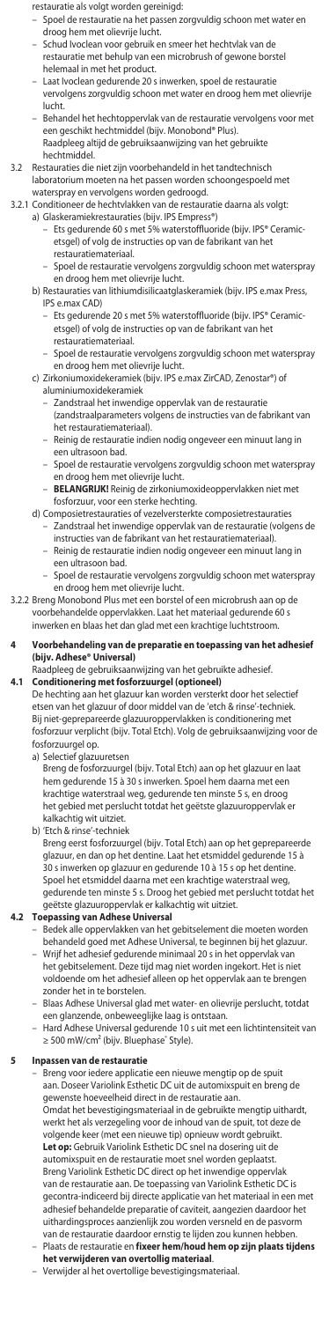restauratie als volgt worden gereinigd:

- Spoel de restauratie na het passen zorgvuldig schoon met water en droog hem met olievrije lucht.
- Schud Ivoclean voor gebruik en smeer het hechtvlak van de restauratie met behulp van een microbrush of gewone borstel
- helemaal in met het product. Laat Ivoclean gedurende 20 s inwerken, spoel de restauratie vervolgens zorgvuldig schoon met water en droog hem met olievrije lucht.
- Behandel het hechtoppervlak van de restauratie vervolgens voor met een geschikt hechtmiddel (bijv. Monobond® Plus). Raadpleeg altijd de gebruiksaanwijzing van het gebruikte hechtmiddel.
- 3.2 Restauraties die niet zijn voorbehandeld in het tandtechnisch laboratorium moeten na het passen worden schoongespoeld met waterspray en vervolgens worden gedroogd.
- 3.2.1 Conditioneer de hechtvlakken van de restauratie daarna als volgt:
- a) Glaskeramiekrestauraties (bijv. IPS Empress®) Ets gedurende 60 s met 5% waterstoffluoride (bijv. IPS® Ceramicetsgel) of volg de instructies op van de fabrikant van het restauratiemateriaal.
	- Spoel de restauratie vervolgens zorgvuldig schoon met waterspray en droog hem met olievrije lucht.
	- b) Restauraties van lithiumdisilicaatglaskeramiek (bijv. IPS e.max Press, IPS e.max CAD)
		- Ets gedurende 20 s met 5% waterstoffluoride (bijv. IPS® Ceramicetsgel) of volg de instructies op van de fabrikant van het restauratiemateriaal.
		- Spoel de restauratie vervolgens zorgvuldig schoon met waterspray en droog hem met olievrije lucht.
	- c) Zirkoniumoxidekeramiek (bijv. IPS e.max ZirCAD, Zenostar®) of aluminiumoxidekeramiek
- Zandstraal het inwendige oppervlak van de restauratie (zandstraalparameters volgens de instructies van de fabrikant van het restauratiemateriaal).
	- Reinig de restauratie indien nodig ongeveer een minuut lang in een ultrasoon bad.
- Spoel de restauratie vervolgens zorgvuldig schoon met waterspray en droog hem met olievrije lucht. – **BELANGRIJK!** Reinig de zirkoniumoxideoppervlakken niet met
	- fosforzuur, voor een sterke hechting.
	- d) Composietrestauraties of vezelversterkte composietrestauraties – Zandstraal het inwendige oppervlak van de restauratie (volgens de instructies van de fabrikant van het restauratiemateriaal).
		- Reinig de restauratie indien nodig ongeveer een minuut lang in trasoon bad.
		- Spoel de restauratie vervolgens zorgvuldig schoon met waterspray en droog hem met olievrije lucht.
- 3.2.2 Breng Monobond Plus met een borstel of een microbrush aan op de voorbehandelde oppervlakken. Laat het materiaal gedurende 60 s inwerken en blaas het dan glad met een krachtige luchtstroom.
- **4 Voorbehandeling van de preparatie en toepassing van het adhesief (bijv. Adhese® Universal)**
	- Raadpleeg de gebruiksaanwijzing van het gebruikte adhesief.
- **4.1 Conditionering met fosforzuurgel (optioneel)** De hechting aan het glazuur kan worden versterkt door het selectief etsen van het glazuur of door middel van de 'etch & rinse'-techniek. Bij niet-geprepareerde glazuuroppervlakken is conditionering met fosforzuur verplicht (bijv. Total Etch). Volg de gebruiksaanwijzing voor de fosforzuurgel op.
	- a) Selectief glazuuretsen
		- Breng de fosforzuurgel (bijv. Total Etch) aan op het glazuur en laat hem gedurende 15 à 30 s inwerken. Spoel hem daarna met een krachtige waterstraal weg, gedurende ten minste 5 s, en droog het gebied met perslucht totdat het geëtste glazuuroppervlak er kalkachtig wit uitziet.
	- b) 'Etch & rinse'-techniek
		- Breng eerst fosforzuurgel (bijv. Total Etch) aan op het geprepareerde glazuur, en dan op het dentine. Laat het etsmiddel gedurende 15 à 30 s inwerken op glazuur en gedurende 10 à 15 s op het dentine. Spoel het etsmiddel daarna met een krachtige waterstraal weg, gedurende ten minste 5 s. Droog het gebied met perslucht totdat het

# geëtste glazuuroppervlak er kalkachtig wit uitziet. **4.2 Toepassing van Adhese Universal**

- Bedek alle oppervlakken van het gebitselement die moeten worden behandeld goed met Adhese Universal, te beginnen bij het glazuur. – Wrijf het adhesief gedurende minimaal 20 s in het oppervlak van het gebitselement. Deze tijd mag niet worden ingekort. Het is niet voldoende om het adhesief alleen op het oppervlak aan te brengen zonder het in te borstelen.
- Blaas Adhese Universal glad met water- en olievrije perslucht, totdat
- een glanzende, onbeweeglijke laag is ontstaan. Hard Adhese Universal gedurende 10 s uit met een lichtintensiteit van ≥ 500 mW/cm<sup>2</sup> (bijv. Bluephase® Style).

## **5 Inpassen van de restauratie**

- Breng voor iedere applicatie een nieuwe mengtip op de spuit aan. Doseer Variolink Esthetic DC uit de automixspuit en breng de gewenste hoeveelheid direct in de restauratie aan. Omdat het bevestigingsmateriaal in de gebruikte mengtip uithardt, werkt het als verzegeling voor de inhoud van de spuit, tot deze de volgende keer (met een nieuwe tip) opnieuw wordt gebruikt. **Let op:** Gebruik Variolink Esthetic DC snel na dosering uit de automixspuit en de restauratie moet snel worden geplaatst. Breng Variolink Esthetic DC direct op het inwendige oppervlak van de restauratie aan. De toepassing van Variolink Esthetic DC is gecontra-indiceerd bij directe applicatie van het materiaal in een met adhesief behandelde preparatie of caviteit, aangezien daardoor het uithardingsproces aanzienlijk zou worden versneld en de pasvorm van de restauratie daardoor ernstig te lijden zou kunnen hebben. – Plaats de restauratie en **fixeer hem/houd hem op zijn plaats tijdens**
- **het verwijderen van overtollig materiaal**. Verwijder al het overtollige bevestigingsmateriaal.
-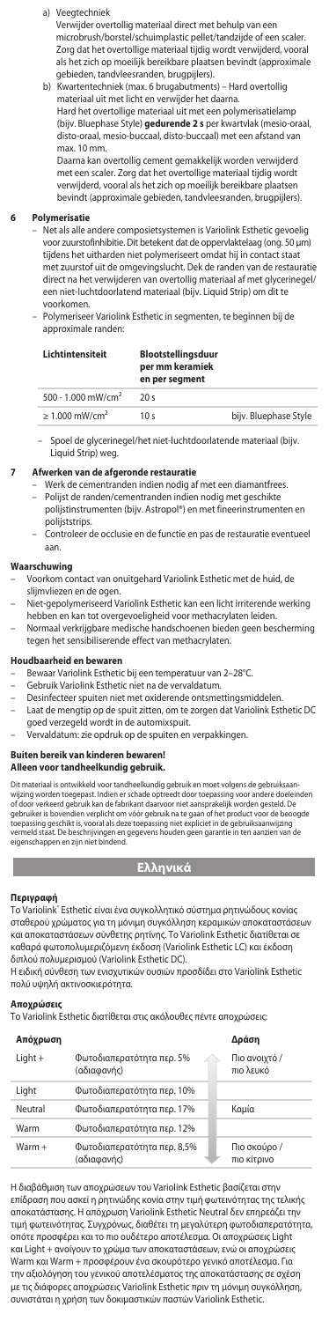### a) Veegtechniek

Verwijder overtollig materiaal direct met behulp van een microbrush/borstel/schuimplastic pellet/tandzijde of een scaler. Zorg dat het overtollige materiaal tijdig wordt verwijderd, vooral als het zich op moeilijk bereikbare plaatsen bevindt (approximale gebieden, tandvleesranden, brugpijlers).

 b) Kwartentechniek (max. 6 brugabutments) – Hard overtollig materiaal uit met licht en verwijder het daarna.

Hard het overtollige materiaal uit met een polymerisatielamp (bijv. Bluephase Style) **gedurende 2 s** per kwartvlak (mesio-oraal, disto-oraal, mesio-buccaal, disto-buccaal) met een afstand van max. 10 mm.

Daarna kan overtollig cement gemakkelijk worden verwijderd met een scaler. Zorg dat het overtollige materiaal tijdig wordt verwijderd, vooral als het zich op moeilijk bereikbare plaatsen bevindt (approximale gebieden, tandvleesranden, brugpijlers).

#### **6 Polymerisatie**

- Net als alle andere composietsystemen is Variolink Esthetic gevoelig voor zuurstofinhibitie. Dit betekent dat de oppervlaktelaag (ong. 50 μm) tijdens het uitharden niet polymeriseert omdat hij in contact sta met zuurstof uit de omgevingslucht. Dek de randen van de restauratie direct na het verwijderen van overtollig materiaal af met glycerinegel/ een niet-luchtdoorlatend materiaal (bijv. Liquid Strip) om dit te voorkomen.
- Polymeriseer Variolink Esthetic in segmenten, te beginnen bij de approximale randen:

### **Lichtintensiteit Blootstellingsduur per mm keramiek**

|                                 | en per segment  |                       |
|---------------------------------|-----------------|-----------------------|
| 500 - 1.000 mW/cm <sup>2</sup>  | 20s             |                       |
| $\geq 1.000$ mW/cm <sup>2</sup> | 10 <sub>s</sub> | bijv. Bluephase Style |

– Spoel de glycerinegel/het niet-luchtdoorlatende materiaal (bijv. Liquid Strip) weg.

#### **7 Afwerken van de afgeronde restauratie**

- Werk de cementranden indien nodig af met een diamantfrees. Polijst de randen/cementranden indien nodig met geschikte polijstinstrumenten (bijv. Astropol®) en met fineerinstrumenten en
- polijststrips. Controleer de occlusie en de functie en pas de restauratie eventueel aan.

# **Waarschuwing**

- Voorkom contact van onuitgehard Variolink Esthetic met de huid, de slijmvliezen en de ogen.
- Niet-gepolymeriseerd Variolink Esthetic kan een licht irriterende werking
- hebben en kan tot overgevoeligheid voor methacrylaten leiden. Normaal verkrijgbare medische handschoenen bieden geen bescherming tegen het sensibiliserende effect van methacrylaten.

#### **Houdbaarheid en bewaren**

- Bewaar Variolink Esthetic bij een temperatuur van 2–28°C.
- Gebruik Variolink Esthetic niet na de vervaldatum.
	- Desinfecteer spuiten niet met oxiderende ontsmettingsmiddelen.
- Laat de mengtip op de spuit zitten, om te zorgen dat Variolink Esthetic DC goed verzegeld wordt in de automixspuit.
	- Vervaldatum: zie opdruk op de spuiten en verpakkingen.

#### **Buiten bereik van kinderen bewaren! Alleen voor tandheelkundig gebruik.**

Dit materiaal is ontwikkeld voor tandheelkundig gebruik en moet volgens de gebruiksaan-<br>wijzing worden toegepast. Indien er schade optreedt door toepassing voor andere doeleinden<br>of door verkeerd gebruik kan de fabrikant d

toepassing geschikt is, vooral als deze toepassing niet expliciet in de gebruiksaanwijzing vermeld staat. De beschrijvingen en gegevens houden geen garantie in ten aanzien van de eigenschappen en zijn niet bindend.

# **Ελληνικά**

**Περιγραφή**<br>Το Variolink" Esthetic είναι ένα συγκολλητικό σύστημα ρητινώδους κονίας σταθερού χρώματος για τη μόνιμη συγκόλληση κεραμικών αποκαταστάσεω και αποκαταστάσεων σύνθετης ρητίνης. Το Variolink Esthetic διατίθεται σε καθαρά φωτοπολυμεριζόμενη έκδοση (Variolink Esthetic LC) και έκδοση διπλού πολυμερισμού (Variolink Esthetic DC).

Η ειδική σύνθεση των ενισχυτικών ουσιών προσδίδει στο Variolink Esthetic πολύ υψηλή ακτινοσκιερότητα.

**Αποχρώσεις** Το Variolink Esthetic διατίθεται στις ακόλουθες πέντε αποχρώσεις:

| Απόχρωση  |                                            | Δράση                       |
|-----------|--------------------------------------------|-----------------------------|
| $Light +$ | Φωτοδιαπερατότητα περ. 5%<br>(αδιαφανής)   | Πιο ανοιχτό /<br>πιο λευκό  |
| Light     | Φωτοδιαπερατότητα περ. 10%                 |                             |
| Neutral   | Φωτοδιαπερατότητα περ. 17%                 | Καμία                       |
| Warm      | Φωτοδιαπερατότητα περ. 12%                 |                             |
| $Warm +$  | Φωτοδιαπερατότητα περ. 8,5%<br>(αδιαφανής) | Πιο σκούρο /<br>πιο κίτρινο |

Η διαβάθμιση των αποχρώσεων του Variolink Esthetic βασίζεται στην επίδραση που ασκεί η ρητινώδης κονία στην τιμή φωτεινότητας της τελικής αποκατάστασης. Η απόχρωση Variolink Esthetic Neutral δεν επηρεάζει την τιμή φωτεινότητας. Συγχρόνως, διαθέτει τη μεγαλύτερη φωτοδιαπερατότητα, οπότε προσφέρει και το πιο ουδέτερο αποτέλεσμα. Οι αποχρώσεις Light και Light + ανοίγουν το χρώμα των αποκαταστάσεων, ενώ οι αποχρώσεις Warm και Warm + προσφέρουν ένα σκουρότερο γενικό αποτέλεσμα. Για την αξιολόγηση του γενικού αποτελέσματος της αποκατάστασης σε σχέση με τις διάφορες αποχρώσεις Variolink Esthetic πριν τη μόνιμη συγκόλληση, συνιστάται η χρήση των δοκιμαστικών παστών Variolink Esthetic.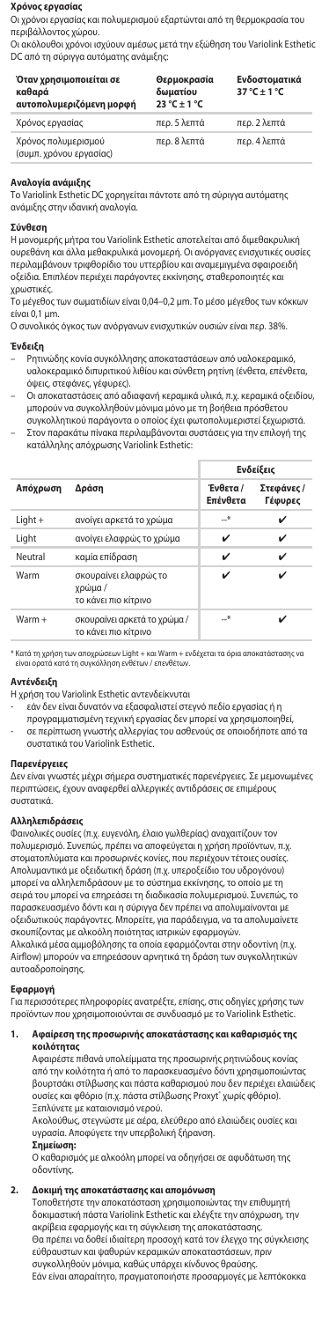### **Χρόνος εργασίας**

Οι χρόνοι εργασίας και πολυμερισμού εξαρτώνται από τη θερμοκρασία του

περιβάλλοντος χώρου. Οι ακόλουθοι χρόνοι ισχύουν αμέσως μετά την εξώθηση του Variolink Esthetic DC από τη σύριγγα αυτόματης ανάμιξης:

| Όταν χρησιμοποιείται σε<br>καθαρά<br>αυτοπολυμεριζόμενη μορφή | Θερμοκρασία<br>δωματίου<br>$23^{\circ}$ C + 1 °C | Ενδοστοματικά<br>$37^\circ C + 1^\circ C$ |
|---------------------------------------------------------------|--------------------------------------------------|-------------------------------------------|
| Χρόνος εργασίας                                               | περ. 5 λεπτά                                     | περ. 2 λεπτά                              |
| Χρόνος πολυμερισμού<br>(συμπ. χρόνου ερνασίας)                | περ. 8 λεπτά                                     | περ. 4 λεπτά                              |

**Αναλογία ανάμιξης** Το Variolink Esthetic DC χορηγείται πάντοτε από τη σύριγγα αυτόματης ανάμιξης στην ιδανική αναλογία.

#### **Σύνθεση**

Η μονομερής μήτρα του Variolink Esthetic αποτελείται από διμεθακρυλική ουρεθάνη και άλλα μεθακρυλικά μονομερή. Οι ανόργανες ενισχυτικές ουσίες περιλαμβάνουν τριφθορίδιο του υττερβίου και αναµεµιγµένα σφαιροειδή οξείδια. Επιπλέον περιέχει παράγοντες εκκίνησης, σταθεροποιητές και χρωστικές.

Το μέγεθος των σωματιδίων είναι 0,04–0,2 μm. Το μέσο μέγεθος των κόκκων είναι 0,1 µm.

Ο συνολικός όγκος των ανόργανων ενισχυτικών ουσιών είναι περ. 38%.

# **Ένδειξη**

- Ρητινώδης κονία συγκόλλησης αποκαταστάσεων από υαλοκεραμικό, υαλοκεραμικό διπυριτικού λιθίου και σύνθετη ρητίνη (ένθετα, επένθετα, όψεις, στεφάνες, γέφυρες).
- Οι αποκαταστάσεις από αδιαφανή κεραμικά υλικά, π.χ. κεραμικά οξειδίου, μπορούν να συγκολληθούν μόνιμα μόνο με τη βοήθεια πρόσθετου συγκολλητικού παράγοντα ο οποίος έχει φωτοπολυμεριστεί ξεχωριστά. – Στον παρακάτω πίνακα περιλαμβάνονται συστάσεις για την επιλογή της
- κατάλληλης απόχρωσης Variolink Esthetic:

|           |                                                         | Ενδείξεις            |                       |
|-----------|---------------------------------------------------------|----------------------|-----------------------|
| Απόχρωση  | Δράση                                                   | Ένθετα /<br>Επένθετα | Στεφάνες /<br>Γέφυρες |
| $Light +$ | ανοίγει αρκετά το χρώμα                                 | —*                   | ✓                     |
| Liaht     | ανοίγει ελαφρώς το χρώμα                                | ✓                    | ✓                     |
| Neutral   | καμία επίδραση                                          | ✓                    | ✓                     |
| Warm      | σκουραίνει ελαφρώς το<br>χρώμα/<br>το κάνει πιο κίτρινο | ✓                    |                       |
| $Warm +$  | σκουραίνει αρκετά το χρώμα/<br>το κάνει πιο κίτρινο     | —*                   |                       |

\* Κατά τη χρήση των αποχρώσεων Light + και Warm + ενδέχεται τα όρια αποκατάστασης ν<br>είναι ορατά κατά τη συνκόλληση ενθέτων / επενθέτων. είναι ορατά κατά τη συγκόλληση ενθέτων / επενθέτων.

# **Αντένδειξη**

- Η χρήση του Variolink Esthetic αντενδείκνυται
	- εάν δεν είναι δυνατόν να εξασφαλιστεί στεγνό πεδίο εργασίας ή η
	-
- προγραμματισμένη τεχνική εργασίας δεν μπορεί να χρησιμοποιηθεί, σε περίπτωση γνωστής αλλεργίας του ασθενούς σε οποιοδήποτε από τα συστατικά του Variolink Esthetic.

#### **Παρενέργειες**

Δεν είναι γνωστές μέχρι σήμερα συστηματικές παρενέργειες. Σε μεμονωμένες περιπτώσεις, έχουν αναφερθεί αλλεργικές αντιδράσεις σε επιμέρους συστατικά.

#### **Αλληλεπιδράσεις**

Φαινολικές ουσίες (π.χ. ευγενόλη, έλαιο γωλθερίας) αναχαιτίζουν τον πολυμερισμό. Συνεπώς, πρέπει να αποφεύγεται η χρήση προϊόντων, π.χ. στοματοπλύματα και προσωρινές κονίες, που περιέχουν τέτοιες ουσίες. Απολυμαντικά με οξειδωτική δράση (π.χ. υπεροξείδιο του υδρογόνου) μπορεί να αλληλεπιδράσουν με το σύστημα εκκίνησης, το οποίο με τη σειρά του μπορεί να επηρεάσει τη διαδικασία πολυμερισμού. Συνεπώς, το παρασκευασμένο δόντι και η σύριγγα δεν πρέπει να απολυμαίνονται με οξειδωτικούς παράγοντες. Μπορείτε, για παράδειγμα, να τα απολυμαίνετε σκουπίζοντας με αλκοόλη ποιότητας ιατρικών εφαρμογών. Αλκαλικά μέσα αμμοβόλησης τα οποία εφαρμόζονται στην οδοντίνη (π.χ. Airflow) μπορούν να επηρεάσουν αρνητικά τη δράση των συγκολλητικών αυτοαδροποίησης.

### **Εφαρμογή**

Για περισσότερες πληροφορίες ανατρέξτε, επίσης, στις οδηγίες χρήσης των προϊόντων που χρησιμοποιούνται σε συνδυασμό με το Variolink Esthetic.

#### **1. Αφαίρεση της προσωρινής αποκατάστασης και καθαρισμός της κοιλότητας**

Αφαιρέστε πιθανά υπολείμματα της προσωρινής ρητινώδους κονίας από την κοιλότητα ή από το παρασκευασμένο δόντι χρησιμοποιώντας βουρτσάκι στίλβωσης και πάστα καθαρισμού που δεν περιέχει ελαιώδεις ουσίες και φθόριο (π.χ. πάστα στίλβωσης Proxyt® χωρίς φθόριο). Ξεπλύνετε με καταιονισμό νερού.

Ακολούθως, στεγνώστε με αέρα, ελεύθερο από ελαιώδεις ουσίες και υγρασία. Αποφύγετε την υπερβολική ξήρανση.

### **Σημείωση:**

Ο καθαρισμός με αλκοόλη μπορεί να οδηγήσει σε αφυδάτωση της οδοντίνης.

# **2. Δοκιμή της αποκατάστασης και απομόνωση**

Τοποθετήστε την αποκατάσταση χρησιμοποι δοκιμαστική πάστα Variolink Esthetic και ελέγξτε την απόχρωση, την ακρίβεια εφαρμογής και τη σύγκλειση της αποκατάστασης. Θα πρέπει να δοθεί ιδιαίτερη προσοχή κατά τον έλεγχο της σύγκλεισης εύθραυστων και ψαθυρών κεραμικών αποκαταστάσεων, πριν συγκολληθούν μόνιμα, καθώς υπάρχει κίνδυνος θραύσης.

Εάν είναι απαραίτητο, πραγματοποιήστε προσαρμογές με λεπτόκοκκα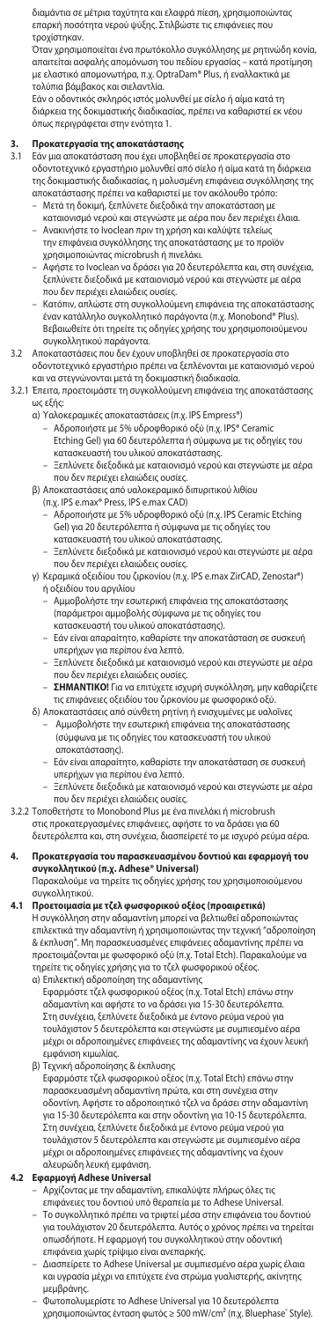διαμάντια σε μέτρια ταχύτητα και ελαφρά πίεση, χρησιμοποιώντας επαρκή ποσότητα νερού ψύξης. Στιλβώστε τις επιφάνειες που τροχίστηκαν.

Όταν χρησιμοποιείται ένα πρωτόκολλο συγκόλλησης με ρητινώδη κονία, απαιτείται ασφαλής απομόνωση του πεδίου εργασίας – κατά προτίμηση με ελαστικό απομονωτήρα, π.χ. OptraDam® Plus, ή εναλλακτικά με τολύπια βάμβακος και σιελαντλία.

Εάν ο οδοντικός σκληρός ιστός μολυνθεί με σίελο ή αίμα κατά τη διάρκεια της δοκιμαστικής διαδικασίας, πρέπει να καθαριστεί εκ νέου όπως περιγράφεται στην ενότητα 1.

# **3. Προκατεργασία της αποκατάστασης**

- 3.1 Εάν μια αποκατάσταση που έχει υποβληθεί σε προκατεργασία στο οδοντοτεχνικό εργαστήριο μολυνθεί από σίελο ή αίμα κατά τη διάρκεια της δοκιμαστικής διαδικασίας, η μολυσμένη επιφάνεια συγκόλλησης της αποκατάστασης πρέπει να καθαριστεί με τον ακόλουθο τρόπο:
	- Μετά τη δοκιμή, ξεπλύνετε διεξοδικά την αποκατάσταση με καταιονισμό νερού και στεγνώστε με αέρα που δεν περιέχει έλαια. Ανακινήστε το Ivoclean πριν τη χρήση και καλύψτε τελείως
	- την επιφάνεια συγκόλλησης της αποκατάστασης με το προϊόν χρησιμοποιώντας microbrush ή πινελάκι.
	- Αφήστε το Ivoclean να δράσει για 20 δευτερόλεπτα και, στη συνέχεια, ξεπλύνετε διεξοδικά με καταιονισμό νερού και στεγνώστε με αέρα που δεν περιέχει ελαιώδεις ουσίες.
	- Κατόπιν, απλώστε στη συγκολλούμενη επιφάνεια της αποκατάστασης έναν κατάλληλο συγκολλητικό παράγοντα (π.χ. Monobond® Plus). Βεβαιωθείτε ότι τηρείτε τις οδηγίες χρήσης του χρησιμοποιούμενου συγκολλητικού παράγοντα.
- 3.2 Αποκαταστάσεις που δεν έχουν υποβληθεί σε προκατεργασία στο οδοντοτεχνικό εργαστήριο πρέπει να ξεπλένονται με καταιονισμό νερού και να στεγνώνονται μετά τη δοκιμαστική διαδικασία.
- 3.2.1 Έπειτα, προετοιμάστε τη συγκολλούμενη επιφάνεια της αποκατάστασης ως εξής:
	-
- α) Υαλοκεραμικές αποκαταστάσεις (π.χ. IPS Empress®) Αδροποιήστε με 5% υδροφθορικό οξύ (π.χ. IPS® Ceramic Etching Gel) για 60 δευτερόλεπτα ή σύμφωνα με τις οδηγίες του
	- κατασκευαστή του υλικού αποκατάστασης.
- Ξεπλύνετε διεξοδικά με καταιονισμό νερού και στεγνώστε με αέρα που δεν περιέχει ελαιώδεις ουσίες.
	- β) Αποκαταστάσεις από υαλοκεραμικό διπυριτικού λιθίου
- (π.χ. IPS e.max® Press, IPS e.max CAD) Αδροποιήστε με 5% υδροφθορικό οξύ (π.χ. IPS Ceramic Etching Gel) για 20 δευτερόλεπτα ή σύμφωνα με τις οδηγίες του
- κατασκευαστή του υλικού αποκατάστασης. Ξεπλύνετε διεξοδικά με καταιονισμό νερού και στεγνώστε με αέρα που δεν περιέχει ελαιώδεις ουσίες.
	- γ) Κεραμικά οξειδίου του ζιρκονίου (π.χ. IPS e.max ZirCAD, Zenostar®) ή οξειδίου του αργιλίου
		- Αμμοβολήστε την εσωτερική επιφάνεια της αποκατάστασης (παράμετροι αμμοβολής σύμφωνα με τις οδηγίες του κατασκευαστή του υλικού αποκατάστασης).
		- Εάν είναι απαραίτητο, καθαρίστε την αποκατάσταση σε συσκευή
- υπερήχων για περίπου ένα λεπτό. Ξεπλύνετε διεξοδικά με καταιονισμό νερού και στεγνώστε με αέρα που δεν περιέχει ελαιώδεις ουσίες.
- **ΣΗΜΑΝΤΙΚΟ!** Για να επιτύχετε ισχυρή συγκόλληση, μην καθαρίζετε τις επιφάνειες οξειδίου του ζιρκονίου με φωσφορικό οξύ.
- δ) Αποκαταστάσεις από σύνθετη ρητίνη ή ενισχυμένες με υαλοΐνες – Αμμοβολήστε την εσωτερική επιφάνεια της αποκατάστασης (σύμφωνα με τις οδηγίες του κατασκευαστή του υλικού αποκατάστασης).
- Εάν είναι απαραίτητο, καθαρίστε την αποκατάσταση σε συσκευή υπερήχων για περίπου ένα λεπτό.
	- Ξεπλύνετε διεξοδικά με καταιονισμό νερού και στεγνώστε με αέρα
- που δεν περιέχει ελαιώδεις ουσίες. 3.2.2 Τοποθετήστε το Monobond Plus με ένα πινελάκι ή microbrush
	- στις προκατεργασμένες επιφάνειες, αφήστε το να δράσει για 60
	- δευτερόλεπτα και, στη συνέχεια, διασπείρετέ το με ισχυρό ρεύμα αέρα.
- **4. Προκατεργασία του παρασκευασμένου δοντιού και εφαρμογή του συγκολλητικού (π.χ. Adhese® Universal)** Παρακαλούμε να τηρείτε τις οδηγίες χρήσης του χρησιμοποιούμενου
	- συγκολλητικού.
- **4.1 Προετοιμασία με τζελ φωσφορικού οξέος (προαιρετικά)** Η συγκόλληση στην αδαμαντίνη μπορεί να βελτιωθεί αδροποιώντας επιλεκτικά την αδαμαντίνη ή χρησιμοποιώντας την τεχνική "αδροποίηση & έκπλυση". Μη παρασκευασμένες επιφάνειες αδαμαντίνης πρέπει να προετοιμάζονται με φωσφορικό οξύ (π.χ. Total Etch). Παρακαλούμε να
	- τηρείτε τις οδηγίες χρήσης για το τζελ φωσφορικού οξέος.<br>α) Επιλεκτική αδροποίηση της αδαμαντίνης<br>- Εφαρμόστε τζελ φωσφορικού οξέος (π.χ. Total Etch) επάνω στην<br>- αδαμαντίνη και αφήστε το να δράσει για 15-30 δευτερόλεπτα. Στη συνέχεια, ξεπλύνετε διεξοδικά με έντονο ρεύμα νερού για τουλάχιστον 5 δευτερόλεπτα και στεγνώστε με συμπιεσμένο αέρα μέχρι οι αδροποιημένες επιφάνειες της αδαμαντίνης να έχουν λευκή εμφάνιση κιμωλίας.
	- β) Τεχνική αδροποίησης & έκπλυσης
		- Εφαρμόστε τζελ φωσφορικού οξέος (π.χ. Total Etch) επάνω στην παρασκευασμένη αδαμαντίνη πρώτα, και στη συνέχεια στην οδοντίνη. Αφήστε το αδροποιητικό τζελ να δράσει στην αδαμαντίνη για 15-30 δευτερόλεπτα και στην οδοντίνη για 10-15 δευτερόλεπτα. Στη συνέχεια, ξεπλύνετε διεξοδικά με έντονο ρεύμα νερού για τουλάχιστον 5 δευτερόλεπτα και στεγνώστε με συμπιεσμένο αέρα μέχρι οι αδροποιημένες επιφάνειες της αδαμαντίνης να έχουν

# αλευρώδη λευκή εμφάνιση. **4.2 Εφαρμογή Adhese Universal**

- Αρχίζοντας με την αδαμαντίνη, επικαλύψτε πλήρως όλες τις επιφάνειες του δοντιού υπό θεραπεία με το Adhese Universal. – Το συγκολλητικό πρέπει να τριφτεί μέσα στην επιφάνεια του δοντιού για τουλάχιστον 20 δευτερόλεπτα. Αυτός ο χρόνος πρέπει να τηρείται οπωσδήποτε. Η εφαρμογή του συγκολλητικού στην οδοντική επιφάνεια χωρίς τρίψιμο είναι ανεπαρκής.
- Διασπείρετε το Adhese Universal με συμπιεσμένο αέρα χωρίς έλαια και υγρασία μέχρι να επιτύχετε ένα στρώμα γυαλιστερής, ακίνητης μεμβράνης.
- Φωτοπολυμερίστε το Adhese Universal για 10 δευτερόλεπτα<br>χρησιμοποιώντας ένταση φωτός ≥ 500 mW/cm² (π.χ. Bluephase® Style).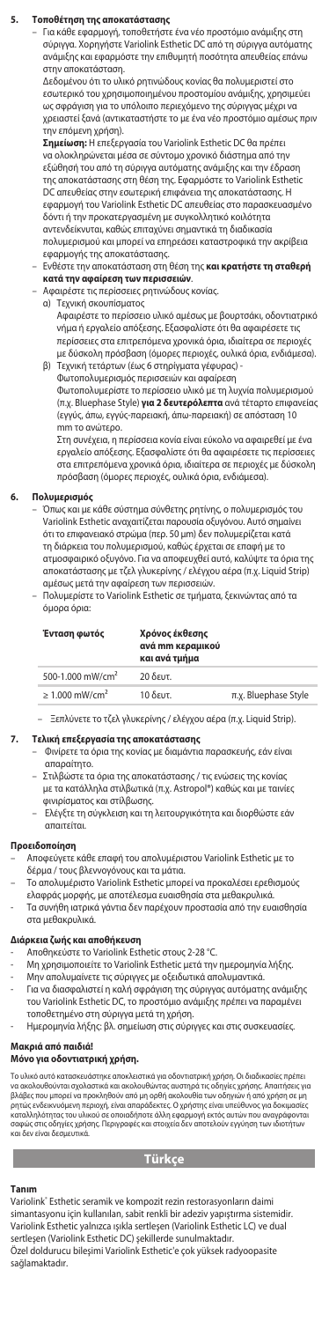#### **5. Τοποθέτηση της αποκατάστασης**

– Για κάθε εφαρμογή, τοποθετήστε ένα νέο προστόμιο ανάμιξης στη σύριγγα. Χορηγήστε Variolink Esthetic DC από τη σύριγγα αυτόματης ανάμιξης και εφαρμόστε την επιθυμητή ποσότητα απευθείας επάνω ι<br>ν αποκατάσταση.

Δεδομένου ότι το υλικό ρητινώδους κονίας θα πολυμεριστεί στο εσωτερικό του χρησιμοποιημένου προστομίου ανάμιξης, χρησιμεύει ως σφράγιση για το υπόλοιπο περιεχόμενο της σύριγγας μέχρι να χρειαστεί ξανά (αντικαταστήστε το με ένα νέο προστόμιο αμέσως πριν την επόμενη χρήση).

**Σημείωση:** Η επεξεργασία του Variolink Esthetic DC θα πρέπει να ολοκληρώνεται μέσα σε σύντομο χρονικό διάστημα από την εξώθησή του από τη σύριγγα αυτόματης ανάμιξης και την έδραση της αποκατάστασης στη θέση της. Εφαρμόστε το Variolink Esthetic DC απευθείας στην εσωτερική επιφάνεια της αποκατάστασης. Η εφαρμογή του Variolink Esthetic DC απευθείας στο παρασκευασμένο δόντι ή την προκατεργασμένη με συγκολλητικό κοιλότητα αντενδείκνυται, καθώς επιταχύνει σημαντικά τη διαδικασία πολυμερισμού και μπορεί να επηρεάσει καταστροφικά την ακρίβεια

# εφαρμογής της αποκατάστασης. – Ενθέστε την αποκατάσταση στη θέση της **και κρατήστε τη σταθερή κατά την αφαίρεση των περισσειών**.

– Αφαιρέστε τις περίσσειες ρητινώδους κονίας.

- α) Τεχνική σκουπίσματος
	- Αφαιρέστε το περίσσειο υλικό αμέσως με βουρτσάκι, οδοντιατρικό νήμα ή εργαλείο απόξεσης. Εξασφαλίστε ότι θα αφαιρέσετε τις περίσσειες στα επιτρεπόμενα χρονικά όρια, ιδιαίτερα σε περιοχές με δύσκολη πρόσβαση (όμορες περιοχές, ουλικά όρια, ενδιάμεσα).
- β) Τεχνική τετάρτων (έως 6 στηρίγματα γέφυρας) .<br>υτοπολυμερισμός περισσειών και αφαίρεση

Φωτοπολυμερίστε το περίσσειο υλικό με τη λυχνία πολυμερισμού (π.χ. Bluephase Style) **για 2 δευτερόλεπτα** ανά τέταρτο επιφανείας (εγγύς, άπω, εγγύς-παρειακή, άπω-παρειακή) σε απόσταση 10 mm το ανώτερο.<br>Στη συνέχεια, η π

Στη συνέχεια, η περίσσεια κονία είναι εύκολο να αφαιρεθεί με ένα εργαλείο απόξεσης. Εξασφαλίστε ότι θα αφαιρέσετε τις περίσσειες στα επιτρεπόμενα χρονικά όρια, ιδιαίτερα σε περιοχές με δύσκολη πρόσβαση (όμορες περιοχές, ουλικά όρια, ενδιάμεσα).

### **6. Πολυμερισμός**

– Όπως και με κάθε σύστημα σύνθετης ρητίνης, ο πολυμερισμός του Variolink Esthetic αναχαιτίζεται παρουσία οξυγόνου. Αυτό σημαίνει ότι το επιφανειακό στρώμα (περ. 50 μm) δεν πολυμερίζεται κατά τη διάρκεια του πολυμερισμού, καθώς έρχεται σε επαφή με το ατμοσφαιρικό οξυγόνο. Για να αποφευχθεί αυτό, καλύψτε τα όρια της αποκατάστασης με τζελ γλυκερίνης / ελέγχου αέρα (π.χ. Liquid Strip)

αμέσως μετά την αφαίρεση των περισσειών. – Πολυμερίστε το Variolink Esthetic σε τμήματα, ξεκινώντας από τα όμορα όρια:

| Ένταση φωτός                    | Χρόνος έκθεσης<br>ανά mm κεραμικού<br>και ανά τμήμα |                      |
|---------------------------------|-----------------------------------------------------|----------------------|
| 500-1.000 mW/cm <sup>2</sup>    | 20 δευτ.                                            |                      |
| $\geq 1.000$ mW/cm <sup>2</sup> | $10$ δευτ.                                          | π.χ. Bluephase Style |

– Ξεπλύνετε το τζελ γλυκερίνης / ελέγχου αέρα (π.χ. Liquid Strip).

## **7. Τελική επεξεργασία της αποκατάστασης**

– Φινίρετε τα όρια της κονίας με διαμάντια παρασκευής, εάν είναι απαραίτητο.

– Στιλβώστε τα όρια της αποκατάστασης / τις ενώσεις της κονίας με τα κατάλληλα στιλβωτικά (π.χ. Astropol®) καθώς και με ταινίες φινιρίσματος και στίλβωσης.

– Ελέγξτε τη σύγκλειση και τη λειτουργικότητα και διορθώστε εάν απαιτείται.

# **Προειδοποίηση**

- Αποφεύγετε κάθε επαφή του απολυμέριστου Variolink Esthetic με το
- δέρμα / τους βλεννογόνους και τα μάτια. Το απoλυµέριστo Variolink Esthetic µπoρεί να πρoκαλέσει ερεθισµoύς ελαφράς µoρφής, µε απoτέλεσµα ευαισθησία στα µεθακρυλικά.
- Τα συνήθη ιατρικά γάντια δεν παρέχουν προστασία από την ευαισθησία στα μεθακρυλικά.

# **Διάρκεια ζωής και αποθήκευση**

- Αποθηκεύστε το Variolink Esthetic στους 2-28 °C.
- -<br>Μη χρησιμοποιείτε το Variolink Esthetic μετά την ημερομηνία λήξης.<br>Μην απολυμαίνετε τις σύριγγες με οξειδωτικά απολυμαντικά.
	- .<br>Ιυμαίνετε τις σύριγγες με οξειδωτικά απολυμαντικά.
- Για να διασφαλιστεί η καλή σφράγιση της σύριγγας αυτόματης ανάμιξης του Variolink Esthetic DC, το προστόμιο ανάμιξης πρέπει να παραμένει τοποθετημένο στη σύριγγα μετά τη χρήση.
- Ημερομηνία λήξης: βλ. σημείωση στις σύριγγες και στις συσκευασίες.

#### **Μακριά από παιδιά!**

# **Μόνο για οδοντιατρική χρήση.**

Το υλικό αυτό κατασκευάστηκε αποκλειστικά για οδοντιατρική χρήση. Οι διαδικοιοίες πρέπει<br>γλαβιος που μπορεί να προκλειστικά και ακολουθώντας αυστηρά τις οδηγίες χρήσης. Απαιτήσεις για<br>βλάβες που μπορεί να προκληθούν από μ και δεν είναι δεσμει

# **Türkçe**

#### **Tanım**

Variolink<sup>®</sup> Esthetic seramik ve kor npozit rezin restorasyonların daimi simantasyonu için kullanılan, sabit renkli bir adeziv yapıştırma sistemidir. Variolink Esthetic yalnızca ışıkla sertleşen (Variolink Esthetic LC) ve dual sertleşen (Variolink Esthetic DC) şekillerde sunulmaktadır. Özel doldurucu bileşimi Variolink Esthetic'e çok yüksek radyoopasite sağlamaktadır.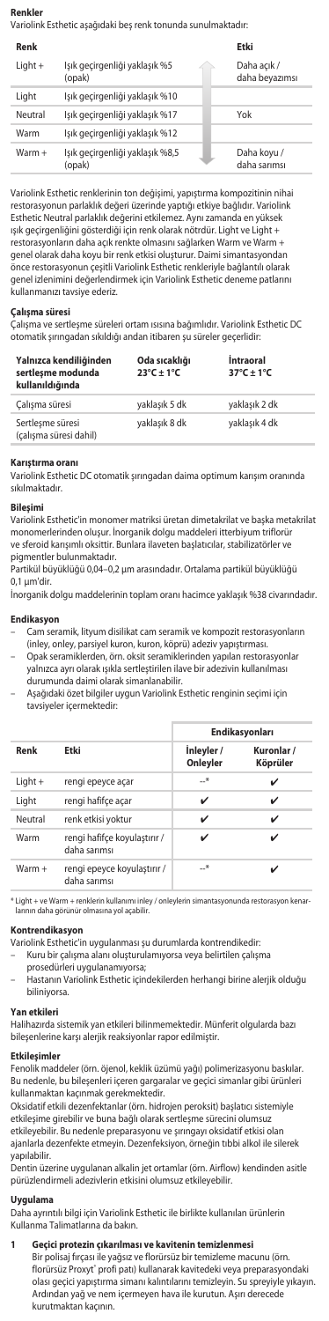# **Renkler**

Variolink Esthetic aşağıdaki beş renk tonunda sunulmaktadır:

| Renk    |                                           | Etki                          |
|---------|-------------------------------------------|-------------------------------|
| Light + | Işık geçirgenliği yaklaşık %5<br>(opak)   | Daha açık /<br>daha beyazımsı |
| Light   | Işık geçirgenliği yaklaşık %10            |                               |
| Neutral | Işık geçirgenliği yaklaşık %17            | Yok                           |
| Warm    | Işık geçirgenliği yaklaşık %12            |                               |
| Warm +  | Işık geçirgenliği yaklaşık %8,5<br>(opak) | Daha koyu /<br>daha sarımsı   |

Variolink Esthetic renklerinin ton değişimi, yapıştırma kompozitinin nih restorasyonun parlaklık değeri üzerinde yaptığı etkiye bağlıdır. Variolink Esthetic Neutral parlaklık değerini etkilemez. Aynı zamanda en yüksek ışık geçirgenliğini gösterdiği için renk olarak nötrdür. Light ve Light + restorasyonların daha açık renkte olmasını sağlarken Warm ve Warm + genel olarak daha koyu bir renk etkisi oluşturur. Daimi simantasyondan önce restorasyonun çeşitli Variolink Esthetic renkleriyle bağlantılı olarak genel izlenimini değerlendirmek için Variolink Esthetic deneme patlarını kullanmanızı tavsiye ederiz.

#### **Çalışma süresi**

Çalışma ve sertleşme süreleri ortam ısısına bağımlıdır. Variolink Esthetic DC otomatik şırıngadan sıkıldığı andan itibaren şu süreler geçerlidir:

| Yalnızca kendiliğinden<br>sertlesme modunda<br>kullanıldığında | Oda sıcaklığı<br>$23^{\circ}$ C + 1 $^{\circ}$ C | <i>intraoral</i><br>$37^{\circ}$ C + 1°C |
|----------------------------------------------------------------|--------------------------------------------------|------------------------------------------|
| Calışma süresi                                                 | yaklaşık 5 dk                                    | yaklaşık 2 dk                            |
| Sertlesme süresi<br>(çalışma süresi dahil)                     | yaklaşık 8 dk                                    | yaklaşık 4 dk                            |

### **Karıştırma oranı**

Variolink Esthetic DC otomatik şırıngadan daima optimum karışım oranında sıkılmaktadır.

#### **Bileşimi**

Variolink Esthetic'in monomer matriksi üretan dimetakrilat ve başka metakrilat monomerlerinden oluşur. İnorganik dolgu maddeleri itterbiyum triflorür ve sferoid karışımlı oksittir. Bunlara ilaveten başlatıcılar, stabilizatörler ve pigmentler bulunmaktadır.

Partikül büyüklüğü 0,04–0,2 µm arasındadır. Ortalama partikül büyüklüğü 0,1 µm'dir.

İnorganik dolgu maddelerinin toplam oranı hacimce yaklaşık %38 civarındadır.

# **Endikasyo**

– Cam seramik, lityum disilikat cam seramik ve kompozit restorasyonların (inley, onley, parsiyel kuron, kuron, köprü) adeziv yapıştırması.

- Opak seramiklerden, örn. oksit seramiklerinden yapılan restorasyonlar yalnızca ayrı olarak ışıkla sertleştirilen ilave bir adezivin kullanılm durumunda daimi olarak simanlanabilir.
- Aşağıdaki özet bilgiler uygun Variolink Esthetic renginin seçimi için tavsiyeler içermektedir:

|           |                                              | Endikasyonları         |                        |  |
|-----------|----------------------------------------------|------------------------|------------------------|--|
| Renk      | Etki                                         | inleyler /<br>Onleyler | Kuronlar /<br>Köprüler |  |
| $Light +$ | rengi epeyce açar                            | $-$ *                  | ✓                      |  |
| Light     | rengi hafifce acar                           | ✓                      | ✓                      |  |
| Neutral   | renk etkisi yoktur                           | ✓                      | ✓                      |  |
| Warm      | rengi hafifce koyulaştırır /<br>daha sarımsı | ✓                      |                        |  |
| $Warm +$  | rengi epeyce koyulaştırır /<br>daha sarımsı  | $-$ *                  |                        |  |

\* Light + ve Warm + renklerin kullanımı inley / onleylerin simantasyonunda restorasyon kenar-larının daha görünür olmasına yol açabilir.

# **Kontrendikasyon**

Variolink Esthetic'in uygulanması şu durumlarda kontrendikedir: – Kuru bir çalışma alanı oluşturulamıyorsa veya belirtilen çalışma

- 
- prosedürleri uygulanamıyorsa; Hastanın Variolink Esthetic içindekilerden herhangi birine alerjik olduğu biliniyorsa.

# **Yan etkileri**

Halihazırda sistemik yan etkileri bilinmemektedir. Münferit olgularda bazı bileşenlerine karşı alerjik reaksiyonlar rapor edilmiştir.

#### **Etkilesimle**

Fenolik maddeler (örn. öjenol, keklik üzümü yağı) polimerizasyonu baskılar. Bu nedenle, bu bileşenleri içeren gargaralar ve geçici simanlar gibi ürünleri kullanmaktan kaçınmak gerekmektedir.

Oksidatif etkili dezenfektanlar (örn. hidrojen peroksit) başlatıcı sistemiyle etkileşime girebilir ve buna bağlı olarak sertleşme sürecini olumsuz etkileyebilir. Bu nedenle preparasyonu ve şırıngayı oksidatif etkisi olan ajanlarla dezenfekte etmeyin. Dezenfeksiyon, örneğin tıbbi alkol ile silerek yapılabilir. Dentin üzerine uygulanan alkalin jet ortamlar (örn. Airflow) kendinden asitle

pürüzlendirmeli adezivlerin etkisini olumsuz etkileyebilir.

#### **Uygulama**

Daha ayrıntılı bilgi için Variolink Esthetic ile birlikte kullanılan ürünlerin Kullanma Talimatlarına da bakın.

### **1 Geçici protezin çıkarılması ve kavitenin temizlenmesi**

Bir polisaj fırçası ile yağsız ve florürsüz bir temizleme macunu (örn. florürsüz Proxyt" profi patı) kullanarak kavitedeki veya preparasyondaki<br>olası geçici yapıştırma simanı kalıntılarını temizleyin. Su spreyiyle yıkayın. Ardından yağ ve nem içermeyen hava ile kurutun. Aşırı derecede kurutmaktan kaçının.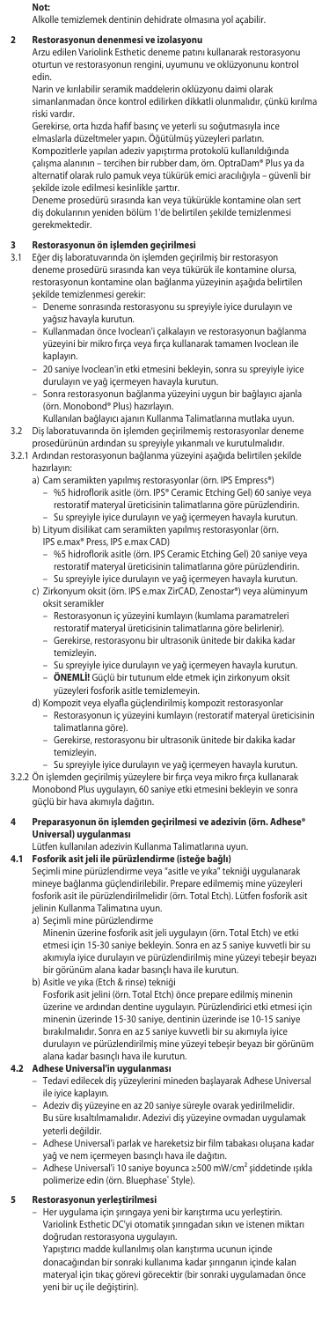#### **Not:**

Alkolle temizlemek dentinin dehidrate olmasına yol açabilir.

### **2** Restorasyonun denenmesi ve izolasyon

Arzu edilen Variolink Esthetic deneme patını kullanarak restorasyonu oturtun ve restorasyonun rengini, uyumunu ve oklüzyonunu kontrol edin.

Narin ve kırılabilir seramik maddelerin oklüzyonu daimi olarak simanlanmadan önce kontrol edilirken dikkatli olunmalıdır, çünkü kırılma riski vardır.

Gerekirse, orta hızda hafif basınç ve yeterli su soğutmasıyla ince elmaslarla düzeltmeler yapın. Öğütülmüş yüzeyleri parlatın. Kompozitlerle yapılan adeziv yapıştırma protokolü kullanıldığında çalışma alanının – tercihen bir rubber dam, örn. OptraDam® Plus ya da alternatif olarak rulo pamuk veya tükürük emici aracılığıyla – güvenli bir şekilde izole edilmesi kesinlikle şarttır.

Deneme prosedürü sırasında kan veya tükürükle kontamine olan sert diş dokularının yeniden bölüm 1'de belirtilen şekilde temizlenmesi gerekmektedir.

# **3 Restorasyonun ön işlemden geçirilmesi**

Eğer diş laboratuvarında ön işlemden geçirilmiş bir restorasyon deneme prosedürü sırasında kan veya tükürük ile kontamine olursa, restorasyonun kontamine olan bağlanma yüzeyinin aşağıda belirtilen şekilde temizlenmesi gerekir:

- Deneme sonrasında restorasyonu su spreyiyle iyice durulayın ve yağsız havayla kurutun.
- Kullanmadan önce Ivoclean'i çalkalayın ve restorasyonun bağlanma yüzeyini bir mikro fırça veya fırça kullanarak tamamen Ivoclean ile kaplayın.
- 20 saniye Ivoclean'in etki etmesini bekleyin, sonra su spreyiyle iyice
- durulayın ve yağ içermeyen havayla kurutun. Sonra restorasyonun bağlanma yüzeyini uygun bir bağlayıcı ajanla (örn. Monobond® Plus) hazırlayın.
- Kullanılan bağlayıcı ajanın Kullanma Talimatlarına mutlaka uyun. 3.2 Diş laboratuvarında ön işlemden geçirilmemiş restorasyonlar deneme prosedürünün ardından su spreyiyle yıkanmalı ve kurutulmalıdır.
- 3.2.1 Ardından restorasyonun bağlanma yüzeyini aşağıda belirtilen şekilde
	- hazırlayın:
		- a) Cam seramikten yapılmış restorasyonlar (örn. IPS Empress®) – %5 hidroflorik asitle (örn. IPS® Ceramic Etching Gel) 60 saniye veya restoratif materyal üreticisinin talimatlarına göre pürüzlendirin. – Su spreyiyle iyice durulayın ve yağ içermeyen havayla kurutun.
		- b) Lityum disilikat cam seramikten yapılmış restorasyonlar (örn. IPS e.max® Press, IPS e.max CAD)
			- %5 hidroflorik asitle (örn. IPS Ceramic Etching Gel) 20 saniye veya restoratif materyal üreticisinin talimatlarına göre pürüzlendirin. – Su spreyiyle iyice durulayın ve yağ içermeyen havayla kurutun.
		- c) Zirkonyum oksit (örn. IPS e.max ZirCAD, Zenostar®) veya alüminyum oksit seramikler
			- Restorasyonun iç yüzeyini kumlayın (kumlama paramatreleri restoratif materyal üreticisinin talimatlarına göre belirlenir).
			- Gerekirse, restorasyonu bir ultrasonik ünitede bir dakika kadar temizleyin.
			- Su spreyiyle iyice durulayın ve yağ içermeyen havayla kurutun. – **ÖNEMLİ!** Güçlü bir tutunum elde etmek için zirkonyum oksit yüzeyleri fosforik asitle temizlemeyin.
		- d) Kompozit veya elyafla güçlendirilmiş kompozit restorasyonlar – Restorasyonun iç yüzeyini kumlayın (restoratif materyal üreticisinin
			- talimatlarına göre). Gerekirse, restorasyonu bir ultrasonik ünitede bir dakika ka
			- temizleyin.
- Su spreyiyle iyice durulayın ve yağ içermeyen havayla kurutun.<br>3.2.2 Ön işlemden geçirilmiş yüzeylere bir fırça veya mikro fırça kullanarak<br>Monobond Plus uygulayın, 60 saniye etki etmesini bekleyin ve sonra<br>güçlü bir hav

# **4 Preparasyonun ön işlemden geçirilmesi ve adezivin (örn. Adhese® Universal) uygulanması**

Lütfen kullanılan adezivin Kullanma Talimatlarına uyun.

**4.1 Fosforik asit jeli ile pürüzlendirme (isteğe bağlı)** Seçimli mine pürüzlendirme veya "asitle ve yıka" tekniği uygulanarak mineye bağlanma güçlendirilebilir. Prepare edilmemiş mine yüzeyleri fosforik asit ile pürüzlendirilmelidir (örn. Total Etch). Lütfen fosforik asit jelinin Kullanma Talimatına uyun.

a) Seçimli mine pürüzlendirme

Minenin üzerine fosforik asit jeli uygulayın (örn. Total Etch) ve etki etmesi için 15-30 saniye bekleyin. Sonra en az 5 saniye kuvvetli bir su akımıyla iyice durulayın ve pürüzlendirilmiş mine yüzeyi tebeşir beyazı bir görünüm alana kadar basınçlı hava ile kurutun.

b) Asitle ve yıka (Etch & rinse) tekniği

Fosforik asit jelini (örn. Total Etch) önce prepare edilmiş minenin üzerine ve ardından dentine uygulayın. Pürüzlendirici etki etmesi için minenin üzerinde 15-30 saniye, dentinin üzerinde ise 10-15 saniye bırakılmalıdır. Sonra en az 5 saniye kuvvetli bir su akımıyla iyice durulayın ve pürüzlendirilmiş mine yüzeyi tebeşir beyazı bir görünüm alana kadar basınçlı hava ile kurutun.

- **4.2 Adhese Universal'in uygulanması** Tedavi edilecek diş yüzeylerini mineden başlayarak Adhese Universal ile iyice kaplayın.
	- Adeziv diş yüzeyine en az 20 saniye süreyle ovarak yedirilmelidir. Bu süre kısaltılmamalıdır. Adezivi diş yüzeyine ovmadan uygulamak yeterli değildir.
	-
	- Adhese Universal'i parlak ve hareketsiz bir film tabakası oluşana kadar<br>- Adhese Universmeyen basınçlı hava ile dağıtın.<br>- Adhese Universal'i 10 saniye boyunca 2500 mW/cm<sup>2</sup> şiddetinde ışıkla<br>- polimerize edin (örn. Blue

**5 Restorasyonun yerleştirilmesi** – Her uygulama için şırıngaya yeni bir karıştırma ucu yerleştirin. Variolink Esthetic DC'yi otomatik şırıngadan sıkın ve istenen miktarı doğrudan restorasyona uygulayın. Yapıştırıcı madde kullanılmış olan karıştırma ucunun içinde donacağından bir sonraki kullanıma kadar şırınganın içinde kalan materyal için tıkaç görevi görecektir (bir sonraki uygulamadan önce yeni bir uç ile değiştirin).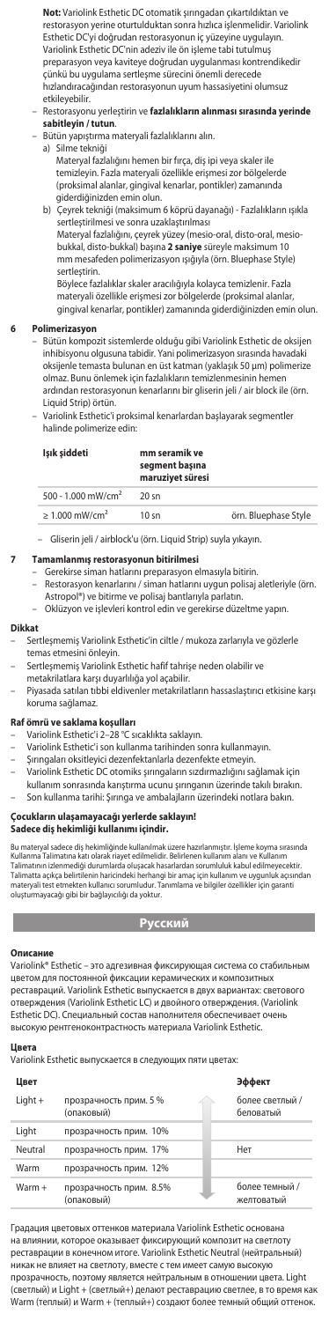**Not:** Variolink Esthetic DC otomatik şırıngadan çıkartıldıktan ve restorasyon yerine oturtulduktan sonra hızlıca işlenmelidir. Variolink Esthetic DC'yi doğrudan restorasyonun iç yüzeyine uygulayın. Variolink Esthetic DC'nin adeziv ile ön işleme tabi tutulmuş preparasyon veya kaviteye doğrudan uygulanması kontrendikedir çünkü bu uygulama sertleşme sürecini önemli derecede hızlandıracağından restorasyonun uyum hassasiyetini olumsuz etkileyebilir.

- Restorasyonu yerleştirin ve **fazlalıkların alınması sırasında yerinde** 
	- **sabitleyin / tutun**. – Bütün yapıştırma materyali fazlalıklarını alın.

a) Silme tekniği

Materyal fazlalığını hemen bir fırça, diş ipi veya skaler ile temizleyin. Fazla materyali özellikle erişmesi zor bölgelerde (proksimal alanlar, gingival kenarlar, pontikler) zamanında giderdiğinizden emin olun.

b) Çeyrek tekniği (maksimum 6 köprü dayanağı) - Fazlalıkların ışıkla

sertleştirilmesi ve sonra uzaklaştırılması<br>Materyal fazlalığını, çeyrek yüzey (mesio-oral, disto-oral, mesio-<br>bukkal, disto-bukkal) başına **2 saniye** süreyle maksimum 10 mm mesafeden polimerizasyon ışığıyla (örn. Bluephase Style) sertleştirin.

Böylece fazlalıklar skaler aracılığıyla kolayca temizlenir. Fazla materyali özellikle erişmesi zor bölgelerde (proksimal alanlar, gingival kenarlar, pontikler) zamanında giderdiğinizden emin olun.

#### **6 Polimerizasyon**

– Bütün kompozit sistemlerde olduğu gibi Variolink Esthetic de oksijen inhibisyonu olgusuna tabidir. Yani polimerizasyon sırasında havadaki oksijenle temasta bulunan en üst katman (yaklaşık 50 µm) polimerize olmaz. Bunu önlemek için fazlalıkların temizlenmesinin hemen ardından restorasyonun kenarlarını bir gliserin jeli / air block ile (örn. Liquid Strip) örtün.

– Variolink Esthetic'i proksimal kenarlardan başlayarak segmentler halinde polimerize edin:

| Işık şiddeti                    | mm seramik ve<br>segment basına<br>maruzivet süresi |                      |
|---------------------------------|-----------------------------------------------------|----------------------|
| 500 - 1.000 mW/cm <sup>2</sup>  | $20 \text{ sn}$                                     |                      |
| $\geq 1.000$ mW/cm <sup>2</sup> | $10 \text{ s}$                                      | örn. Bluephase Style |

– Gliserin jeli / airblock'u (örn. Liquid Strip) suyla yıkayın.

# **7 Tamamlanmış restorasyonun bitirilmesi**

- Gerekirse siman hatlarını preparasyon elmasıyla bitirin.
- Restorasyon kenarlarını / siman hatlarını uygun polisaj aletleriyle (örn.
- Astropol®) ve bitirme ve polisaj bantlarıyla parlatın. Oklüzyon ve işlevleri kontrol edin ve gerekirse düzeltme yapın.

#### **Dikkat**

- Sertleşmemiş Variolink Esthetic'in ciltle / mukoza zarlarıyla ve gözlerle
- temas etmesini önleyin. Sertleşmemiş Variolink Esthetic hafif tahrişe neden olabilir ve
- metakrilatlara karşı duyarlılığa yol açabilir.
- Piyasada satılan tıbbi eldivenler metakrilatların hassaslaştırıcı etkisine karşı koruma sağlamaz.

## **Raf ömrü ve saklama koşulları**

- Variolink Esthetic'i 2–28 °C sıcaklıkta saklayın.
- Variolink Esthetic'i son kullanma tarihinden sonra kullanmayın.
- Şırıngaları oksitleyici dezenfektanlarla dezenfekte etmeyin.
- Variolink Esthetic DC otomiks şırıngaların sızdırmazlığını sağlamak için kullanım sonrasında karıştırma ucunu şırınganın üzerinde takılı bırakın.
	- Son kullanma tarihi: Şırınga ve ambalajların üzerindeki notlara bakın.

# **Çocukların ulaşamayacağı yerlerde saklayın! Sadece diş hekimliği kullanımı içindir.**

Bu materyal sadece diş hekimliğinde kullanılmak üzere hazırlanmıştır. İşleme koyma sırasında Kullanma Talimatına katı olarak riayet edilmelidir. Belirlenen kullanım alanı ve Kullanım<br>Talimatının izlenmediği durumlarda oluşacak hasarlardan sorumluluk kabul edilmeyecektir.<br>Talimatta açıkça belirtilenin haricindeki h materyali test etmekten kullanıcı sorumludur. Tanımlama ve bilgiler özellikler için garanti oluşturmayacağı gibi bir bağlayıcılığı da yoktur.

# **Русский**

**Описание**  Variolink® Esthetic – это адгезивная фиксирующая система со стабильным цветом для постоянной фиксации керамических и композитных реставраций. Variolink Esthetic выпускается в двух вариантах: светового отверждения (Variolink Esthetic LC) и двойного отверждения. (Variolink Esthetic DC). Специальный состав наполнителя обеспечивает очень высокую рентгеноконтрастность материала Variolink Esthetic.

#### **Цвета**

Variolink Esthetic выпускается в следующих пяти цветах:

| Цвет     |                                       | Эффект                       |
|----------|---------------------------------------|------------------------------|
| Light +  | прозрачность прим. 5 %<br>(опаковый)  | более светлый /<br>беловатый |
| Light    | прозрачность прим. 10%                |                              |
| Neutral  | прозрачность прим. 17%                | Нет                          |
| Warm     | прозрачность прим. 12%                |                              |
| $Warm +$ | прозрачность прим. 8.5%<br>(опаковый) | более темный /<br>желтоватый |

Градация цветовых оттенков материала Variolink Esthetic основан на влиянии, которое оказывает фиксирующий композит на светлоту реставрации в конечном итоге. Variolink Esthetic Neutral (нейтральный) никак не влияет на светлоту, вместе с тем имеет самую высокую прозрачность, поэтому является нейтральным в отношении цвета. Light (светлый) и Light + (светлый+) делают реставрацию светлее, в то время как Warm (теплый) и Warm + (теплый+) создают более темный общий оттенок.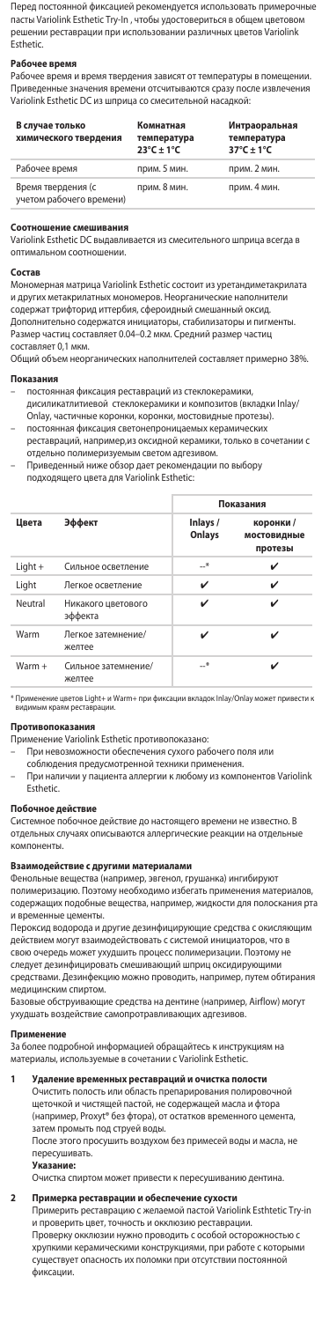Перед постоянной фиксацией рекомендуется использовать примерочные пасты Variolink Esthetic Try-In , чтобы удостовериться в общем цветовом решении реставрации при использовании различных цветов Variolink .<br>Esthetic

# **Рабочее время**

Рабочее время и время твердения зависят от температуры в помещении. .<br>Привезначения времени отсчитываются сразу после извлечения Variolink Esthetic DC из шприца со смесительной насадкой:

| В случае только<br>химического твердения       | Комнатная<br>температура<br>$23^{\circ}$ C + 1°C | Интраоральная<br>температура<br>$37^{\circ}$ C + 1°C |
|------------------------------------------------|--------------------------------------------------|------------------------------------------------------|
| Рабочее время                                  | прим. 5 мин.                                     | прим. 2 мин.                                         |
| Время твердения (с<br>учетом рабочего времени) | прим. 8 мин.                                     | прим. 4 мин.                                         |

#### **Соотношение смешивания**

Variolink Esthetic DC выдавливается из смесительного шприца всегда в оптимальном соотношении.

#### **Состав**

Мономерная матрица Variolink Esthetic состоит из уретандиметакрилата и других метакрилатных мономеров. Неорганические наполнители содержат трифторид иттербия, сфероидный смешанный оксид. Дополнительно содержатся инициаторы, стабилизаторы и пигменты. Размер частиц составляет 0.04–0.2 мкм. Средний размер частиц составляет 0,1 мкм.

Общий объем неорганических наполнителей составляет примерно 38%.

### **По**

- постоянная фиксация реставраций из стеклокера дисиликатлитиевой стеклокерамики и композитов (вкладки Inlay/
- Onlay, частичные коронки, коронки, мостовидные протезы). – постоянная фиксация светонепроницаемых керамических
- реставраций, например,из оксидной керамики, только в сочетании с отдельно полимеризуемым светом адгезивом.
- Приведенный ниже обзор дает рекомендации по выбору подходящего цвета для Variolink Esthetic:
	-

|          |                               | Показания          |                                     |
|----------|-------------------------------|--------------------|-------------------------------------|
| Цвета    | Эффект                        | Inlays /<br>Onlays | коронки /<br>мостовидные<br>протезы |
| Light +  | Сильное осветление            | *                  | ✓                                   |
| Light    | Легкое осветление             | v                  | ✓                                   |
| Neutral  | Никакого цветового<br>эффекта | ✓                  | ✓                                   |
| Warm     | Легкое затемнение/<br>желтее  | ✓                  | ✓                                   |
| $Warm +$ | Сильное затемнение/<br>желтее | —*                 |                                     |

\* Применение цветов Light+ и Warm+ при фиксации вкладок Inlay/Onlay может привести к видимым краям реста<br>цимым краям реста

#### Противопоказа

Применение Variolink Esthetic противопоказа

- При невозможности обеспечения сухого рабочего поля или
- соблюдения предусмотренной техники применения.
- При наличии у пациента аллергии к любому из компонентов Variolink Esthetic.

# **Побочное действие**

Системное побочное действие до настоящего времени не известно. В отдельных случаях описываются аллергические реакции на отдельные компоненты.

# Взаимодействие с другими материала

Фенольные вещества (например, эвгенол, грушанка) ингибируют полимеризацию. Поэтому необходимо избегать применения материалов, содержащих подобные вещества, например, жидкости для полоскания рта и временные цементы.

Пероксид водорода и другие дезинфицирующие средства с окисляющим действием могут взаимодействовать с системой инициаторов, что в свою очередь может ухудшить процесс полимеризации. Поэтому не следует дезинфицировать смешивающий шприц оксидирующим средствами. Дезинфекцию можно проводить, например, путем обтирания медицинским спиртом.

Базовые обструивающие средства на дентине (например, Airflow) могут ухудшать воздействие самопротравливающих адгезивов.

**Применение** За более подробной информацией обращайтесь к инструкциям на материалы, используемые в сочетании с Variolink Esthetic.

**1 Удаление временных реставраций и очистка полости** Очистить полость или область препарирования полировочной щеточкой и чистящей пастой, не содержащей масла и фтора дето мон и менщен настои, не содержащен масла и фтора.<br>(например, Proxyt® без фтора), от остатков временного цемента затем промыть под струей воды.

После этого просушить воздухом без примесей воды и масла, не пересушиват<br>Указание

**Указа** 

Очистка спиртом может привести к пересушиванию дентина.

### **2 Примерка реставрации и обеспечение сухости**

Примерить реставрацию с желаемой пастой Variolink Esthtetic Try-in и проверить цвет, точность и окклюзию реставрации.

Проверку окклюзии нужно проводить с особой осторожностью с хрупкими керамическими конструкциями, при работе с которыми существует опасность их поломки при отсутствии постоянной фиксации.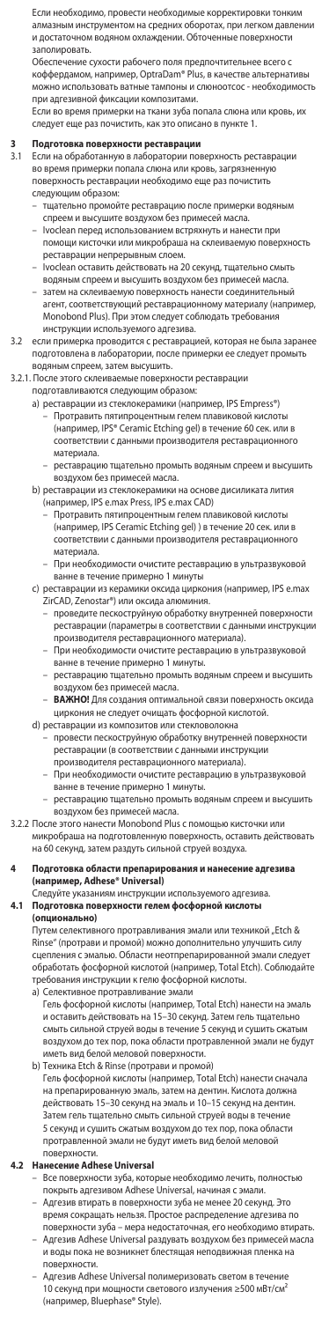Если необходимо, провести необходимые корректировки тонки алмазным инструментом на средних оборотах, при легком давлен и достаточном водяном охлаждении. Обточенные поверхности заполировать.

Обеспечение сухости рабочего поля предпочтительнее всего с коффердамом, например, OptraDam® Plus, в качестве альтернат можно использовать ватные тампоны и слюноотсос - необходимость при адгезивной фиксации композитами.

Если во время примерки на ткани зуба попала слюна или кровь, их следует еще раз почистить, как это описано в пункте 1.

- **3 Подготовка поверхности реставрации** 3.1 Если на обработанную в лаборатории поверхность реставрации во время примерки попала слюна или кровь, загрязненную поверхность реставрации необходимо еще раз почистить следующим образом:
	- тщательно промойте реставрацию после примерки водяным спреем и высушите воздухом без примесей масла.
	- Ivoclean перед использованием встряхнуть и нанести при помощи кисточки или микробраша на склеиваемую поверхность реставрации непрерывным слоем.
	- Ivoclean оставить действовать на 20 секунд, тщательно смыть
	- водяным спреем и высушить воздухом без примесей масла. затем на склеиваемую поверхность нанести соединительный агент, соответствующий реставрационному материалу (например, Monobond Plus). При этом следует соблюдать требования инструкции используемого адгезива.
- 3.2 если примерка проводится с реставрацией, которая не была заранее подготовлена в лаборатории, после примерки ее следует промыть водяным спреем, затем высушить.

# 3.2.1. После этого склеиваемые поверхности реставрации

- подготавливаются следующим образом:
- a) реставрации из стеклокерамики (например, IPS Empress®) Протравить пятипроцентным гелем плавиковой кислоты (например, IPS® Ceramic Etching gel) в течение 60 сек. или в соответствии с данными производителя реставрационного материала.
- реставрацию тщательно промыть водяным спреем и высушить воздухом без примесей масла.
	- b) реставрации из стеклокерамики на основе дисиликата лития
		- (например, IPS e.max Press, IPS e.max CAD) – Протравить пятипроцентным гелем плавиковой кислоты (например, IPS Ceramic Etching gel) ) в течение 20 сек. или в соответствии с данными производителя реставрационного материала.
		- При необходимости очистите реставрацию в ультразвуковой ванне в течение примерно 1 минуты
	- c) реставрации из керамики оксида циркония (например, IPS e.max ZirCAD, Zenostar®) или оксида алюминия.
- проведите пескоструйную обработку внутренней поверхности реставрации (параметры в соответствии с данными инструкции производителя реставрационного материала).
	- При необходимости очистите реставрацию в ультразвуковой ванне в течение примерно 1 минуты.
	- реставрацию тщательно промыть водяным спреем и высушить воздухом без примесей масла.
	- **ВАЖНО!** Для создания оптимальной связи поверхность оксида циркония не следует очищать фосфорной кислотой.
- d) реставрации из композитов или стекловолокна провести пескоструйную обработку внутренней поверхности реставрации (в соответствии с данными инструкции
	- производителя реставрационного материала).
	- При необходимости очистите реставрацию в ультразвуковой ванне в течение примерно 1 минуты.
- реставрацию тщательно промыть водяным спреем и высушить воздухом без примесей масла.
- 3.2.2 После этого нанести Monobond Plus с помощью кисточки или микробраша на подготовленную поверхность, оставить действовать на 60 секунд, затем раздуть сильной струей воздуха.

#### **4 Подготовка области препарирования и нанесение адгезива (например, Adhese® Universal)**

#### .<br>Следуйте указаниям инструкции используемого адгезива.<br>Подготовка поверхности гелем фосфорной кислоты **4.1 Подготовка поверхности гелем фосфорной кислоты**

**(опционально)**  Путем селективного протравливания эмали или техникой "Etch &<br>Rinse" (протрави и промой) можно дополнительно улучшить силу сцепления с эмалью. Области неотпрепарированной эмали следует обработать фосфорной кислотой (например, Total Etch). Соблюдайте требования инструкции к гелю фосфорной кислоты.

- a) Селективное протравливание эмали Гель фосфорной кислоты (например, Total Etch) нанести на эмаль и оставить действовать на 15–30 секунд. Затем гель тщательно смыть сильной струей воды в течение 5 секунд и сушить сжатым воздухом до тех пор, пока области протравленной эмали не будут иметь вид белой меловой поверхности.
- b) Техника Etch & Rinse (протрави и промой) Гель фосфорной кислоты (например, Total Etch) нанести сначала на препарированную эмаль, затем на дентин. Кислота должна действовать 15–30 секунд на эмаль и 10–15 секунд на дентин. Затем гель тщательно смыть сильной струей воды в течение 5 секунд и сушить сжатым воздухом до тех пор, пока области протравленной эмали не будут иметь вид белой меловой поверхности.

### **4.2 Нанесение Adhese Universal**

- Все поверхности зуба, которые необходимо лечить, полностью покрыть адгезивом Adhese Universal, начиная с эмали.
- Адгезив втирать в поверхности зуба не менее 20 секунд. Это время сокращать нельзя. Простое распределение адгезива по поверхности зуба – мера недостаточная, его необходимо втирать. – Адгезив Adhese Universal раздувать воздухом без примесей масла и воды пока не возникнет блестящая неподвижная пленка на
- поверхности. Адгезив Adhese Universal полимеризовать светом в тече 10 секунд при мощности светового излучения ≥500 мВт/см² (например, Bluephase® Style).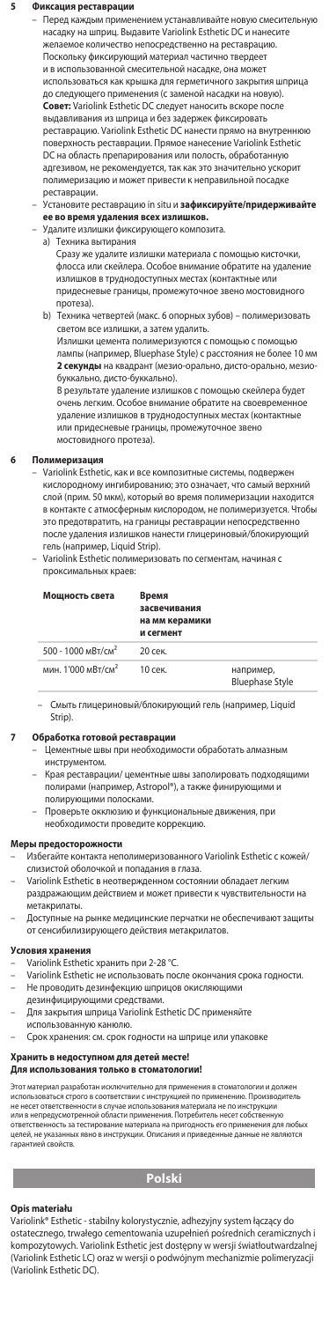### **5 Фиксация реставрации**

– Перед каждым применением устанавливайте новую смесительную насадку на шприц. Выдавите Variolink Esthetic DC и нанесите желаемое количество непосредственно на реставрацию. Поскольку фиксирующий материал частично твердеет и в использованной смесительной насадке, она может использоваться как крышка для герметичного закрытия шприца до следующего применения (с заменой насадки на новую). **Совет:** Variolink Esthetic DC следует наносить вскоре после выдавливания из шприца и без задержек фиксировать реставрацию. Variolink Esthetic DC нанести прямо на внутреннюю поверхность реставрации. Прямое нанесение Variolink Esthetic DC на область препарирования или полость, обработанную адгезивом, не рекомендуется, так как это значительно ускорит .<br>цию и может привести к непр реставрации.

- Установите реставрацию in situ и **зафиксируйте/придерживайте**
- **ее во время удаления всех излишков.** Удалите излишки фиксирующего композита.
- a) Техника вытирания

Сразу же удалите излишки материала с помощью кисточки, флосса или скейлера. Особое внимание обратите на удаление излишков в труднодоступных местах (контактные или придесневые границы, промежуточное звено мостовидного протеза).

 b) Техника четвертей (макс. 6 опорных зубов) – полимеризовать светом все излишки, а затем удалить

Излишки цемента полимеризуются с помощью с помощью лампы (например, Bluephase Style) с расстояния не более 10 мм **2 секунды** на квадрант (мезио-орально, дисто-орально, мезио-, . .<br>льно, дисто-буккально).

В результате удаление излишков с помощью скейлера будет очень легким. Особое внимание обратите на своевременное удаление излишков в труднодоступных местах (контактные или придесневые границы, промежуточное звено мостовидного протеза).

**6 Полимеризация** – Variolink Esthetic, как и все композитные системы, подвержен кислородному ингибированию; это означает, что самый верхний слой (прим. 50 мкм), который во время полимеризации находится в контакте с атмосферным кислородом, не полимеризуется. Чтобы это предотвратить, на границы реставрации непосредственно после удаления излишков нанести глицериновый/блокирующий гель (например, Liquid Strip).

– Variolink Esthetic полимеризовать по сегментам, начиная с проксимальных краев:

| Мошность света                 | Время<br>засвечивания<br>на мм керамики<br>и сегмент |                                     |
|--------------------------------|------------------------------------------------------|-------------------------------------|
| 500 - 1000 MBT/CM <sup>2</sup> | 20 сек.                                              |                                     |
| мин. 1'000 мВт/см <sup>2</sup> | 10 сек.                                              | например,<br><b>Bluephase Style</b> |

– Смыть глицериновый/блокирующий гель (например, Liquid Strip).

#### **7 Обработка готовой реставрации**

- развитате совета разворядии.<br>Цементные швы при необходимости обработать алмазнь инструментом.
- Края реставрации/ цементные швы заполировать подходящими полирами (например, Astropol®), а также финирующими и
- полирующими полосками. Проверьте окклюзию и функциональные движения, при необходимости проведите коррекцию.

#### **Меры предосторожности**

- Избегайте контакта неполимеризованного Variolink Esthetic с кожей/ слизистой оболочкой и попадания в глаза.
- интентивности и политиниценном состоянии обладает легки раздражающим действием и может привести к чувствительности на метакрилаты.
- Доступные на рынке медицинские перчатки не обеспечивают защиты от сенсибилизирующего действия метакрилатов.

### Условия хр

- Variolink Esthetic хранить при 2-28 °С
- Variolink Esthetic не использовать после окончания срока годности. – Не проводить дезинфекцию шприцов окисляющими
- дезинфицирующими средствами. – Для закрытия шприца Variolink Esthetic DC применяйте
- использованную канюлю.
- Срок хранения: см. срок годности на шприце или упаковке

#### **Хранить в недоступном для детей месте! Для использования только в стоматологии!**

Этот материал разработан исключительно для применения в стоматологии и должен<br>использоваться строго в соответствии с инструкцией по применению. Производитель<br>не несет ответственности в случае использования материала не по ответственность за тестирование материала на пригодность его применения для любых<br>целей, не указанных явно в инструкции. Описания и приведенные данные не являются <sub>гау с</sub>мот<br>аетственность за<br>лей, не указанны<br>рантией свойств

# **Polski**

### **Opis materiału**

Variolink® Esthetic - stabilny kolorystycznie, adhezyjny system łączący do ostatecznego, trwałego cementowania uzupełnień pośrednich ceramicznych i kompozytowych. Variolink Esthetic jest dostępny w wersji światłoutwardzalnej (Variolink Esthetic LC) oraz w wersji o podwójnym mechanizmie polimeryzacji (Variolink Esthetic DC).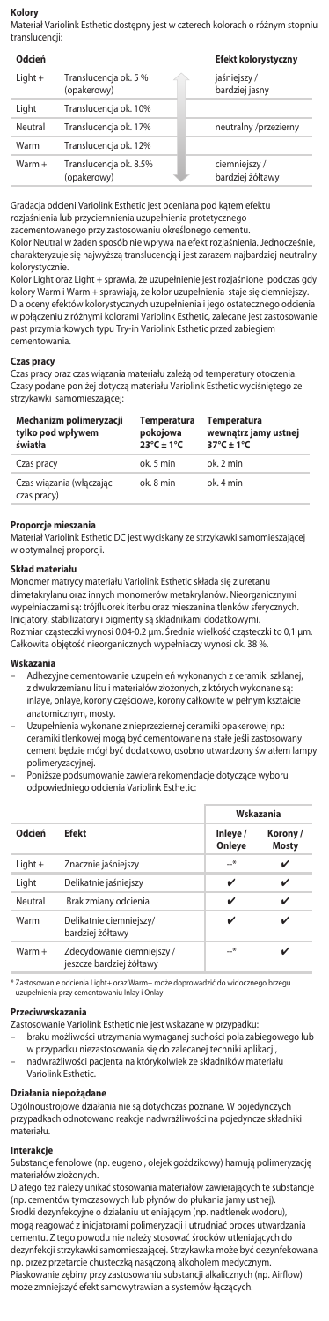# **Kolory**

Materiał Variolink Esthetic dostępny jest w czterech kolorach o różnym stopniu translucencji:

| Odcień    |                                       | Efekt kolorystyczny              |
|-----------|---------------------------------------|----------------------------------|
| $Light +$ | Translucencja ok. 5 %<br>(opakerowy)  | jaśniejszy/<br>bardziej jasny    |
| Liaht     | Translucencja ok. 10%                 |                                  |
| Neutral   | Translucencia ok. 17%                 | neutralny /przezierny            |
| Warm      | Translucencja ok. 12%                 |                                  |
| Warm +    | Translucencja ok. 8.5%<br>(opakerowy) | ciemniejszy/<br>bardziej żółtawy |

Gradacja odcieni Variolink Esthetic jest oceniana pod kątem efektu rozjaśnienia lub przyciemnienia uzupełnienia protetycznego

zacementowanego przy zastosowaniu określonego cementu.

Kolor Neutral w żaden sposób nie wpływa na efekt rozjaśnienia. Jednocześnie, charakteryzuje się najwyższą translucencją i jest zarazem najbardziej neutralny kolorystycznie.

Kolor Light oraz Light + sprawia, że uzupełnienie jest rozjaśnione podczas gdy kolory Warm i Warm + sprawiają, że kolor uzupełnienia staje się ciemniejszy. Dla oceny efektów kolorystycznych uzupełnienia i jego ostatecznego odcienia w połączeniu z różnymi kolorami Variolink Esthetic, zalecane jest zastosowanie past przymiarkowych typu Try-in Variolink Esthetic przed zabiegiem cementowania.

## **Czas pracy**

Czas pracy oraz czas wiązania materiału zależą od temperatury otoczenia. Czasy podane poniżej dotyczą materiału Variolink Esthetic wyciśniętego ze strzykawki samomieszającej:

| Mechanizm polimeryzacji<br>tylko pod wpływem<br>światła | <b>Temperatura</b><br>pokojowa<br>$23^{\circ}C + 1^{\circ}C$ | <b>Temperatura</b><br>wewnątrz jamy ustnej<br>$37^{\circ}$ C ± 1°C |
|---------------------------------------------------------|--------------------------------------------------------------|--------------------------------------------------------------------|
| Czas pracy                                              | ok. 5 min.                                                   | $nk$ $2 min$                                                       |
| Czas wiązania (włączając<br>czas pracy)                 | ok 8 min                                                     | ok. 4 min                                                          |

**Proporcje mieszania** Materiał Variolink Esthetic DC jest wyciskany ze strzykawki samomieszającej w optymalnej proporcji.

# **Skład materiału**

Monomer matrycy materiału Variolink Esthetic składa się z uretanu dimetakrylanu oraz innych monomerów metakrylanów. Nieorganicznymi wypełniaczami są: trójfluorek iterbu oraz mieszanina tlenków sferycznych. Inicjatory, stabilizatory i pigmenty są składnikami dodatkowymi. Rozmiar cząsteczki wynosi 0.04-0.2 μm. Średnia wielkość cząsteczki to 0,1 μm. Całkowita objętość nieorganicznych wypełniaczy wynosi ok. 38 %.

### **Wskazania**

- Adhezyjne cementowanie uzupełnień wykonanych z ceramiki szklanej, z dwukrzemianu litu i materiałów złożonych, z których wykonane są: inlaye, onlaye, korony częściowe, korony całkowite w pełnym kształcie anatomicznym, mosty.
- Uzupełnienia wykonane z nieprzeziernej ceramiki opakerowej np.: ceramiki tlenkowej mogą być cementowane na stałe jeśli zastosowany cement będzie mógł być dodatkowo, osobno utwardzony światłem lampy polimeryzacyjnej.
- Poniższe podsumowanie zawiera rekomendacje dotyczące wyboru odpowiedniego odcienia Variolink Esthetic:

|          | <b>Efekt</b>                                           |                    | Wskazania               |  |
|----------|--------------------------------------------------------|--------------------|-------------------------|--|
| Odcień   |                                                        | Inleye /<br>Onleye | Korony/<br><b>Mosty</b> |  |
| Light +  | Znacznie jaśniejszy                                    | $-$ *              | ✓                       |  |
| Light    | Delikatnie jaśniejszy                                  | ✓                  | ✓                       |  |
| Neutral  | Brak zmiany odcienia                                   | v                  | ✓                       |  |
| Warm     | Delikatnie ciemniejszy/<br>bardziej żółtawy            | ✓                  | ✓                       |  |
| $Warm +$ | Zdecydowanie ciemniejszy /<br>jeszcze bardziej żółtawy | —*                 |                         |  |

\* Zastosowanie odcienia Light+ oraz Warm+ może doprowadzić do widocznego brzegu uzupełnienia przy cem

# **Przeciwwskazania**

Zastosowanie Variolink Esthetic nie jest wskazane w przypadku:

- braku możliwości utrzymania wymaganej suchości pola zabiegowego lub w przypadku niezastosowania się do zalecanej techniki aplikacji,
- nadwrażliwości pacjenta na którykolwiek ze składników materiału Variolink Estheti

## **Działania niepożądane**

Ogólnoustrojowe działania nie są dotychczas poznane. W pojedynczych przypadkach odnotowano reakcje nadwrażliwości na pojedyncze składniki materiału.

# **Interakcje**

Substancje fenolowe (np. eugenol, olejek goździkowy) hamują polimeryzację materiałów złożonych.

Dlatego też należy unikać stosowania materiałów zawierających te substancje (np. cementów tymczasowych lub płynów do płukania jamy ustnej). Środki dezynfekcyjne o działaniu utleniającym (np. nadtlenek wodoru), mogą reagować z inicjatorami polimeryzacji i utrudniać proces utwardzania cementu. Z tego powodu nie należy stosować środków utleniających do dezynfekcji strzykawki samomieszającej. Strzykawka może być dezynfekowana np. przez przetarcie chusteczką nasączoną alkoholem medycznym. Piaskowanie zębiny przy zastosowaniu substancji alkalicznych (np. Airflow) może zmniejszyć efekt samowytrawiania systemów łączących.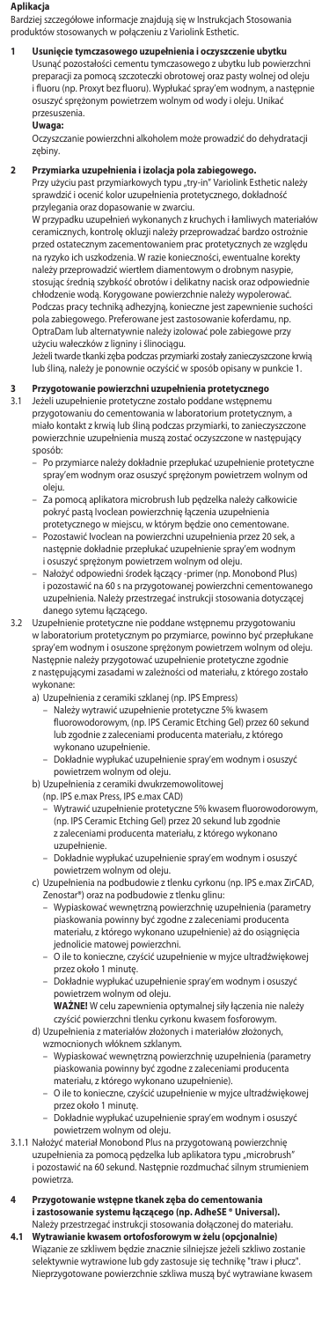#### **Aplikacja**

Bardziej szczegółowe informacje znajdują się w Instrukcjach Stosowania produktów stosowanych w połączeniu z Variolink Esthetic.

**1 Usunięcie tymczasowego uzupełnienia i oczyszczenie ubytku** Usunąć pozostałości cementu tymczasowego z ubytku lub powierzchni preparacji za pomocą szczoteczki obrotowej oraz pasty wolnej od oleju i fluoru (np. Proxyt bez fluoru). Wypłukać spray'em wodnym, a następnie osuszyć sprężonym powietrzem wolnym od wody i oleju. Unikać przesuszenia.

**Uwaga:**<br>Oczyszczanie powierzchni alkoholem może prowadzić do dehydratacji zębiny.

**2 Przymiarka uzupełnienia i izolacja pola zabiegowego.**<br>Przy użyciu past przymiarkowych typu "try-in" Variolink Esthetic należy<br>sprawdzić i ocenić kolor uzupełnienia protetycznego, dokładność przylegania oraz dopasowanie w zwarciu.

W przypadku uzupełnień wykonanych z kruchych i łamliwych materiałów ceramicznych, kontrolę okluzji należy przeprowadzać bardzo ostrożnie przed ostatecznym zacementowaniem prac protetycznych ze względu na ryzyko ich uszkodzenia. W razie konieczności, ewentualne korekty należy przeprowadzić wiertłem diamentowym o drobnym nasypie, stosując średnią szybkość obrotów i delikatny nacisk oraz odpowied chłodzenie wodą. Korygowane powierzchnie należy wypolerować. Podczas pracy techniką adhezyjną, konieczne jest zapewnienie suchości pola zabiegowego. Preferowane jest zastosowanie koferdamu, np. OptraDam lub alternatywnie należy izolować pole zabiegowe przy użyciu wałeczków z ligniny i ślinociągu.

Jeżeli twarde tkanki zęba podczas przymiarki zostały zanieczyszczone krwią lub śliną, należy je ponownie oczyścić w sposób opisany w punkcie 1.

# **3 Przygotowanie powierzchni uzupełnienia protetycznego** 3.1 Jeżeli uzupełnienie protetyczne zostało poddane wstępnemu

przygotowaniu do cementowania w laboratorium protetycznym, a miało kontakt z krwią lub śliną podczas przymiarki, to zanieczyszczone powierzchnie uzupełnienia muszą zostać oczyszczone w następujący sposób:

- Po przymiarce należy dokładnie przepłukać uzupełnienie protetyczne spray'em wodnym oraz osuszyć sprężonym powietrzem wolnym od oleju.
- Za pomocą aplikatora microbrush lub pędzelka należy całkowicie pokryć pastą Ivoclean powierzchnię łączenia uzupełnienia protetycznego w miejscu, w którym będzie ono cementowane.
- Pozostawić Ivoclean na powierzchni uzupełnienia przez 20 sek, a następnie dokładnie przepłukać uzupełnienie spray'em wodnym i osuszyć sprężonym powietrzem wolnym od oleju.
- Nałożyć odpowiedni środek łączący -primer (np. Monobond Plus) i pozostawić na 60 s na przygotowanej powierzchni cementowanego uzupełnienia. Należy przestrzegać instrukcji stosowania dotyczącej danego sytemu łączącego.
- 3.2 Uzupełnienie protetyczne nie poddane wstępnemu przygotowaniu w laboratorium protetycznym po przymiarce, powinno być przepłukane spray'em wodnym i osuszone sprężonym powietrzem wolnym od oleju. Następnie należy przygotować uzupełnienie protetyczne zgodnie z następującymi zasadami w zależności od materiału, z którego zostało
	- wykonane: a) Uzupełnienia z ceramiki szklanej (np. IPS Empress)
		- Należy wytrawić uzupełnienie protetyczne 5% kwasem fluorowodorowym, (np. IPS Ceramic Etching Gel) przez 60 sekund lub zgodnie z zaleceniami producenta materiału, z którego wykonano uzupełnienie.
		- Dokładnie wypłukać uzupełnienie spray'em wodnym i osuszyć powietrzem wolnym od oleju.
	- b) Uzupełnienia z ceramiki dwukrzemowolitowej
		- (np. IPS e.max Press, IPS e.max CAD)
			- Wytrawić uzupełnienie protetyczne 5% kwasem fluorowodorowym, (np. IPS Ceramic Etching Gel) przez 20 sekund lub zgodnie z zaleceniami producenta materiału, z którego wykonano uzupełnienie.
			- Dokładnie wypłukać uzupełnienie spray'em wodnym i osuszyć
			-
	- powietrzem wolnym od oleju. c) Uzupełnienia na podbudowie z tlenku cyrkonu (np. IPS e.max ZirCAD, Zenostar®) oraz na podbudowie z tlenku glinu:
		- Wypiaskować wewnętrzną powierzchnię uzupełnienia (parametry .<br>skowania powinny być zgodne z zaleceniami producenta materiału, z którego wykonano uzupełnienie) aż do osiągnięcia
- jednolicie matowej powierzchni. O ile to konieczne, czyścić uzupełnienie w myjce ultradźwiękowej przez około 1 minutę.
	- Dokładnie wypłukać uzupełnienie spray'em wodnym i osuszyć powietrzem wolnym od oleju.
	- **WAŻNE!** W celu zapewnienia optymalnej siły łączenia nie należy czyścić powierzchni tlenku cyrkonu kwasem fosforowym. d) Uzupełnienia z materiałów złożonych i materiałów złożonych,
		- wzmocnionych włóknem szklanym.
			- Wypiaskować wewnętrzną powierzchnię uzupełnienia (parametry piaskowania powinny być zgodne z zaleceniami producenta
- materiału, z którego wykonano uzupełnienie). O ile to konieczne, czyścić uzupełnienie w myjce ultradźwiękowej przez około 1 minutę.
	- Dokładnie wypłukać uzupełnienie spray'em wodnym i osuszyć
- powietrzem wolnym od oleju.<br>3.1.1 Nałożyć materiał Monobond Plus na przygotowaną powierzchnię<br>uzupełnienia za pomocą pędzelka lub aplikatora typu "microbrush" i pozostawić na 60 sekund. Następnie rozdmuchać silnym strumieniem powietrza.
- **4 Przygotowanie wstępne tkanek zęba do cementowania i zastosowanie systemu łączącego (np. AdheSE ® Universal).**  Należy przestrzegać instrukcji stosowania dołączonej do materiału.<br>Wytrawianie kwasem ortofosforowym w żelu (opcjonalnie) **4.1 Wytrawianie kwasem ortofosforowym w żelu (opcjonalnie)**
- Wiązanie ze szkliwem będzie znacznie silniejsze jeżeli szkliwo zostanie selektywnie wytrawione lub gdy zastosuje się technikę "traw i płucz". Nieprzygotowane powierzchnie szkliwa muszą być wytrawiane kwasem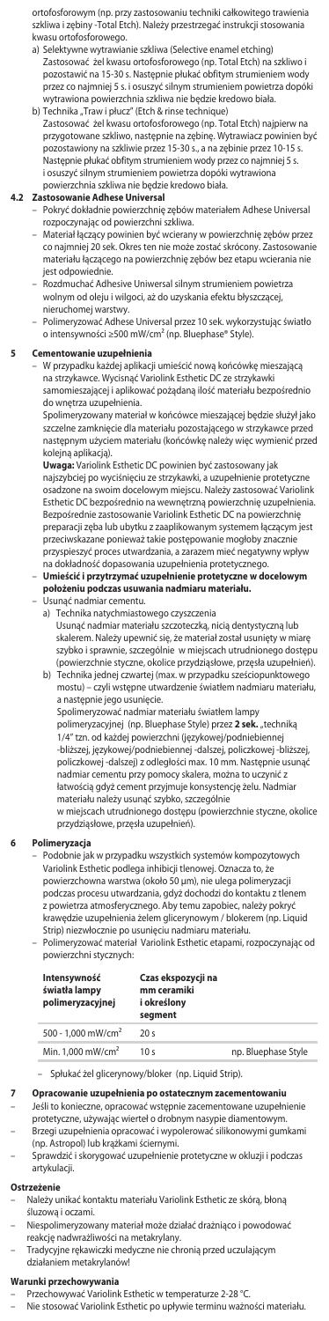ortofosforowym (np. przy zastosowaniu techniki całkowitego trawienia szkliwa i zębiny -Total Etch). Należy przestrzegać instrukcji stosowania

- kwasu ortofosforowego. a) Selektywne wytrawianie szkliwa (Selective enamel etching) Zastosować żel kwasu ortofosforowego (np. Total Etch) na szkliwo i pozostawić na 15-30 s. Następnie płukać obfitym strumieniem wody przez co najmniej 5 s. i osuszyć silnym strumieniem powietrza dopóki wytrawiona powierzchnia szkliwa nie będzie kredowo biała.
- b) Technika "Traw i płucz" (Etch & rinse technique)<br>Zastosować żel kwasu ortofosforowego (np. Total Etch) najpierw na przygotowane szkliwo, następnie na zębinę. Wytrawiacz powinien być pozostawiony na szkliwie przez 15-30 s., a na zębinie przez 10-15 s. Następnie płukać obfitym strumieniem wody przez co najmniej 5 s. i osuszyć silnym strumieniem powietrza dopóki wytrawiona powierzchnia szkliwa nie będzie kredowo biała.

### **4.2 Zastosowanie Adhese Universal**

- Pokryć dokładnie powierzchnię zębów materiałem Adhese Universal
	- rozpoczynając od powierzchni szkliwa. Materiał łączący powinien być wcierany w powierzchnię zębów przez co najmniej 20 sek. Okres ten nie może zostać skrócony. Zastosowanie materiału łączącego na powierzchnię zębów bez etapu wcierania nie jest odpowiednie.
	- Rozdmuchać Adhesive Uniwersal silnym strumieniem powietrza wolnym od oleju i wilgoci, aż do uzyskania efektu błyszczącej, nieruchomej warstwy.
	- Polimeryzować Adhese Universal przez 10 sek. wykorzystując światło o intensywności ≥500 mW/cm² (np. Bluephase® Style).

**5 Cementowanie uzupełnienia** – W przypadku każdej aplikacji umieścić nową końcówkę mieszającą na strzykawce. Wycisnąć Variolink Esthetic DC ze strzykawki samomieszającej i aplikować pożądaną ilość materiału bezpośrednio do wnętrza uzupełnienia.

Spolimeryzowany materiał w końcówce mieszającej będzie służył jako szczelne zamknięcie dla materiału pozostającego w strzykawce przed następnym użyciem materiału (końcówkę należy więc wymienić przed kolejną aplikacją).

**Uwaga:** Variolink Esthetic DC powinien być zastosowany jak najszybciej po wyciśnięciu ze strzykawki, a uzupełnienie protetyczne osadzone na swoim docelowym miejscu. Należy zastosować Variolink Esthetic DC bezpośrednio na wewnętrzną powierzchnię uzupełnienia. Bezpośrednie zastosowanie Variolink Esthetic DC na powierzchnię preparacji zęba lub ubytku z zaaplikowanym systemem łączącym jest przeciwskazane ponieważ takie postępowanie mogłoby znacznie przyspieszyć proces utwardzania, a zarazem mieć negatywny wpływ na dokładność dopasowania uzupełnienia protetycznego.

- **Umieścić i przytrzymać uzupełnienie protetyczne w docelowym położeniu podczas usuwania nadmiaru materiału.**
- Usunąć nadmiar cementu.
	- a) Technika natychmiastowego czyszczenia Usunąć nadmiar materiału szczoteczką, nicią dentystyczną lub skalerem. Należy upewnić się, że materiał został usunięty w miarę szybko i sprawnie, szczególnie w miejscach utrudnionego dostęp (powierzchnie styczne, okolice przydziąsłowe, przęsła uzupełnień).
	- b) Technika jednej czwartej (max. w przypadku sześciopunktowego mostu) – czyli wstępne utwardzenie światłem nadmiaru materiału, a następnie jego usunięcie. Spolimeryzować nadmiar materiału światłem lampy

polimeryzacyjnej (np. Bluephase Style) przez **2 sek. "**techniką<br>1/4" tzn. od każdej powierzchni (językowe*j/*podniebiennej<br>-bliższej, językowej/podniebiennej -dalszej, policzkowej -bliższej,<br>policzkowej -dalszej) z odległo nadmiar cementu przy pomocy skalera, można to uczynić z łatwością gdyż cement przyjmuje konsystencję żelu. Nadmiar materiału należy usunąć szybko, szczególnie w miejscach utrudnionego dostępu (powierzchnie styczne, okolice

przydziąsłowe, przęsła uzupełnień).

#### **6 Polimeryzacja**

– Podobnie jak w przypadku wszystkich systemów kompozytowych Variolink Esthetic podlega inhibicji tlenowej. Oznacza to, że powierzchowna warstwa (około 50 μm), nie ulega polimeryzacji podczas procesu utwardzania, gdyż dochodzi do kontaktu z tlenem z powietrza atmosferycznego. Aby temu zapobiec, należy pokryć krawędzie uzupełnienia żelem glicerynowym / blokerem (np. Liquid Strip) niezwłocznie po usunięciu nadmiaru materiału. – Polimeryzować materiał Variolink Esthetic etapami, rozpoczynając od powierzchni stycznych:

**Intensywność światła lampy polimeryzacyjnej Czas ekspozycji na mm ceramiki i określony segment** 500 - 1,000 mW/cm² 20 s Min. 1,000 mW/cm<sup>2</sup> 10 s np. Bluephase Style

– Spłukać żel glicerynowy/bloker (np. Liquid Strip).

# **7 Opracowanie uzupełnienia po ostatecznym zacementowaniu**

- Jeśli to konieczne, opracować wstępnie zacementowane uzupełnienie protetyczne, używając wierteł o drobnym nasypie diamentowym.
	- Brzegi uzupełnienia opracować i wypolerować silikonowymi gumkami (np. Astropol) lub krążkami ściernymi.
- Sprawdzić i skorygować uzupełnienie protetyczne w okluzji i podczas artykulacji.

# **Ostrzeżenie**

- Należy unikać kontaktu materiału Variolink Esthetic ze skórą, błoną śluzową i oczami.
- Niespolimeryzowany materiał może działać drażniąco i powodować reakcję nadwrażliwości na metakrylany.
- Tradycyjne rękawiczki medyczne nie chronią przed uczulającym działaniem metakrylanów!

## **Warunki przechowywania**

- Przechowywać Variolink Esthetic w temperaturze 2-28 °C.
- Nie stosować Variolink Esthetic po upływie terminu ważności materiał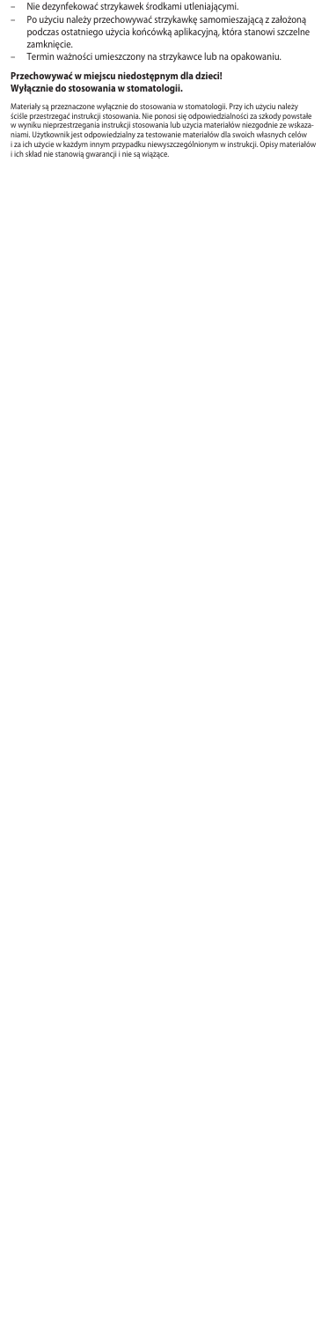- 
- Nie dezynfekować strzykawek środkami utleniającymi. Po użyciu należy przechowywać strzykawkę samomieszającą z założoną podczas ostatniego użycia końcówką aplikacyjną, która stanowi szczelne .<br>zamknięcie.
- Termin ważności umieszczony na strzykawce lub na opakowaniu.

# **Przechowywać w miejscu niedostępnym dla dzieci! Wyłącznie do stosowania w stomatologii.**

Matenały są przeznaczone wyłącznie do stosowania w stomatologu. Przy ich uzycu należy<br>ściśle przestrzegać instrukcji stosowania. Nie ponosi się odpowiedzialności za szkody powstałe<br>w wyniku nieprzestrzegania instrukcji sto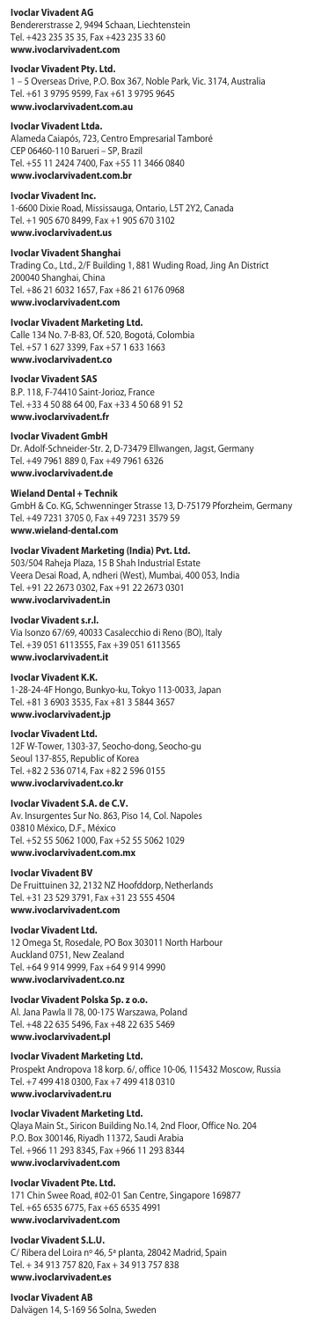# **Ivoclar Vivadent AG**

Bendererstrasse 2, 9494 Schaan, Liechtenstein Tel. +423 235 35 35, Fax +423 235 33 60 **www.ivoclarvivadent.com**

## **Ivoclar Vivadent Pty. Ltd.**

1 – 5 Overseas Drive, P.O. Box 367, Noble Park, Vic. 3174, Australia Tel. +61 3 9795 9599, Fax +61 3 9795 9645 **www.ivoclarvivadent.com.au**

#### **Ivoclar Vivadent Ltda.**

Alameda Caiapós, 723, Centro Empresarial Tamboré CEP 06460-110 Barueri – SP, Brazil Tel. +55 11 2424 7400, Fax +55 11 3466 0840 **www.ivoclarvivadent.com.br**

#### **Ivoclar Vivadent Inc.**

1-6600 Dixie Road, Mississauga, Ontario, L5T 2Y2, Canada Tel. +1 905 670 8499, Fax +1 905 670 3102 **www.ivoclarvivadent.us**

**Ivoclar Vivadent Shanghai**<br>Trading Co., Ltd., 2/F Building 1, 881 Wuding Road, Jing An District<br>200040 Shanghai, China Tel. +86 21 6032 1657, Fax +86 21 6176 0968 **www.ivoclarvivadent.com**

**Ivoclar Vivadent Marketing Ltd.**<br>Calle 134 No. 7-B-83, Of. 520, Bogotá, Colombia Tel. +57 1 627 3399, Fax +57 1 633 1663 **www.ivoclarvivadent.co** 

**Ivoclar Vivadent SAS** B.P. 118, F-74410 Saint-Jorioz, France Tel. +33 4 50 88 64 00, Fax +33 4 50 68 91 52 **www.ivoclarvivadent.fr**

#### **Ivoclar Vivadent GmbH**

Dr. Adolf-Schneider-Str. 2, D-73479 Ellwangen, Jagst, Germany Tel. +49 7961 889 0, Fax +49 7961 6326 **www.ivoclarvivadent.de**

#### **Wieland Dental + Technik**

GmbH & Co. KG, Schwenninger Strasse 13, D-75179 Pforzheim, Germany Tel. +49 7231 3705 0, Fax +49 7231 3579 59 **www.wieland-dental.com**

# **Ivoclar Vivadent Marketing (India) Pvt. Ltd.**  503/504 Raheja Plaza, 15 B Shah Industrial Estate

Veera Desai Road, A, ndheri (West), Mumbai, 400 053, India Tel. +91 22 2673 0302, Fax +91 22 2673 0301 **www.ivoclarvivadent.in**

### **Ivoclar Vivadent s.r.l.**

Via Isonzo 67/69, 40033 Casalecchio di Reno (BO), Italy Tel. +39 051 6113555, Fax +39 051 6113565 **www.ivoclarvivadent.it**

### **Ivoclar Vivadent K.K.**

1-28-24-4F Hongo, Bunkyo-ku, Tokyo 113-0033, Japan Tel. +81 3 6903 3535, Fax +81 3 5844 3657 **www.ivoclarvivadent.jp**

#### **Ivoclar Vivadent Ltd.**

12F W-Tower, 1303-37, Seocho-dong, Seocho-gu Seoul 137-855, Republic of Korea Tel. +82 2 536 0714, Fax +82 2 596 0155 **www.ivoclarvivadent.co.kr**

# **Ivoclar Vivadent S.A. de C.V.**

Av. Insurgentes Sur No. 863, Piso 14, Col. Napoles 03810 México, D.F., México Tel. +52 55 5062 1000, Fax +52 55 5062 1029 **www.ivoclarvivadent.com.mx**

#### **Ivoclar Vivadent BV**

De Fruittuinen 32, 2132 NZ Hoofddorp, Netherlands Tel. +31 23 529 3791, Fax +31 23 555 4504 **www.ivoclarvivadent.com**

#### **Ivoclar Vivadent Ltd.**

12 Omega St, Rosedale, PO Box 303011 North Harbour Auckland 0751, New Zealand Tel. +64 9 914 9999, Fax +64 9 914 9990 **www.ivoclarvivadent.co.nz**

**Ivoclar Vivadent Polska Sp. z o.o.** Al. Jana Pawla II 78, 00-175 Warszawa, Poland

Tel. +48 22 635 5496, Fax +48 22 635 5469 **www.ivoclarvivadent.pl**

# **Ivoclar Vivadent Marketing Ltd.**

Prospekt Andropova 18 korp. 6/, office 10-06, 115432 Moscow, Russia Tel. +7 499 418 0300, Fax +7 499 418 0310 **www.ivoclarvivadent.ru** 

# **Ivoclar Vivadent Marketing Ltd.**

Qlaya Main St., Siricon Building No.14, 2nd Floor, Office No. 204 P.O. Box 300146, Riyadh 11372, Saudi Arabia Tel. +966 11 293 8345, Fax +966 11 293 8344 **www.ivoclarvivadent.com**

## **Ivoclar Vivadent Pte. Ltd.**

171 Chin Swee Road, #02-01 San Centre, Singapore 169877 Tel. +65 6535 6775, Fax +65 6535 4991 **www.ivoclarvivadent.com**

### **Ivoclar Vivadent S.L.U.**

C/ Ribera del Loira nº 46, 5ª planta, 28042 Madrid, Spain Tel. + 34 913 757 820, Fax + 34 913 757 838 **www.ivoclarvivadent.es**

#### **Ivoclar Vivadent AB**

Dalvägen 14, S-169 56 Solna, Sweden